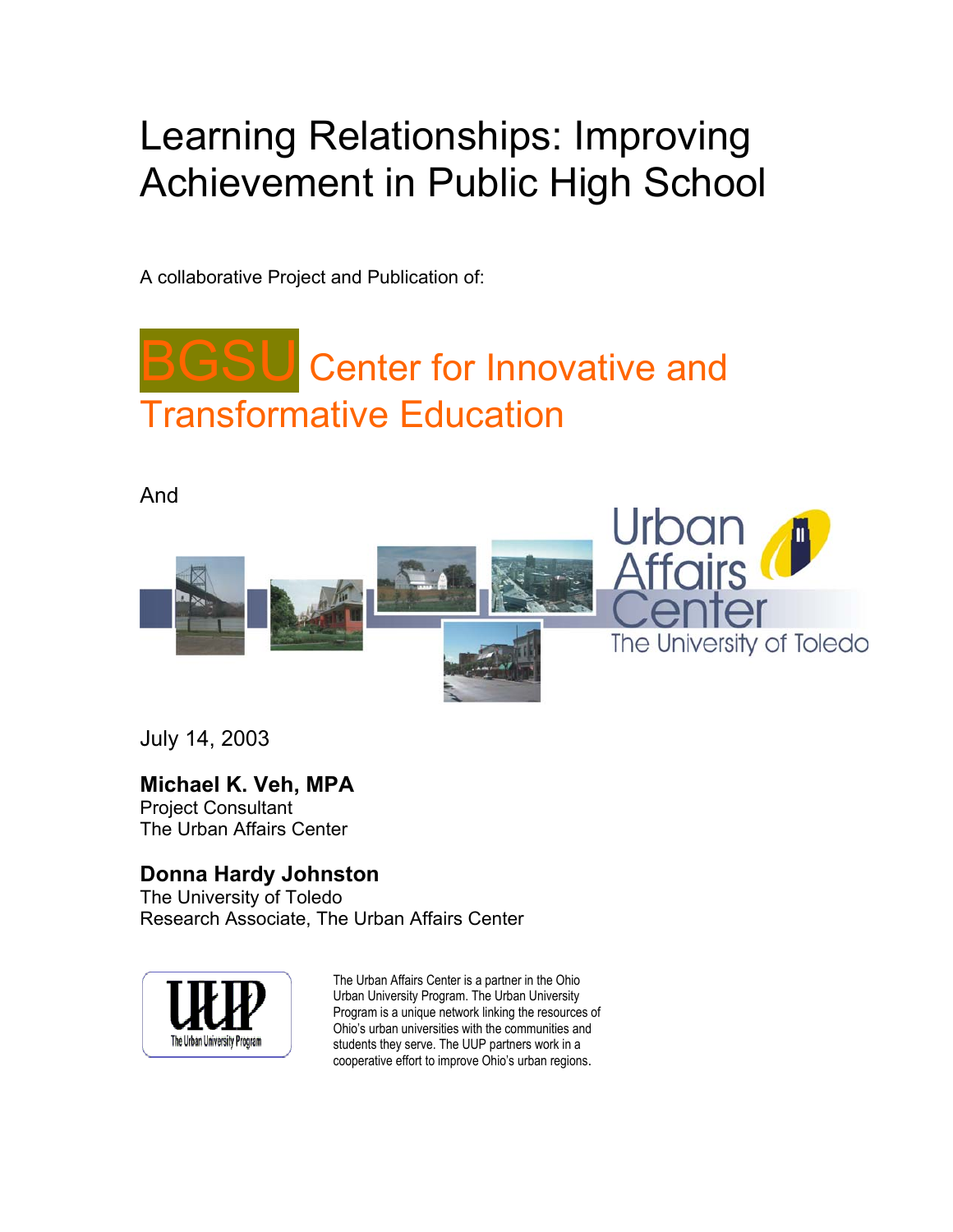# Learning Relationships: Improving Achievement in Public High School

A collaborative Project and Publication of:

# **Center for Innovative and** Transformative Education

#### And



July 14, 2003

### **Michael K. Veh, MPA**

Project Consultant The Urban Affairs Center

### **Donna Hardy Johnston**

The University of Toledo Research Associate, The Urban Affairs Center



The Urban Affairs Center is a partner in the Ohio Urban University Program. The Urban University Program is a unique network linking the resources of Ohio's urban universities with the communities and students they serve. The UUP partners work in a cooperative effort to improve Ohio's urban regions.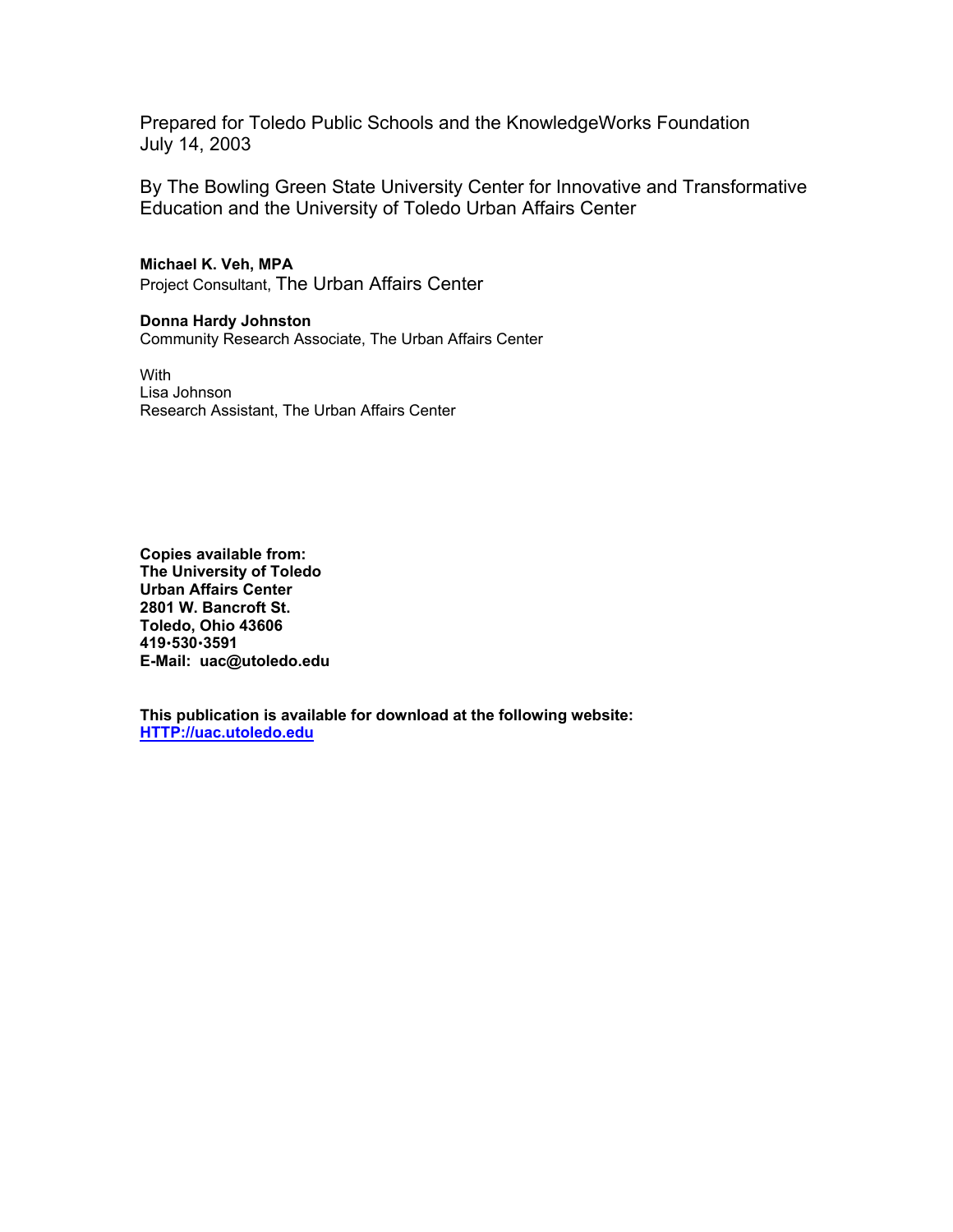Prepared for Toledo Public Schools and the KnowledgeWorks Foundation July 14, 2003

By The Bowling Green State University Center for Innovative and Transformative Education and the University of Toledo Urban Affairs Center

**Michael K. Veh, MPA**  Project Consultant, The Urban Affairs Center

**Donna Hardy Johnston**  Community Research Associate, The Urban Affairs Center

**With** Lisa Johnson Research Assistant, The Urban Affairs Center

**Copies available from: The University of Toledo Urban Affairs Center 2801 W. Bancroft St. Toledo, Ohio 43606 419**x**530**x**3591 E-Mail: uac@utoledo.edu** 

**This publication is available for download at the following website: HTTP://uac.utoledo.edu**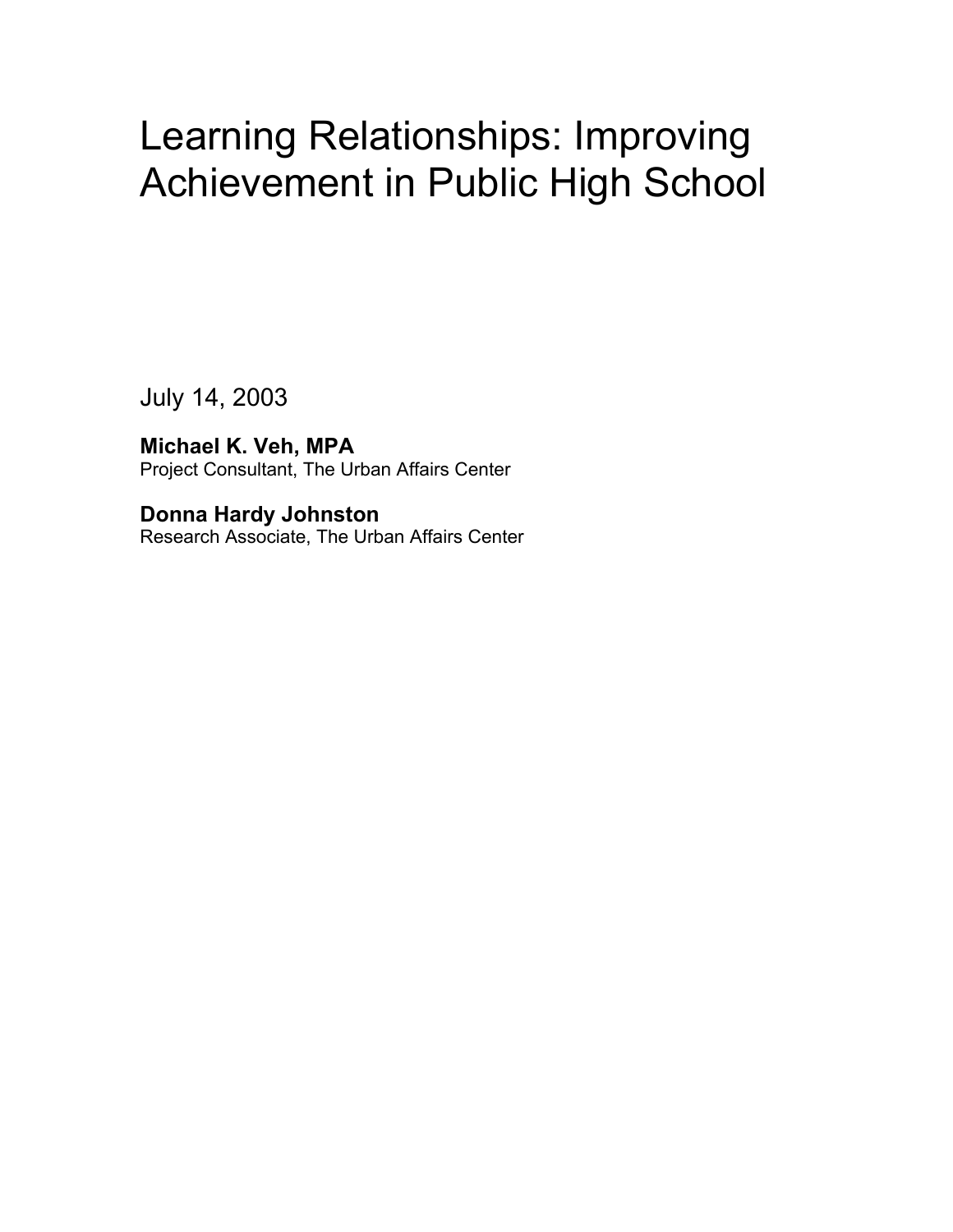## Learning Relationships: Improving Achievement in Public High School

July 14, 2003

**Michael K. Veh, MPA**  Project Consultant, The Urban Affairs Center

**Donna Hardy Johnston**  Research Associate, The Urban Affairs Center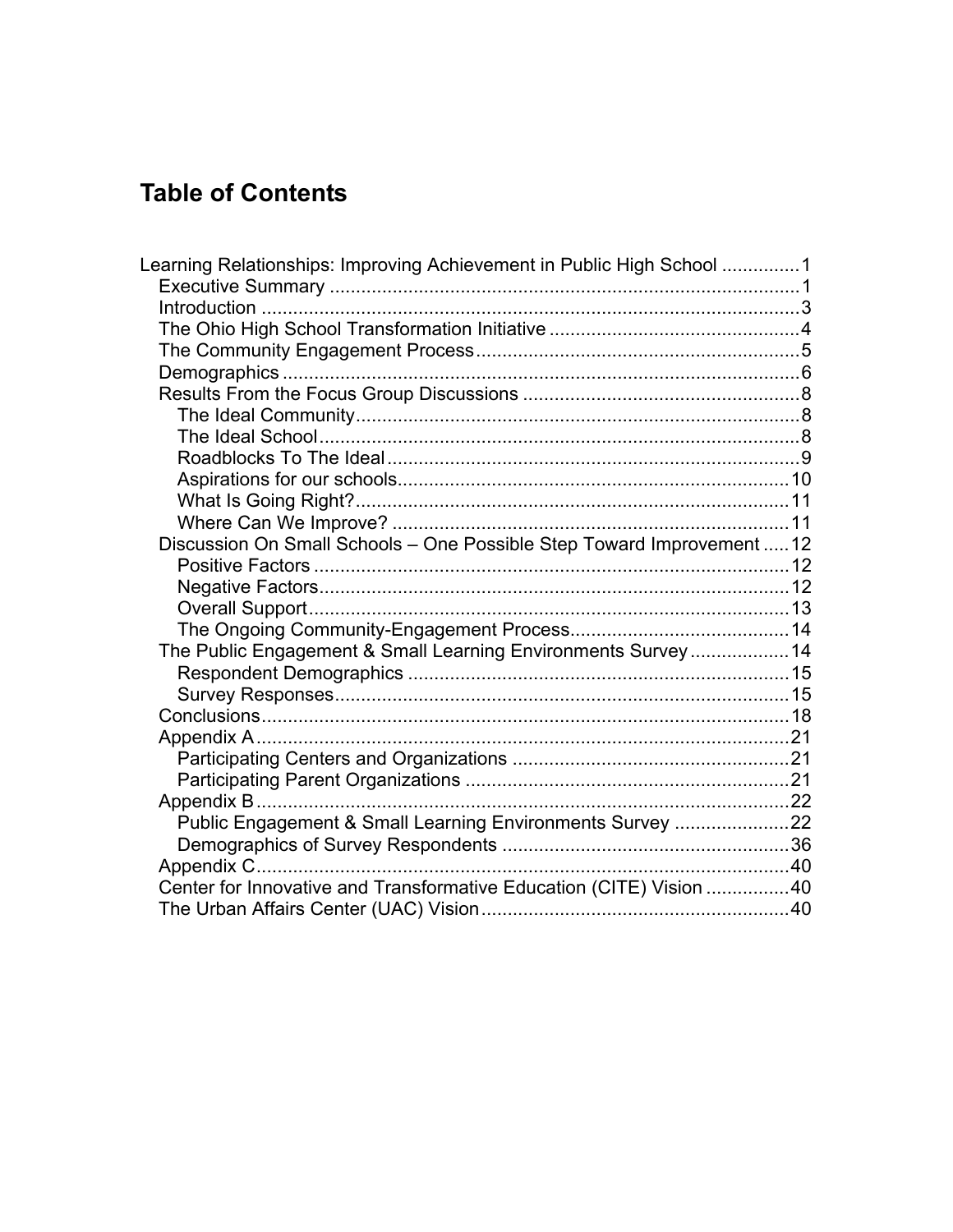## **Table of Contents**

| Learning Relationships: Improving Achievement in Public High School 1  |  |
|------------------------------------------------------------------------|--|
|                                                                        |  |
|                                                                        |  |
|                                                                        |  |
|                                                                        |  |
|                                                                        |  |
|                                                                        |  |
|                                                                        |  |
|                                                                        |  |
|                                                                        |  |
|                                                                        |  |
|                                                                        |  |
| Discussion On Small Schools - One Possible Step Toward Improvement  12 |  |
|                                                                        |  |
|                                                                        |  |
|                                                                        |  |
|                                                                        |  |
| The Public Engagement & Small Learning Environments Survey 14          |  |
|                                                                        |  |
|                                                                        |  |
|                                                                        |  |
|                                                                        |  |
|                                                                        |  |
|                                                                        |  |
|                                                                        |  |
| Public Engagement & Small Learning Environments Survey 22              |  |
|                                                                        |  |
|                                                                        |  |
| Center for Innovative and Transformative Education (CITE) Vision 40    |  |
|                                                                        |  |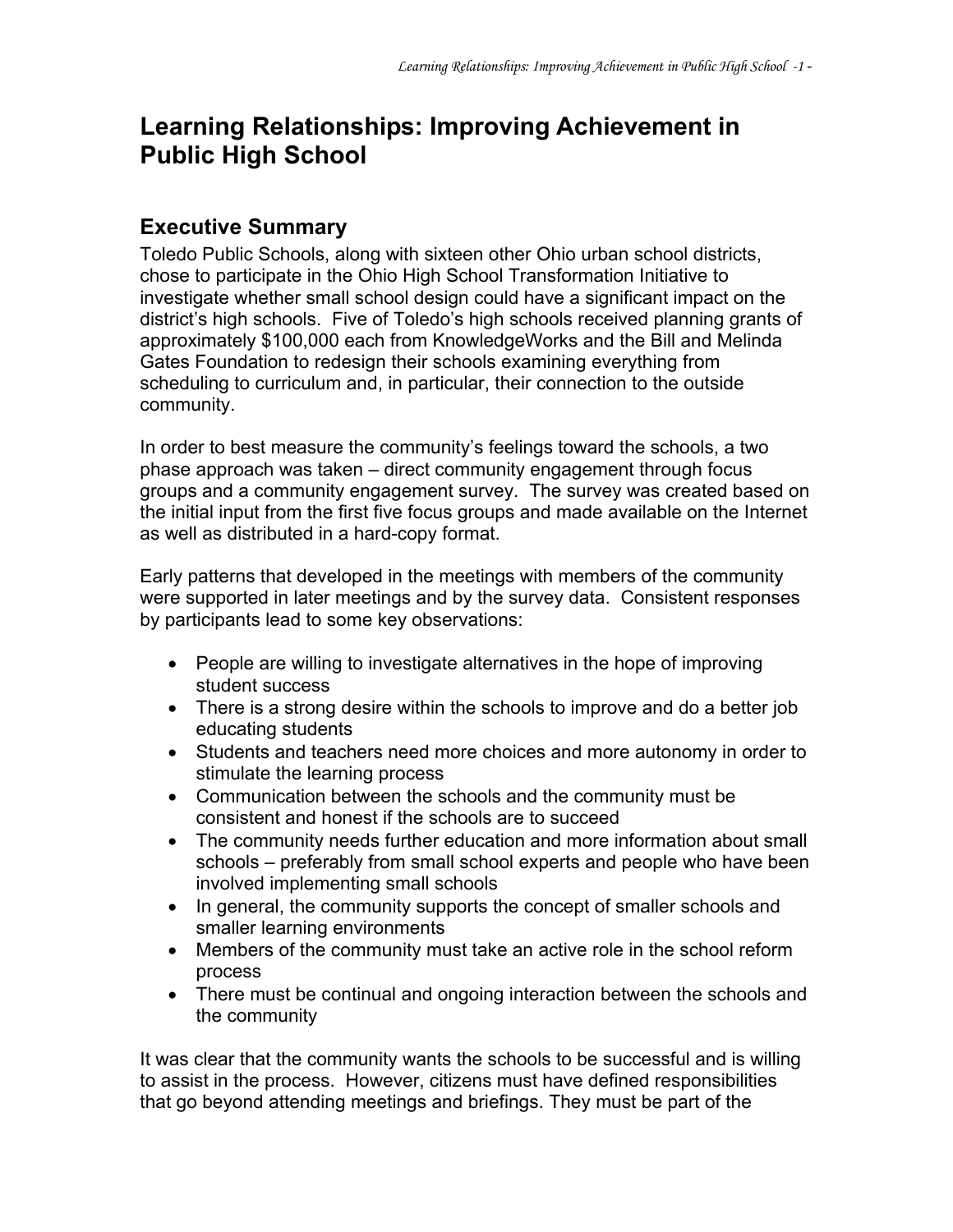## **Learning Relationships: Improving Achievement in Public High School**

#### **Executive Summary**

Toledo Public Schools, along with sixteen other Ohio urban school districts, chose to participate in the Ohio High School Transformation Initiative to investigate whether small school design could have a significant impact on the district's high schools. Five of Toledo's high schools received planning grants of approximately \$100,000 each from KnowledgeWorks and the Bill and Melinda Gates Foundation to redesign their schools examining everything from scheduling to curriculum and, in particular, their connection to the outside community.

In order to best measure the community's feelings toward the schools, a two phase approach was taken – direct community engagement through focus groups and a community engagement survey. The survey was created based on the initial input from the first five focus groups and made available on the Internet as well as distributed in a hard-copy format.

Early patterns that developed in the meetings with members of the community were supported in later meetings and by the survey data. Consistent responses by participants lead to some key observations:

- People are willing to investigate alternatives in the hope of improving student success
- There is a strong desire within the schools to improve and do a better job educating students
- Students and teachers need more choices and more autonomy in order to stimulate the learning process
- Communication between the schools and the community must be consistent and honest if the schools are to succeed
- The community needs further education and more information about small schools – preferably from small school experts and people who have been involved implementing small schools
- In general, the community supports the concept of smaller schools and smaller learning environments
- Members of the community must take an active role in the school reform process
- There must be continual and ongoing interaction between the schools and the community

It was clear that the community wants the schools to be successful and is willing to assist in the process. However, citizens must have defined responsibilities that go beyond attending meetings and briefings. They must be part of the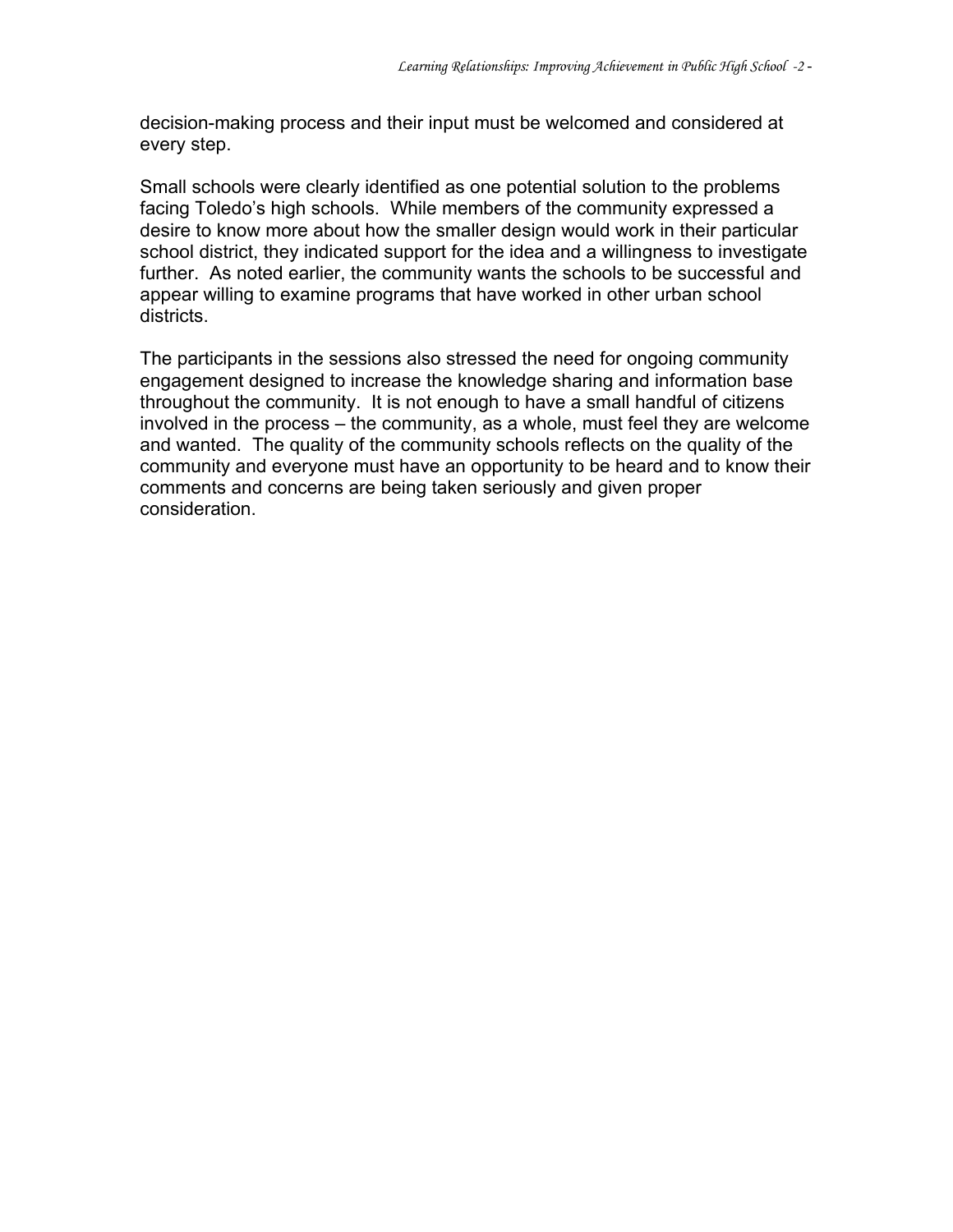decision-making process and their input must be welcomed and considered at every step.

Small schools were clearly identified as one potential solution to the problems facing Toledo's high schools. While members of the community expressed a desire to know more about how the smaller design would work in their particular school district, they indicated support for the idea and a willingness to investigate further. As noted earlier, the community wants the schools to be successful and appear willing to examine programs that have worked in other urban school districts.

The participants in the sessions also stressed the need for ongoing community engagement designed to increase the knowledge sharing and information base throughout the community. It is not enough to have a small handful of citizens involved in the process – the community, as a whole, must feel they are welcome and wanted. The quality of the community schools reflects on the quality of the community and everyone must have an opportunity to be heard and to know their comments and concerns are being taken seriously and given proper consideration.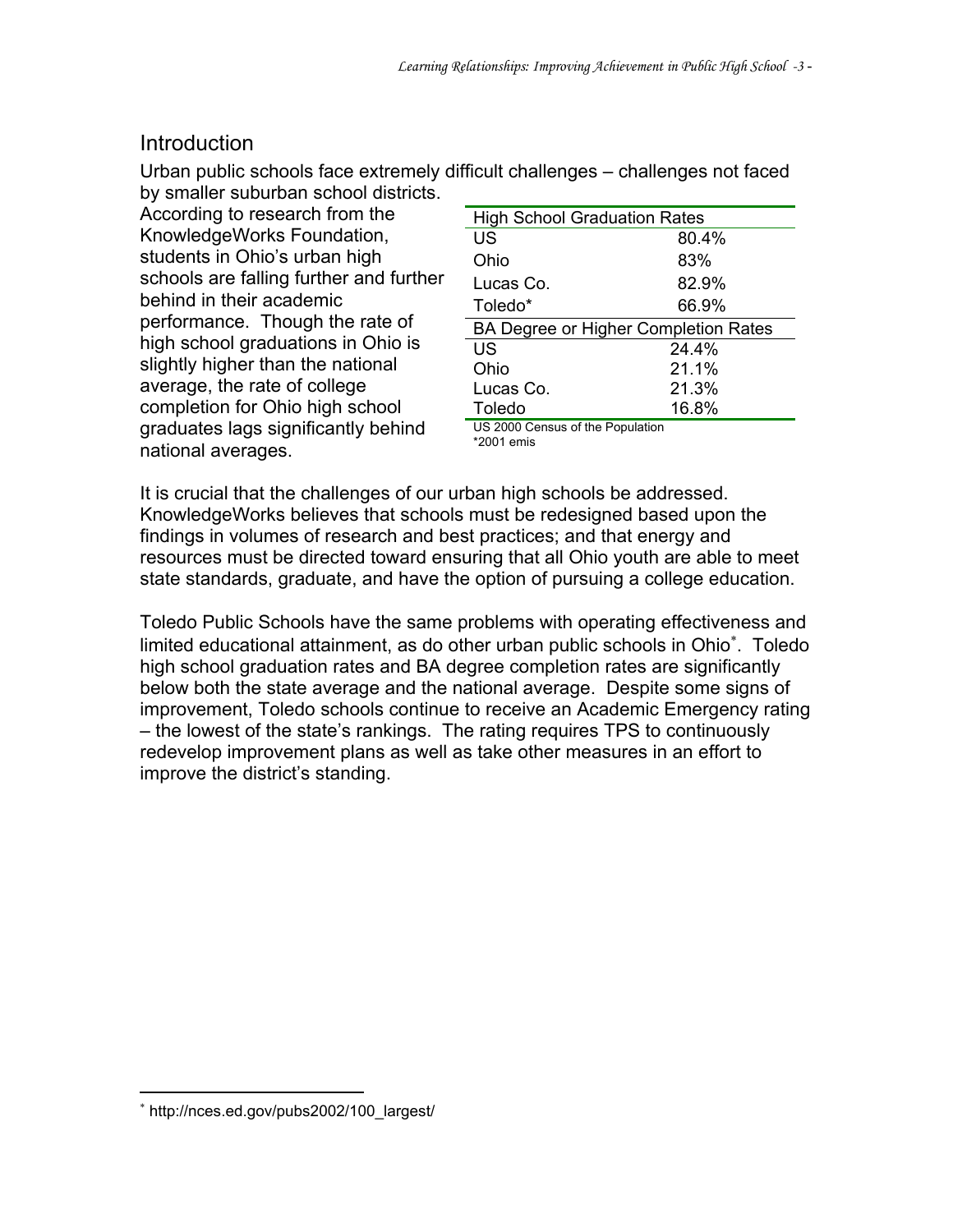#### **Introduction**

Urban public schools face extremely difficult challenges – challenges not faced by smaller suburban school districts.

According to research from the KnowledgeWorks Foundation, students in Ohio's urban high schools are falling further and further behind in their academic performance. Though the rate of high school graduations in Ohio is slightly higher than the national average, the rate of college completion for Ohio high school graduates lags significantly behind national averages.

| <b>High School Graduation Rates</b>  |       |  |
|--------------------------------------|-------|--|
| US                                   | 80.4% |  |
| Ohio                                 | 83%   |  |
| Lucas Co.                            | 82.9% |  |
| Toledo*                              | 66.9% |  |
| BA Degree or Higher Completion Rates |       |  |
| US                                   | 24.4% |  |
| Ohio                                 | 21.1% |  |
| Lucas Co.                            | 21.3% |  |
| Toledo                               | 16.8% |  |
| LIS 2000 Cansus of the Population    |       |  |

000 Census of the Population \*2001 emis

It is crucial that the challenges of our urban high schools be addressed. KnowledgeWorks believes that schools must be redesigned based upon the findings in volumes of research and best practices; and that energy and resources must be directed toward ensuring that all Ohio youth are able to meet state standards, graduate, and have the option of pursuing a college education.

Toledo Public Schools have the same problems with operating effectiveness and limited educational attainment, as do other urban public schools in Ohio<sup>∗</sup>. Toledo high school graduation rates and BA degree completion rates are significantly below both the state average and the national average. Despite some signs of improvement, Toledo schools continue to receive an Academic Emergency rating – the lowest of the state's rankings. The rating requires TPS to continuously redevelop improvement plans as well as take other measures in an effort to improve the district's standing.

 $\overline{a}$ 

<sup>∗</sup> http://nces.ed.gov/pubs2002/100\_largest/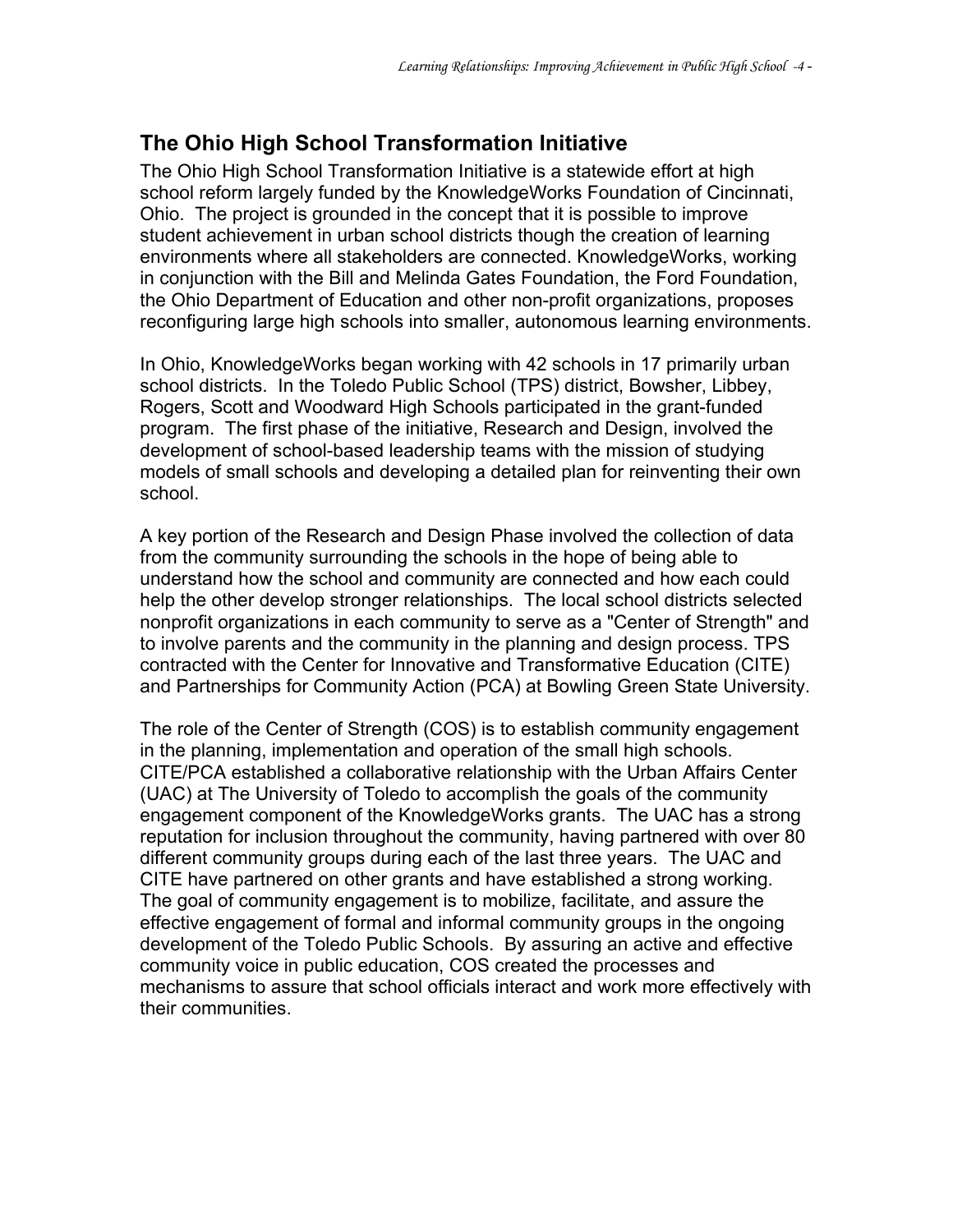#### **The Ohio High School Transformation Initiative**

The Ohio High School Transformation Initiative is a statewide effort at high school reform largely funded by the KnowledgeWorks Foundation of Cincinnati, Ohio. The project is grounded in the concept that it is possible to improve student achievement in urban school districts though the creation of learning environments where all stakeholders are connected. KnowledgeWorks, working in conjunction with the Bill and Melinda Gates Foundation, the Ford Foundation, the Ohio Department of Education and other non-profit organizations, proposes reconfiguring large high schools into smaller, autonomous learning environments.

In Ohio, KnowledgeWorks began working with 42 schools in 17 primarily urban school districts. In the Toledo Public School (TPS) district, Bowsher, Libbey, Rogers, Scott and Woodward High Schools participated in the grant-funded program. The first phase of the initiative, Research and Design, involved the development of school-based leadership teams with the mission of studying models of small schools and developing a detailed plan for reinventing their own school.

A key portion of the Research and Design Phase involved the collection of data from the community surrounding the schools in the hope of being able to understand how the school and community are connected and how each could help the other develop stronger relationships. The local school districts selected nonprofit organizations in each community to serve as a "Center of Strength" and to involve parents and the community in the planning and design process. TPS contracted with the Center for Innovative and Transformative Education (CITE) and Partnerships for Community Action (PCA) at Bowling Green State University.

The role of the Center of Strength (COS) is to establish community engagement in the planning, implementation and operation of the small high schools. CITE/PCA established a collaborative relationship with the Urban Affairs Center (UAC) at The University of Toledo to accomplish the goals of the community engagement component of the KnowledgeWorks grants. The UAC has a strong reputation for inclusion throughout the community, having partnered with over 80 different community groups during each of the last three years. The UAC and CITE have partnered on other grants and have established a strong working. The goal of community engagement is to mobilize, facilitate, and assure the effective engagement of formal and informal community groups in the ongoing development of the Toledo Public Schools. By assuring an active and effective community voice in public education, COS created the processes and mechanisms to assure that school officials interact and work more effectively with their communities.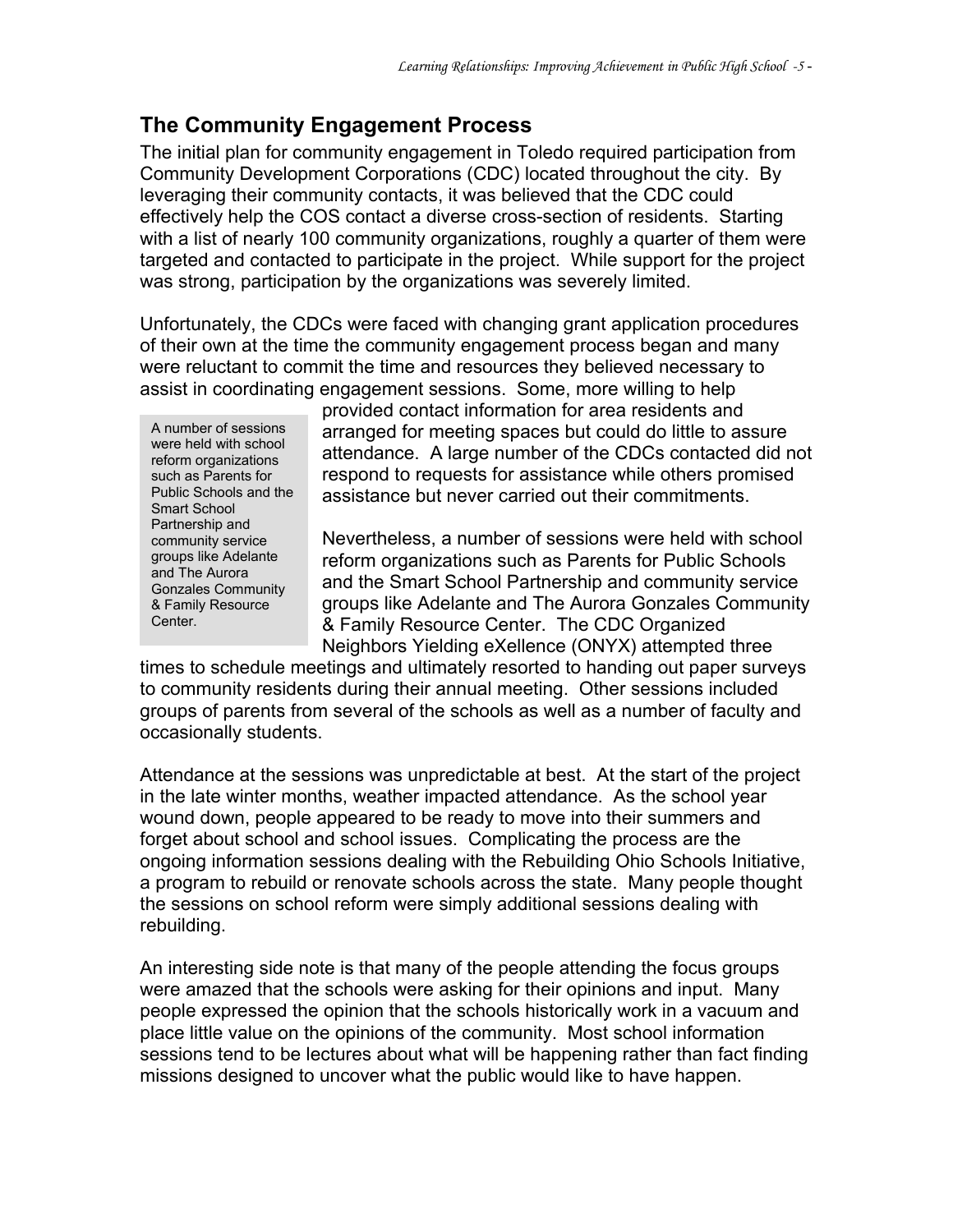#### **The Community Engagement Process**

The initial plan for community engagement in Toledo required participation from Community Development Corporations (CDC) located throughout the city. By leveraging their community contacts, it was believed that the CDC could effectively help the COS contact a diverse cross-section of residents. Starting with a list of nearly 100 community organizations, roughly a quarter of them were targeted and contacted to participate in the project. While support for the project was strong, participation by the organizations was severely limited.

Unfortunately, the CDCs were faced with changing grant application procedures of their own at the time the community engagement process began and many were reluctant to commit the time and resources they believed necessary to assist in coordinating engagement sessions. Some, more willing to help

A number of sessions were held with school reform organizations such as Parents for Public Schools and the Smart School Partnership and community service groups like Adelante and The Aurora Gonzales Community & Family Resource Center.

provided contact information for area residents and arranged for meeting spaces but could do little to assure attendance. A large number of the CDCs contacted did not respond to requests for assistance while others promised assistance but never carried out their commitments.

Nevertheless, a number of sessions were held with school reform organizations such as Parents for Public Schools and the Smart School Partnership and community service groups like Adelante and The Aurora Gonzales Community & Family Resource Center. The CDC Organized Neighbors Yielding eXellence (ONYX) attempted three

times to schedule meetings and ultimately resorted to handing out paper surveys to community residents during their annual meeting. Other sessions included groups of parents from several of the schools as well as a number of faculty and occasionally students.

Attendance at the sessions was unpredictable at best. At the start of the project in the late winter months, weather impacted attendance. As the school year wound down, people appeared to be ready to move into their summers and forget about school and school issues. Complicating the process are the ongoing information sessions dealing with the Rebuilding Ohio Schools Initiative, a program to rebuild or renovate schools across the state. Many people thought the sessions on school reform were simply additional sessions dealing with rebuilding.

An interesting side note is that many of the people attending the focus groups were amazed that the schools were asking for their opinions and input. Many people expressed the opinion that the schools historically work in a vacuum and place little value on the opinions of the community. Most school information sessions tend to be lectures about what will be happening rather than fact finding missions designed to uncover what the public would like to have happen.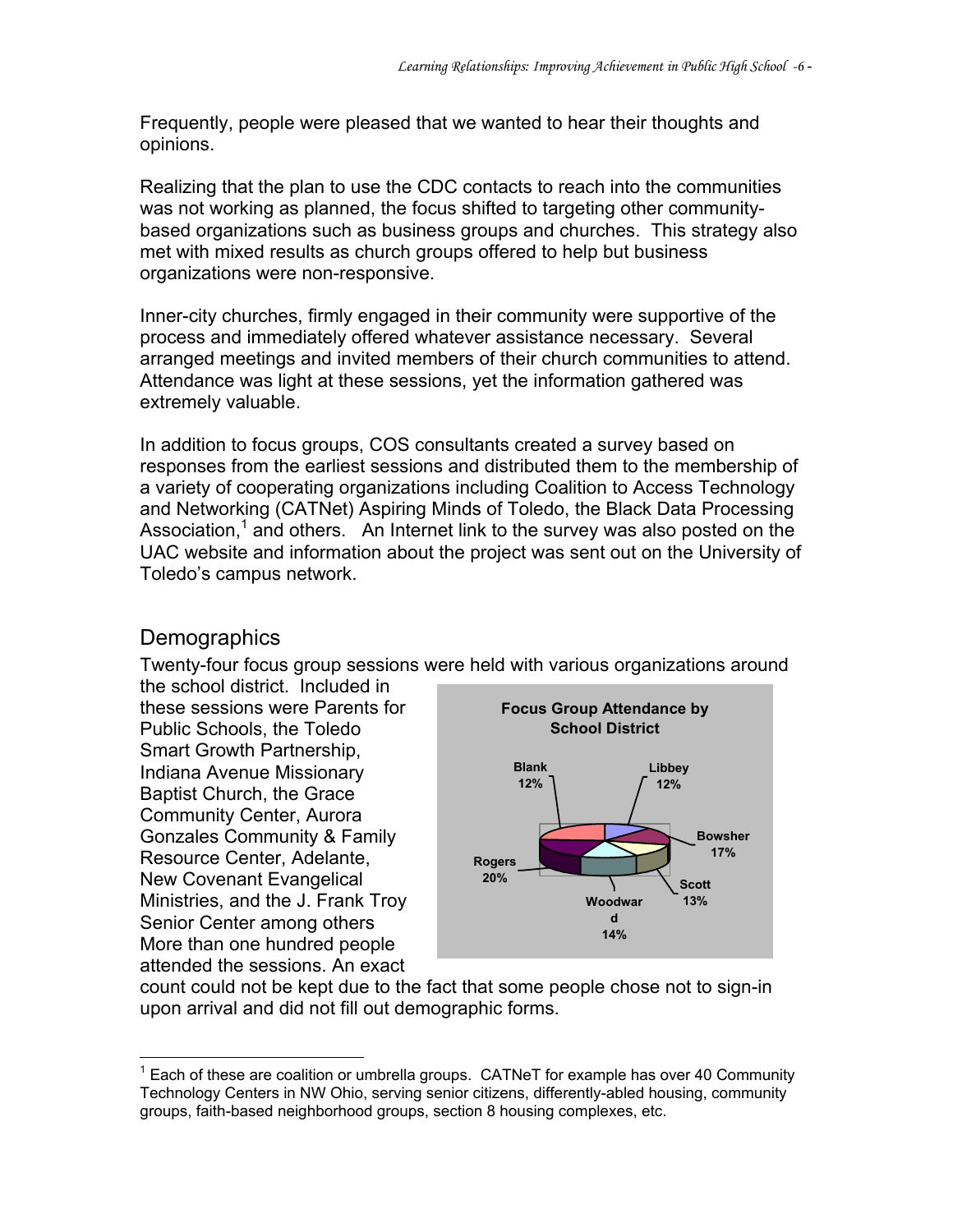Frequently, people were pleased that we wanted to hear their thoughts and opinions.

Realizing that the plan to use the CDC contacts to reach into the communities was not working as planned, the focus shifted to targeting other communitybased organizations such as business groups and churches. This strategy also met with mixed results as church groups offered to help but business organizations were non-responsive.

Inner-city churches, firmly engaged in their community were supportive of the process and immediately offered whatever assistance necessary. Several arranged meetings and invited members of their church communities to attend. Attendance was light at these sessions, yet the information gathered was extremely valuable.

In addition to focus groups, COS consultants created a survey based on responses from the earliest sessions and distributed them to the membership of a variety of cooperating organizations including Coalition to Access Technology and Networking (CATNet) Aspiring Minds of Toledo, the Black Data Processing Association,<sup>1</sup> and others. An Internet link to the survey was also posted on the UAC website and information about the project was sent out on the University of Toledo's campus network.

#### **Demographics**

 $\overline{a}$ 

Twenty-four focus group sessions were held with various organizations around the school district. Included in

these sessions were Parents for Public Schools, the Toledo Smart Growth Partnership, Indiana Avenue Missionary Baptist Church, the Grace Community Center, Aurora Gonzales Community & Family Resource Center, Adelante, New Covenant Evangelical Ministries, and the J. Frank Troy Senior Center among others More than one hundred people attended the sessions. An exact



count could not be kept due to the fact that some people chose not to sign-in upon arrival and did not fill out demographic forms.

 $1$  Each of these are coalition or umbrella groups. CATNeT for example has over 40 Community Technology Centers in NW Ohio, serving senior citizens, differently-abled housing, community groups, faith-based neighborhood groups, section 8 housing complexes, etc.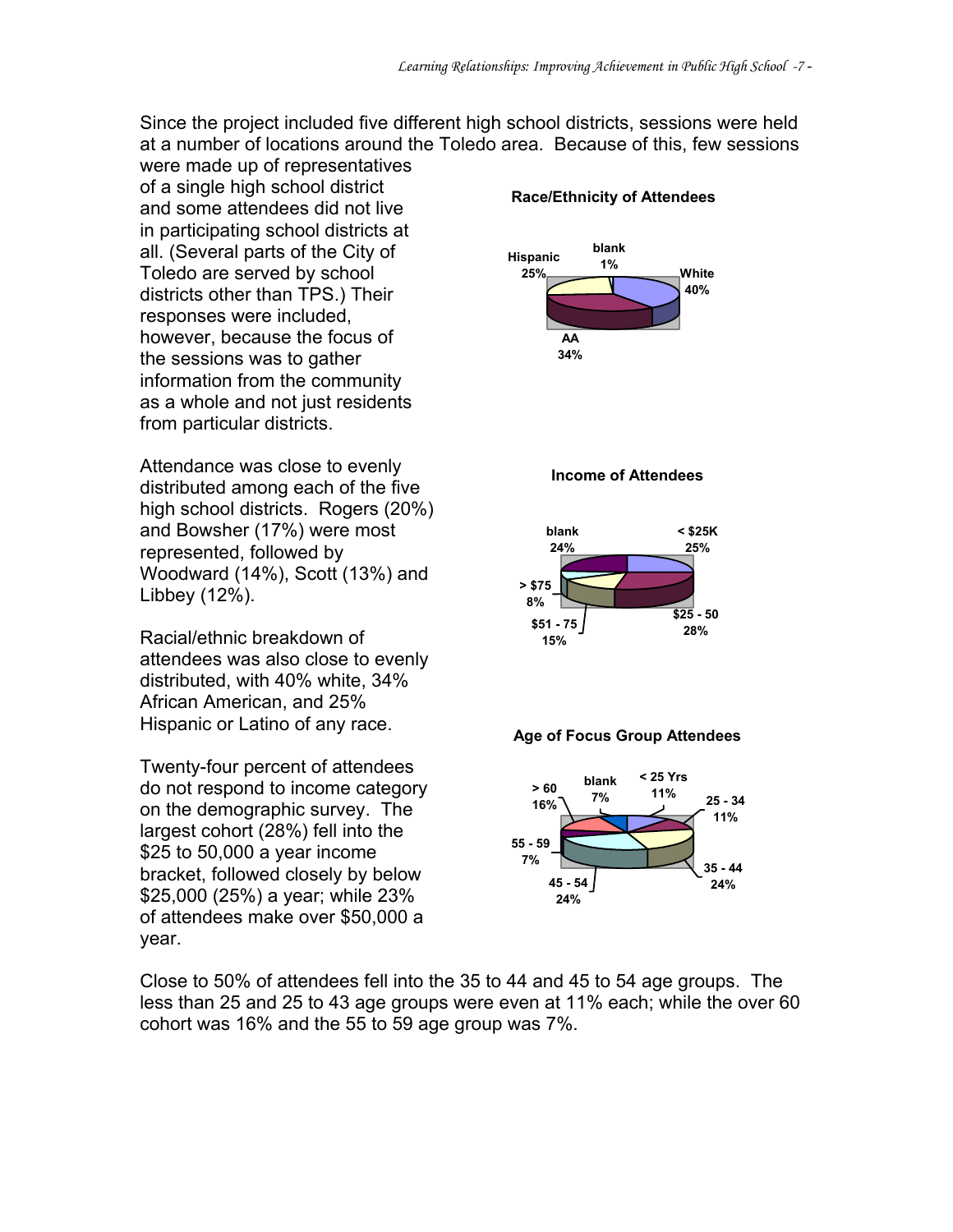Since the project included five different high school districts, sessions were held at a number of locations around the Toledo area. Because of this, few sessions

were made up of representatives of a single high school district and some attendees did not live in participating school districts at all. (Several parts of the City of Toledo are served by school districts other than TPS.) Their responses were included, however, because the focus of the sessions was to gather information from the community as a whole and not just residents from particular districts.

Attendance was close to evenly distributed among each of the five high school districts. Rogers (20%) and Bowsher (17%) were most represented, followed by Woodward (14%), Scott (13%) and Libbey (12%).

Racial/ethnic breakdown of attendees was also close to evenly distributed, with 40% white, 34% African American, and 25% Hispanic or Latino of any race.

Twenty-four percent of attendees do not respond to income category on the demographic survey. The largest cohort (28%) fell into the \$25 to 50,000 a year income bracket, followed closely by below \$25,000 (25%) a year; while 23% of attendees make over \$50,000 a year.

#### **Race/Ethnicity of Attendees**



#### **Income of Attendees**







Close to 50% of attendees fell into the 35 to 44 and 45 to 54 age groups. The less than 25 and 25 to 43 age groups were even at 11% each; while the over 60 cohort was 16% and the 55 to 59 age group was 7%.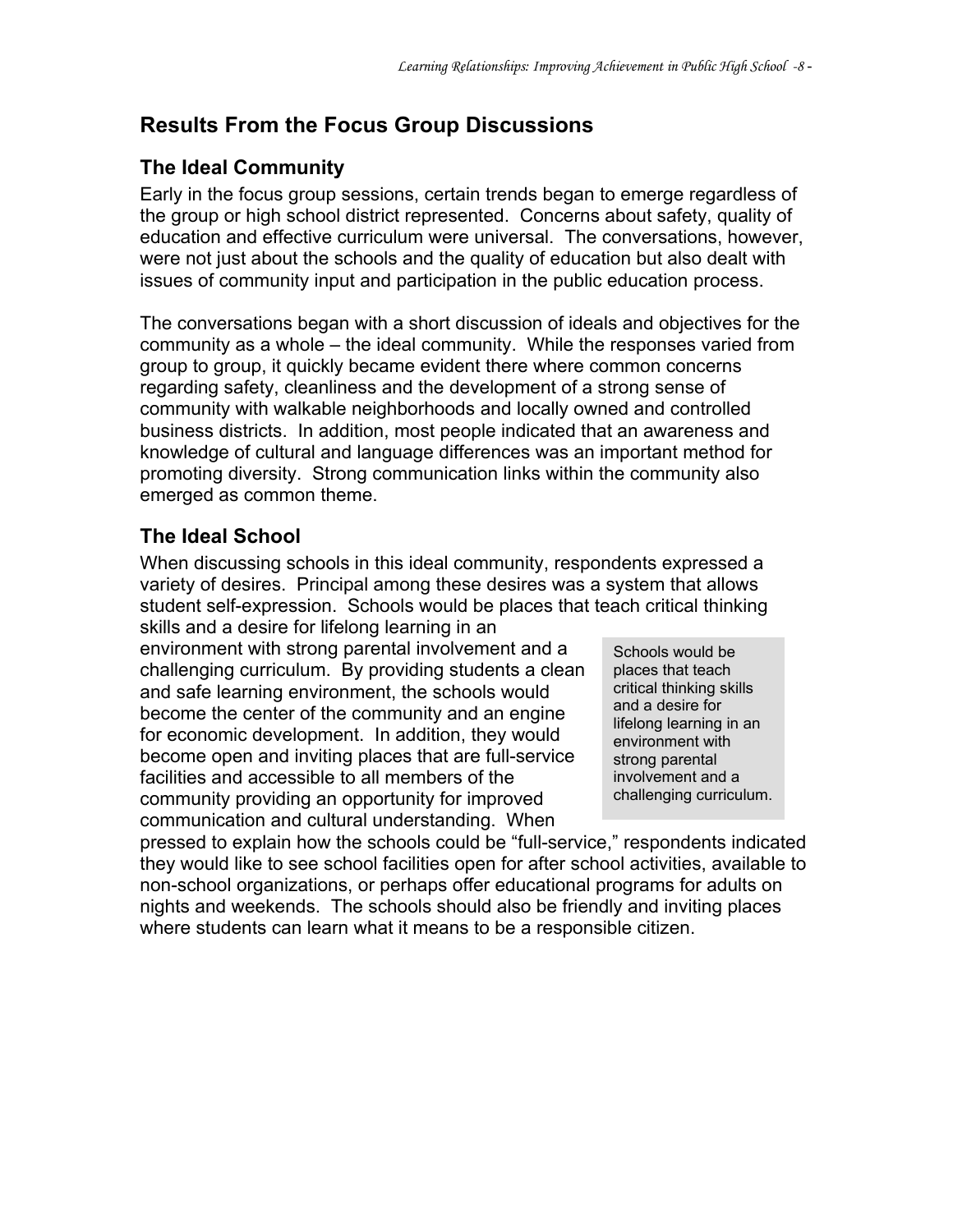### **Results From the Focus Group Discussions**

#### **The Ideal Community**

Early in the focus group sessions, certain trends began to emerge regardless of the group or high school district represented. Concerns about safety, quality of education and effective curriculum were universal. The conversations, however, were not just about the schools and the quality of education but also dealt with issues of community input and participation in the public education process.

The conversations began with a short discussion of ideals and objectives for the community as a whole – the ideal community. While the responses varied from group to group, it quickly became evident there where common concerns regarding safety, cleanliness and the development of a strong sense of community with walkable neighborhoods and locally owned and controlled business districts. In addition, most people indicated that an awareness and knowledge of cultural and language differences was an important method for promoting diversity. Strong communication links within the community also emerged as common theme.

#### **The Ideal School**

When discussing schools in this ideal community, respondents expressed a variety of desires. Principal among these desires was a system that allows student self-expression. Schools would be places that teach critical thinking skills and a desire for lifelong learning in an

environment with strong parental involvement and a challenging curriculum. By providing students a clean and safe learning environment, the schools would become the center of the community and an engine for economic development. In addition, they would become open and inviting places that are full-service facilities and accessible to all members of the community providing an opportunity for improved communication and cultural understanding. When

Schools would be places that teach critical thinking skills and a desire for lifelong learning in an environment with strong parental involvement and a challenging curriculum.

pressed to explain how the schools could be "full-service," respondents indicated they would like to see school facilities open for after school activities, available to non-school organizations, or perhaps offer educational programs for adults on nights and weekends. The schools should also be friendly and inviting places where students can learn what it means to be a responsible citizen.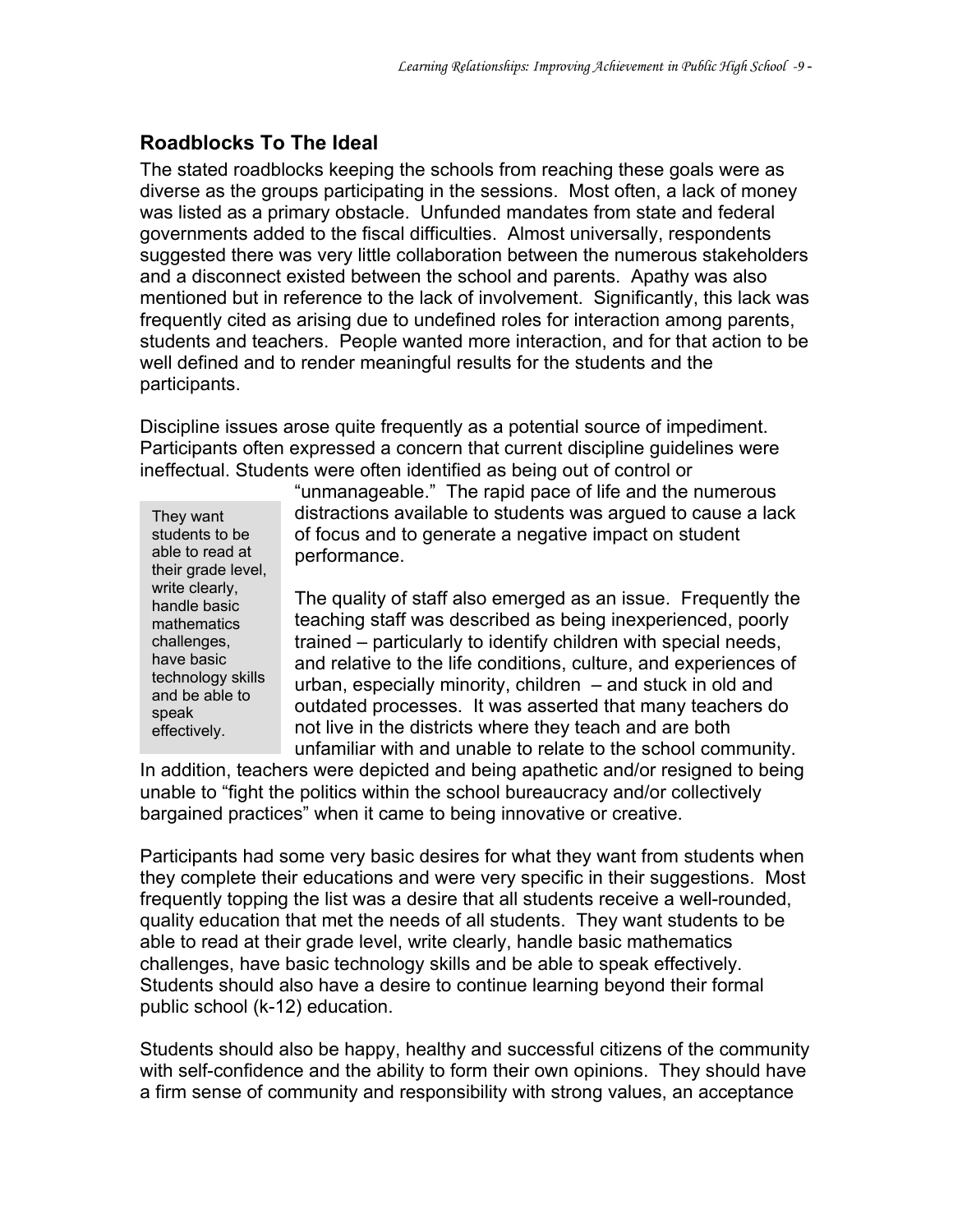#### **Roadblocks To The Ideal**

The stated roadblocks keeping the schools from reaching these goals were as diverse as the groups participating in the sessions. Most often, a lack of money was listed as a primary obstacle. Unfunded mandates from state and federal governments added to the fiscal difficulties. Almost universally, respondents suggested there was very little collaboration between the numerous stakeholders and a disconnect existed between the school and parents. Apathy was also mentioned but in reference to the lack of involvement. Significantly, this lack was frequently cited as arising due to undefined roles for interaction among parents, students and teachers. People wanted more interaction, and for that action to be well defined and to render meaningful results for the students and the participants.

Discipline issues arose quite frequently as a potential source of impediment. Participants often expressed a concern that current discipline guidelines were ineffectual. Students were often identified as being out of control or

They want students to be able to read at their grade level, write clearly, handle basic mathematics challenges, have basic technology skills and be able to speak effectively.

"unmanageable." The rapid pace of life and the numerous distractions available to students was argued to cause a lack of focus and to generate a negative impact on student performance.

The quality of staff also emerged as an issue. Frequently the teaching staff was described as being inexperienced, poorly trained – particularly to identify children with special needs, and relative to the life conditions, culture, and experiences of urban, especially minority, children – and stuck in old and outdated processes. It was asserted that many teachers do not live in the districts where they teach and are both unfamiliar with and unable to relate to the school community.

In addition, teachers were depicted and being apathetic and/or resigned to being unable to "fight the politics within the school bureaucracy and/or collectively bargained practices" when it came to being innovative or creative.

Participants had some very basic desires for what they want from students when they complete their educations and were very specific in their suggestions. Most frequently topping the list was a desire that all students receive a well-rounded, quality education that met the needs of all students. They want students to be able to read at their grade level, write clearly, handle basic mathematics challenges, have basic technology skills and be able to speak effectively. Students should also have a desire to continue learning beyond their formal public school (k-12) education.

Students should also be happy, healthy and successful citizens of the community with self-confidence and the ability to form their own opinions. They should have a firm sense of community and responsibility with strong values, an acceptance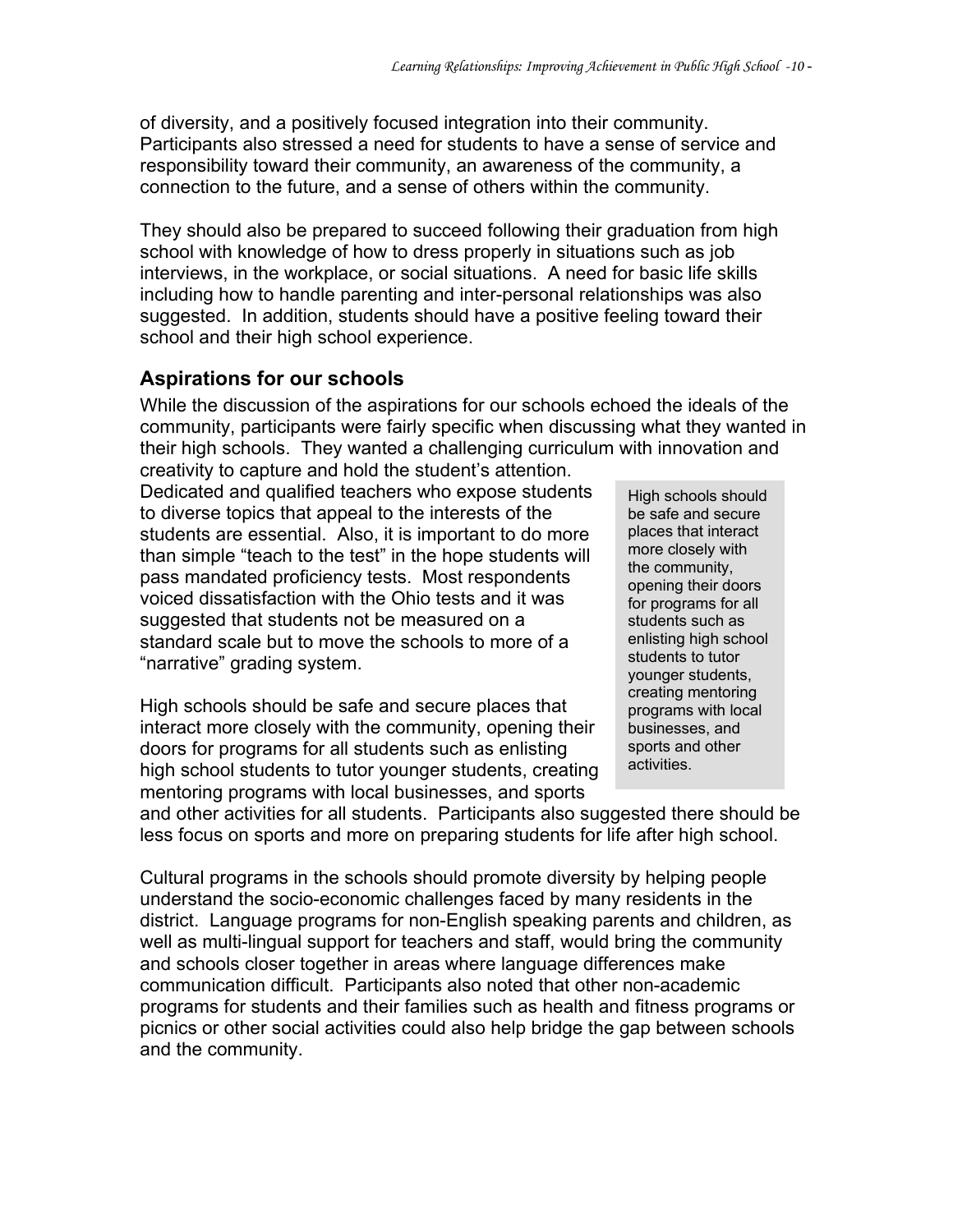of diversity, and a positively focused integration into their community. Participants also stressed a need for students to have a sense of service and responsibility toward their community, an awareness of the community, a connection to the future, and a sense of others within the community.

They should also be prepared to succeed following their graduation from high school with knowledge of how to dress properly in situations such as job interviews, in the workplace, or social situations. A need for basic life skills including how to handle parenting and inter-personal relationships was also suggested. In addition, students should have a positive feeling toward their school and their high school experience.

#### **Aspirations for our schools**

While the discussion of the aspirations for our schools echoed the ideals of the community, participants were fairly specific when discussing what they wanted in their high schools. They wanted a challenging curriculum with innovation and

creativity to capture and hold the student's attention. Dedicated and qualified teachers who expose students to diverse topics that appeal to the interests of the students are essential. Also, it is important to do more than simple "teach to the test" in the hope students will pass mandated proficiency tests. Most respondents voiced dissatisfaction with the Ohio tests and it was suggested that students not be measured on a standard scale but to move the schools to more of a "narrative" grading system.

High schools should be safe and secure places that interact more closely with the community, opening their doors for programs for all students such as enlisting high school students to tutor younger students, creating mentoring programs with local businesses, and sports

High schools should be safe and secure places that interact more closely with the community, opening their doors for programs for all students such as enlisting high school students to tutor younger students, creating mentoring programs with local businesses, and sports and other activities.

and other activities for all students. Participants also suggested there should be less focus on sports and more on preparing students for life after high school.

Cultural programs in the schools should promote diversity by helping people understand the socio-economic challenges faced by many residents in the district. Language programs for non-English speaking parents and children, as well as multi-lingual support for teachers and staff, would bring the community and schools closer together in areas where language differences make communication difficult. Participants also noted that other non-academic programs for students and their families such as health and fitness programs or picnics or other social activities could also help bridge the gap between schools and the community.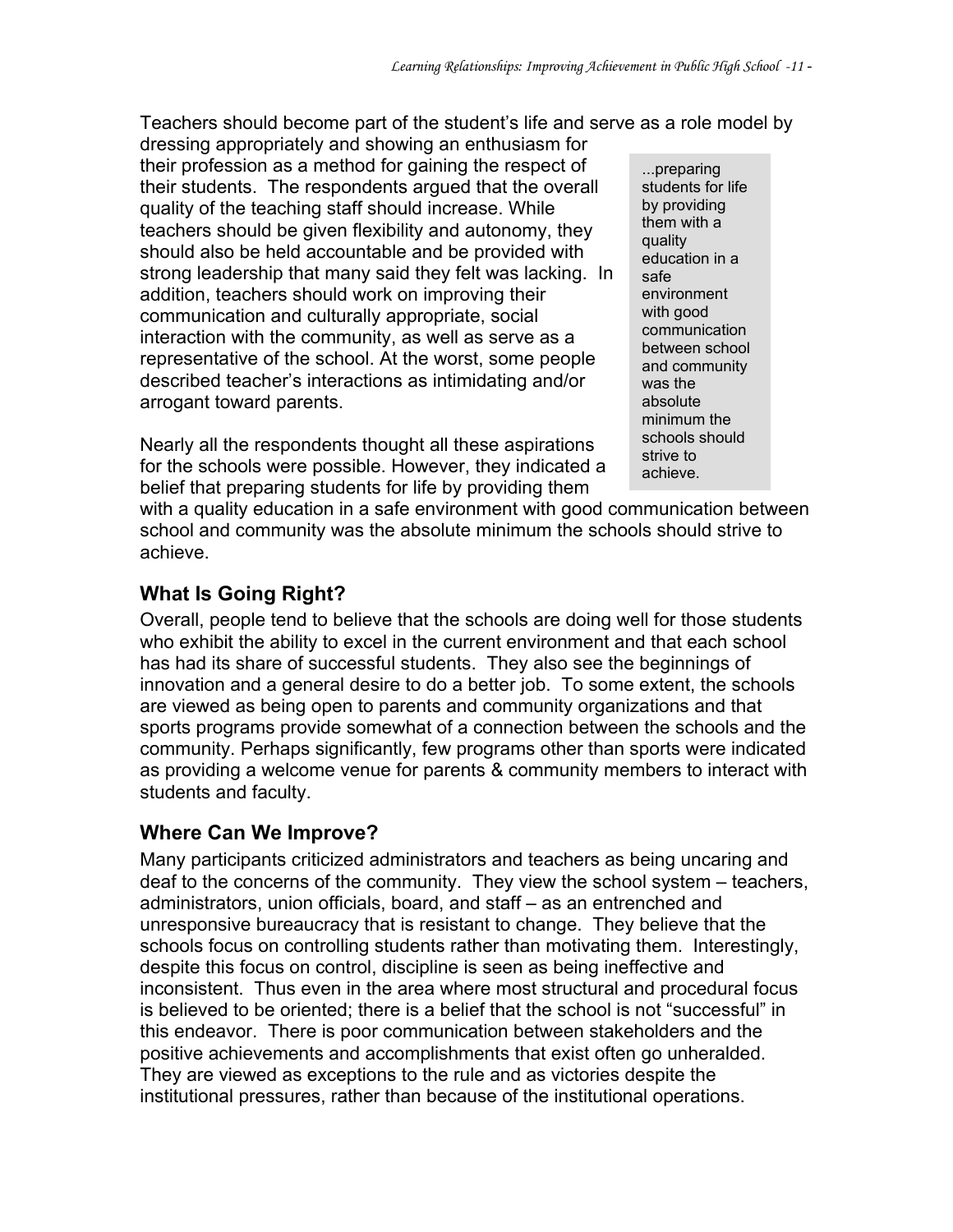Teachers should become part of the student's life and serve as a role model by

dressing appropriately and showing an enthusiasm for their profession as a method for gaining the respect of their students. The respondents argued that the overall quality of the teaching staff should increase. While teachers should be given flexibility and autonomy, they should also be held accountable and be provided with strong leadership that many said they felt was lacking. In addition, teachers should work on improving their communication and culturally appropriate, social interaction with the community, as well as serve as a representative of the school. At the worst, some people described teacher's interactions as intimidating and/or arrogant toward parents.

Nearly all the respondents thought all these aspirations for the schools were possible. However, they indicated a belief that preparing students for life by providing them

...preparing students for life by providing them with a quality education in a safe environment with good communication between school and community was the absolute minimum the schools should strive to achieve.

with a quality education in a safe environment with good communication between school and community was the absolute minimum the schools should strive to achieve.

#### **What Is Going Right?**

Overall, people tend to believe that the schools are doing well for those students who exhibit the ability to excel in the current environment and that each school has had its share of successful students. They also see the beginnings of innovation and a general desire to do a better job. To some extent, the schools are viewed as being open to parents and community organizations and that sports programs provide somewhat of a connection between the schools and the community. Perhaps significantly, few programs other than sports were indicated as providing a welcome venue for parents & community members to interact with students and faculty.

#### **Where Can We Improve?**

Many participants criticized administrators and teachers as being uncaring and deaf to the concerns of the community. They view the school system – teachers, administrators, union officials, board, and staff – as an entrenched and unresponsive bureaucracy that is resistant to change. They believe that the schools focus on controlling students rather than motivating them. Interestingly, despite this focus on control, discipline is seen as being ineffective and inconsistent. Thus even in the area where most structural and procedural focus is believed to be oriented; there is a belief that the school is not "successful" in this endeavor. There is poor communication between stakeholders and the positive achievements and accomplishments that exist often go unheralded. They are viewed as exceptions to the rule and as victories despite the institutional pressures, rather than because of the institutional operations.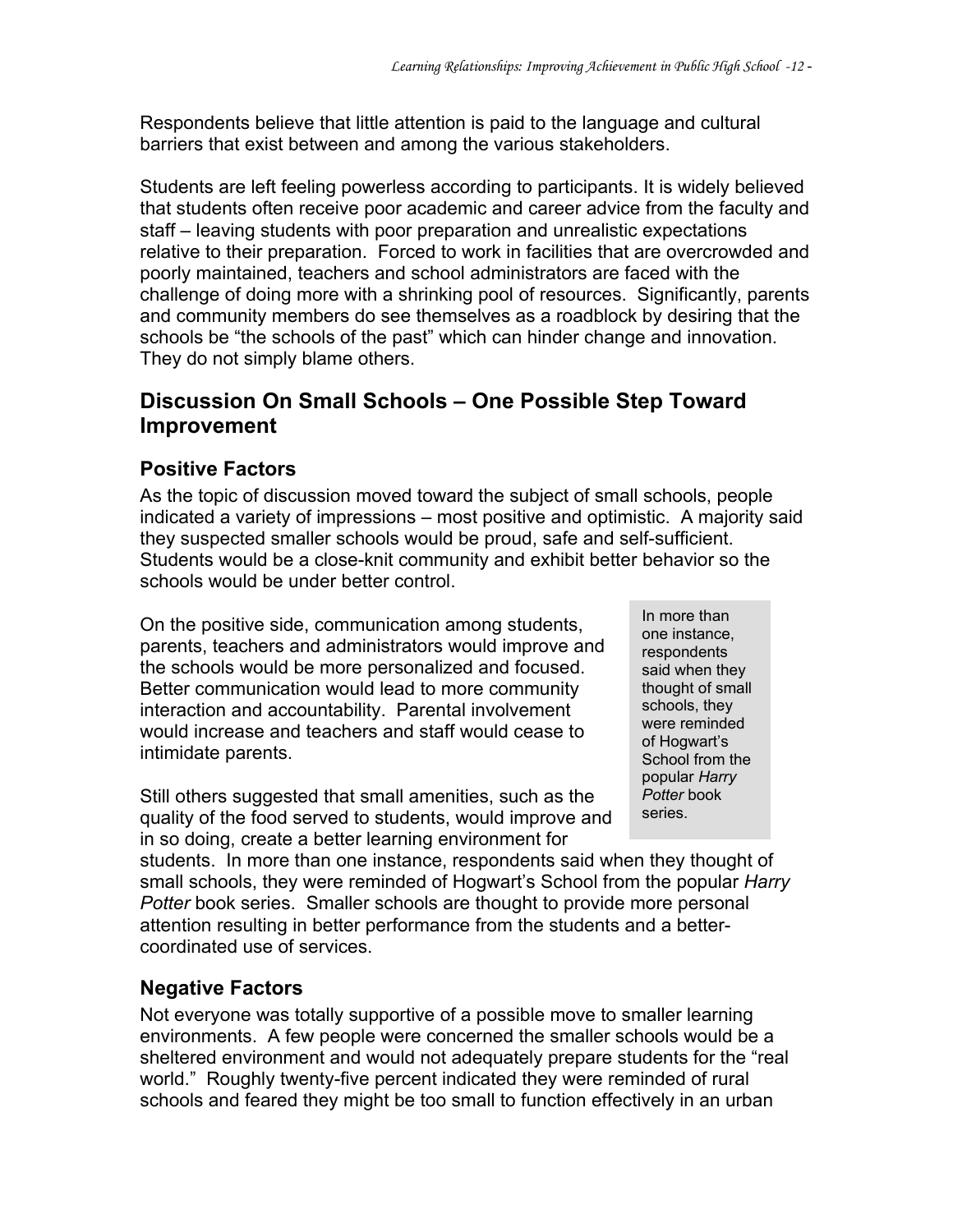Respondents believe that little attention is paid to the language and cultural barriers that exist between and among the various stakeholders.

Students are left feeling powerless according to participants. It is widely believed that students often receive poor academic and career advice from the faculty and staff – leaving students with poor preparation and unrealistic expectations relative to their preparation. Forced to work in facilities that are overcrowded and poorly maintained, teachers and school administrators are faced with the challenge of doing more with a shrinking pool of resources. Significantly, parents and community members do see themselves as a roadblock by desiring that the schools be "the schools of the past" which can hinder change and innovation. They do not simply blame others.

#### **Discussion On Small Schools – One Possible Step Toward Improvement**

#### **Positive Factors**

As the topic of discussion moved toward the subject of small schools, people indicated a variety of impressions – most positive and optimistic. A majority said they suspected smaller schools would be proud, safe and self-sufficient. Students would be a close-knit community and exhibit better behavior so the schools would be under better control.

On the positive side, communication among students, parents, teachers and administrators would improve and the schools would be more personalized and focused. Better communication would lead to more community interaction and accountability. Parental involvement would increase and teachers and staff would cease to intimidate parents.

Still others suggested that small amenities, such as the quality of the food served to students, would improve and in so doing, create a better learning environment for

In more than one instance, respondents said when they thought of small schools, they were reminded of Hogwart's School from the popular *Harry Potter* book series.

students. In more than one instance, respondents said when they thought of small schools, they were reminded of Hogwart's School from the popular *Harry Potter* book series. Smaller schools are thought to provide more personal attention resulting in better performance from the students and a bettercoordinated use of services.

#### **Negative Factors**

Not everyone was totally supportive of a possible move to smaller learning environments. A few people were concerned the smaller schools would be a sheltered environment and would not adequately prepare students for the "real world." Roughly twenty-five percent indicated they were reminded of rural schools and feared they might be too small to function effectively in an urban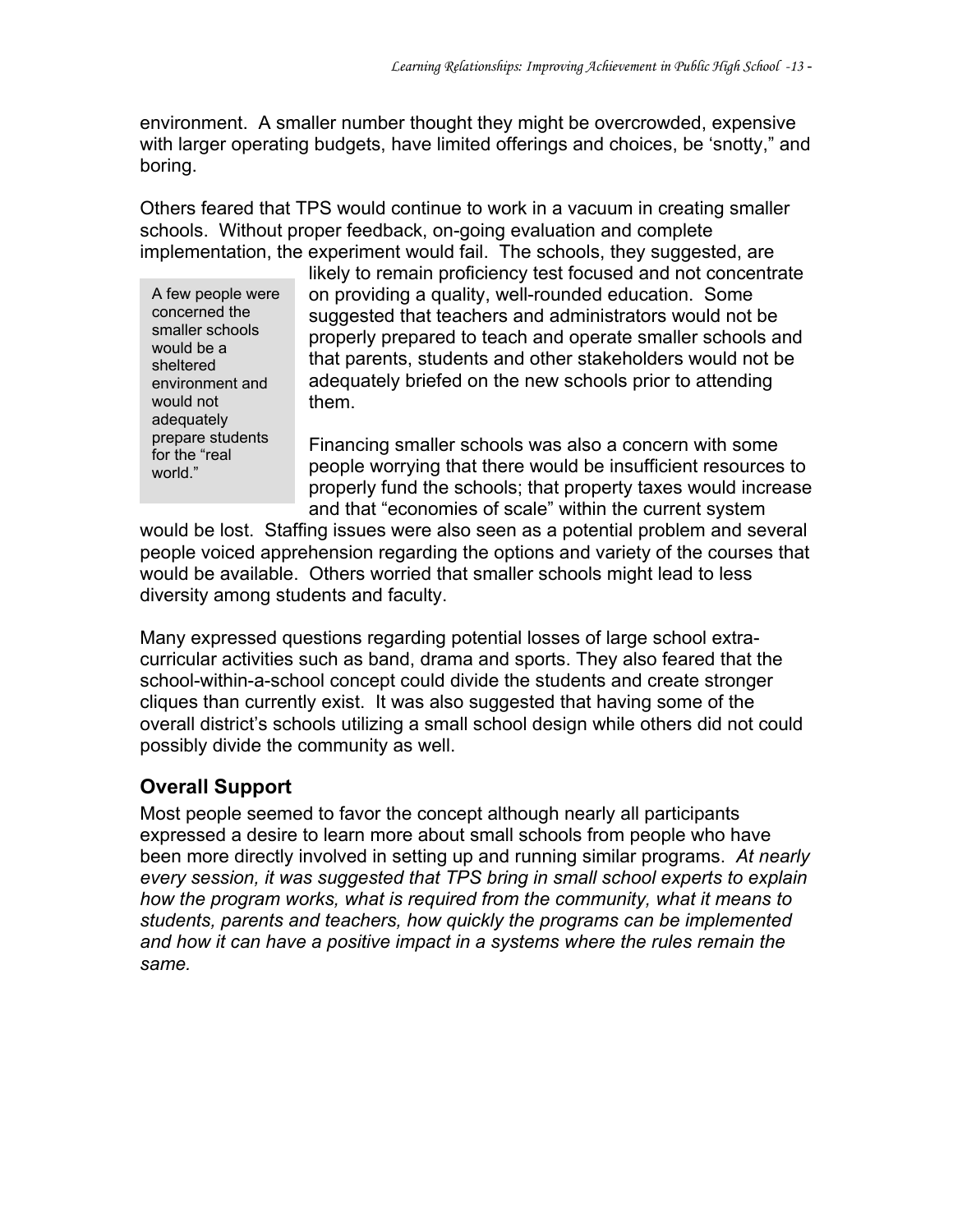environment. A smaller number thought they might be overcrowded, expensive with larger operating budgets, have limited offerings and choices, be 'snotty," and boring.

Others feared that TPS would continue to work in a vacuum in creating smaller schools. Without proper feedback, on-going evaluation and complete implementation, the experiment would fail. The schools, they suggested, are

A few people were concerned the smaller schools would be a sheltered environment and would not adequately prepare students for the "real world."

likely to remain proficiency test focused and not concentrate on providing a quality, well-rounded education. Some suggested that teachers and administrators would not be properly prepared to teach and operate smaller schools and that parents, students and other stakeholders would not be adequately briefed on the new schools prior to attending them.

Financing smaller schools was also a concern with some people worrying that there would be insufficient resources to properly fund the schools; that property taxes would increase and that "economies of scale" within the current system

would be lost. Staffing issues were also seen as a potential problem and several people voiced apprehension regarding the options and variety of the courses that would be available. Others worried that smaller schools might lead to less diversity among students and faculty.

Many expressed questions regarding potential losses of large school extracurricular activities such as band, drama and sports. They also feared that the school-within-a-school concept could divide the students and create stronger cliques than currently exist. It was also suggested that having some of the overall district's schools utilizing a small school design while others did not could possibly divide the community as well.

#### **Overall Support**

Most people seemed to favor the concept although nearly all participants expressed a desire to learn more about small schools from people who have been more directly involved in setting up and running similar programs. *At nearly every session, it was suggested that TPS bring in small school experts to explain how the program works, what is required from the community, what it means to students, parents and teachers, how quickly the programs can be implemented and how it can have a positive impact in a systems where the rules remain the same.*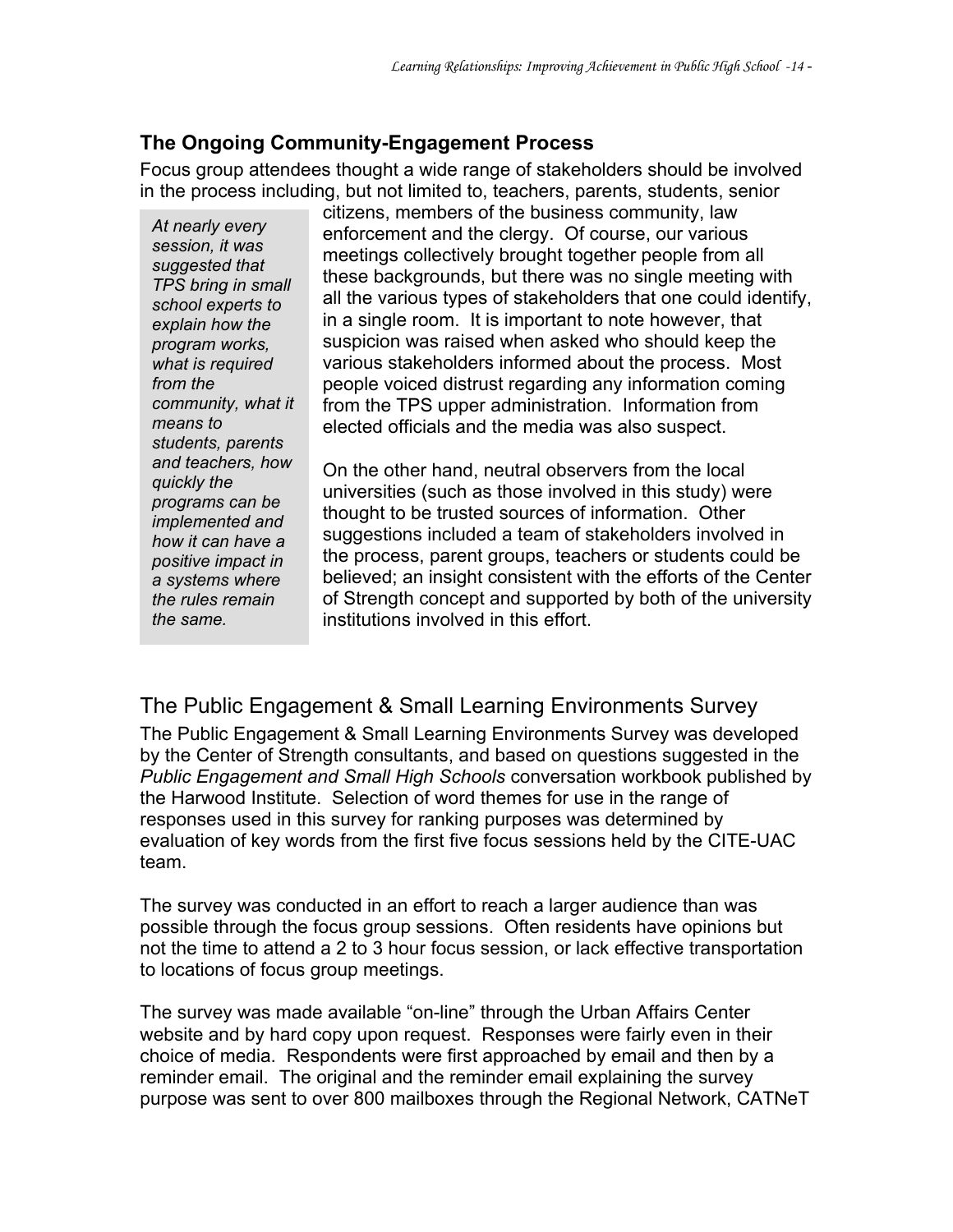#### **The Ongoing Community-Engagement Process**

Focus group attendees thought a wide range of stakeholders should be involved in the process including, but not limited to, teachers, parents, students, senior

*At nearly every session, it was suggested that TPS bring in small school experts to explain how the program works, what is required from the community, what it means to students, parents and teachers, how quickly the programs can be implemented and how it can have a positive impact in a systems where the rules remain the same.* 

citizens, members of the business community, law enforcement and the clergy. Of course, our various meetings collectively brought together people from all these backgrounds, but there was no single meeting with all the various types of stakeholders that one could identify, in a single room. It is important to note however, that suspicion was raised when asked who should keep the various stakeholders informed about the process. Most people voiced distrust regarding any information coming from the TPS upper administration. Information from elected officials and the media was also suspect.

On the other hand, neutral observers from the local universities (such as those involved in this study) were thought to be trusted sources of information. Other suggestions included a team of stakeholders involved in the process, parent groups, teachers or students could be believed; an insight consistent with the efforts of the Center of Strength concept and supported by both of the university institutions involved in this effort.

The Public Engagement & Small Learning Environments Survey The Public Engagement & Small Learning Environments Survey was developed by the Center of Strength consultants, and based on questions suggested in the *Public Engagement and Small High Schools* conversation workbook published by the Harwood Institute. Selection of word themes for use in the range of responses used in this survey for ranking purposes was determined by evaluation of key words from the first five focus sessions held by the CITE-UAC team.

The survey was conducted in an effort to reach a larger audience than was possible through the focus group sessions. Often residents have opinions but not the time to attend a 2 to 3 hour focus session, or lack effective transportation to locations of focus group meetings.

The survey was made available "on-line" through the Urban Affairs Center website and by hard copy upon request. Responses were fairly even in their choice of media. Respondents were first approached by email and then by a reminder email. The original and the reminder email explaining the survey purpose was sent to over 800 mailboxes through the Regional Network, CATNeT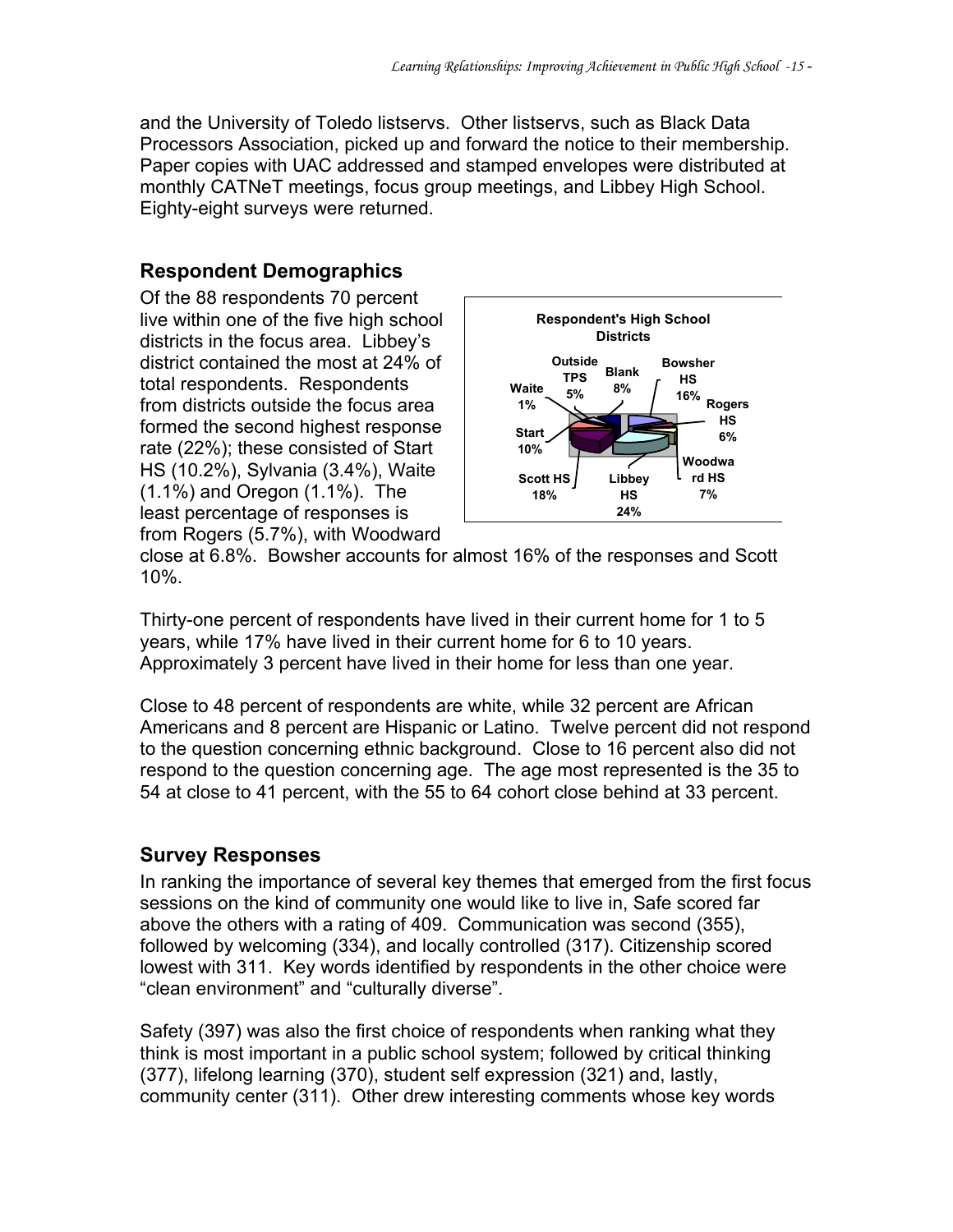and the University of Toledo listservs. Other listservs, such as Black Data Processors Association, picked up and forward the notice to their membership. Paper copies with UAC addressed and stamped envelopes were distributed at monthly CATNeT meetings, focus group meetings, and Libbey High School. Eighty-eight surveys were returned.

#### **Respondent Demographics**

Of the 88 respondents 70 percent live within one of the five high school districts in the focus area. Libbey's district contained the most at 24% of total respondents. Respondents from districts outside the focus area formed the second highest response rate (22%); these consisted of Start HS (10.2%), Sylvania (3.4%), Waite (1.1%) and Oregon (1.1%). The least percentage of responses is from Rogers (5.7%), with Woodward



close at 6.8%. Bowsher accounts for almost 16% of the responses and Scott 10%.

Thirty-one percent of respondents have lived in their current home for 1 to 5 years, while 17% have lived in their current home for 6 to 10 years. Approximately 3 percent have lived in their home for less than one year.

Close to 48 percent of respondents are white, while 32 percent are African Americans and 8 percent are Hispanic or Latino. Twelve percent did not respond to the question concerning ethnic background. Close to 16 percent also did not respond to the question concerning age. The age most represented is the 35 to 54 at close to 41 percent, with the 55 to 64 cohort close behind at 33 percent.

#### **Survey Responses**

In ranking the importance of several key themes that emerged from the first focus sessions on the kind of community one would like to live in, Safe scored far above the others with a rating of 409. Communication was second (355), followed by welcoming (334), and locally controlled (317). Citizenship scored lowest with 311. Key words identified by respondents in the other choice were "clean environment" and "culturally diverse".

Safety (397) was also the first choice of respondents when ranking what they think is most important in a public school system; followed by critical thinking (377), lifelong learning (370), student self expression (321) and, lastly, community center (311). Other drew interesting comments whose key words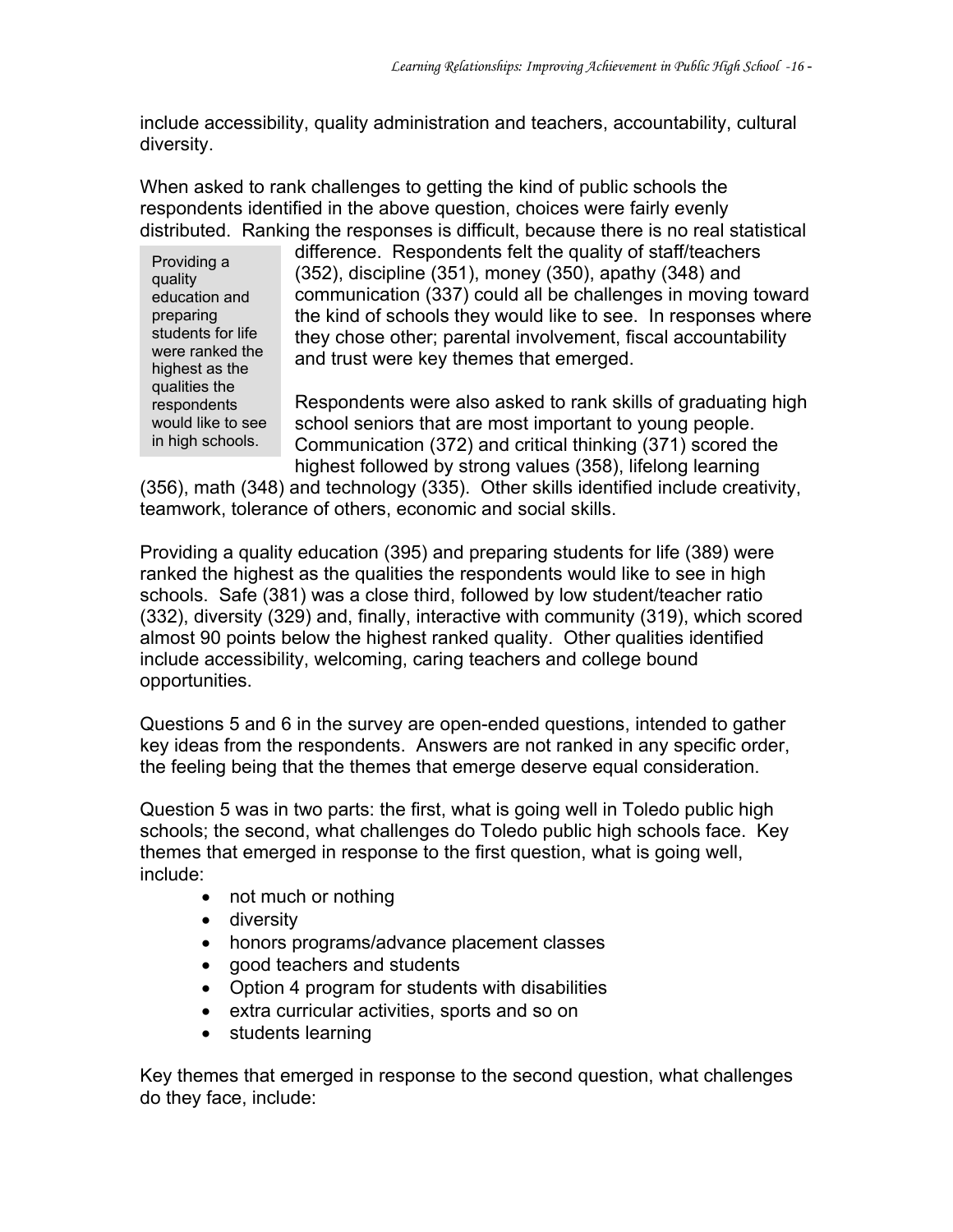include accessibility, quality administration and teachers, accountability, cultural diversity.

When asked to rank challenges to getting the kind of public schools the respondents identified in the above question, choices were fairly evenly distributed. Ranking the responses is difficult, because there is no real statistical

Providing a quality education and preparing students for life were ranked the highest as the qualities the respondents would like to see in high schools.

difference. Respondents felt the quality of staff/teachers (352), discipline (351), money (350), apathy (348) and communication (337) could all be challenges in moving toward the kind of schools they would like to see. In responses where they chose other; parental involvement, fiscal accountability and trust were key themes that emerged.

Respondents were also asked to rank skills of graduating high school seniors that are most important to young people. Communication (372) and critical thinking (371) scored the highest followed by strong values (358), lifelong learning

(356), math (348) and technology (335). Other skills identified include creativity, teamwork, tolerance of others, economic and social skills.

Providing a quality education (395) and preparing students for life (389) were ranked the highest as the qualities the respondents would like to see in high schools. Safe (381) was a close third, followed by low student/teacher ratio (332), diversity (329) and, finally, interactive with community (319), which scored almost 90 points below the highest ranked quality. Other qualities identified include accessibility, welcoming, caring teachers and college bound opportunities.

Questions 5 and 6 in the survey are open-ended questions, intended to gather key ideas from the respondents. Answers are not ranked in any specific order, the feeling being that the themes that emerge deserve equal consideration.

Question 5 was in two parts: the first, what is going well in Toledo public high schools; the second, what challenges do Toledo public high schools face. Key themes that emerged in response to the first question, what is going well, include:

- not much or nothing
- diversity
- honors programs/advance placement classes
- good teachers and students
- Option 4 program for students with disabilities
- extra curricular activities, sports and so on
- students learning

Key themes that emerged in response to the second question, what challenges do they face, include: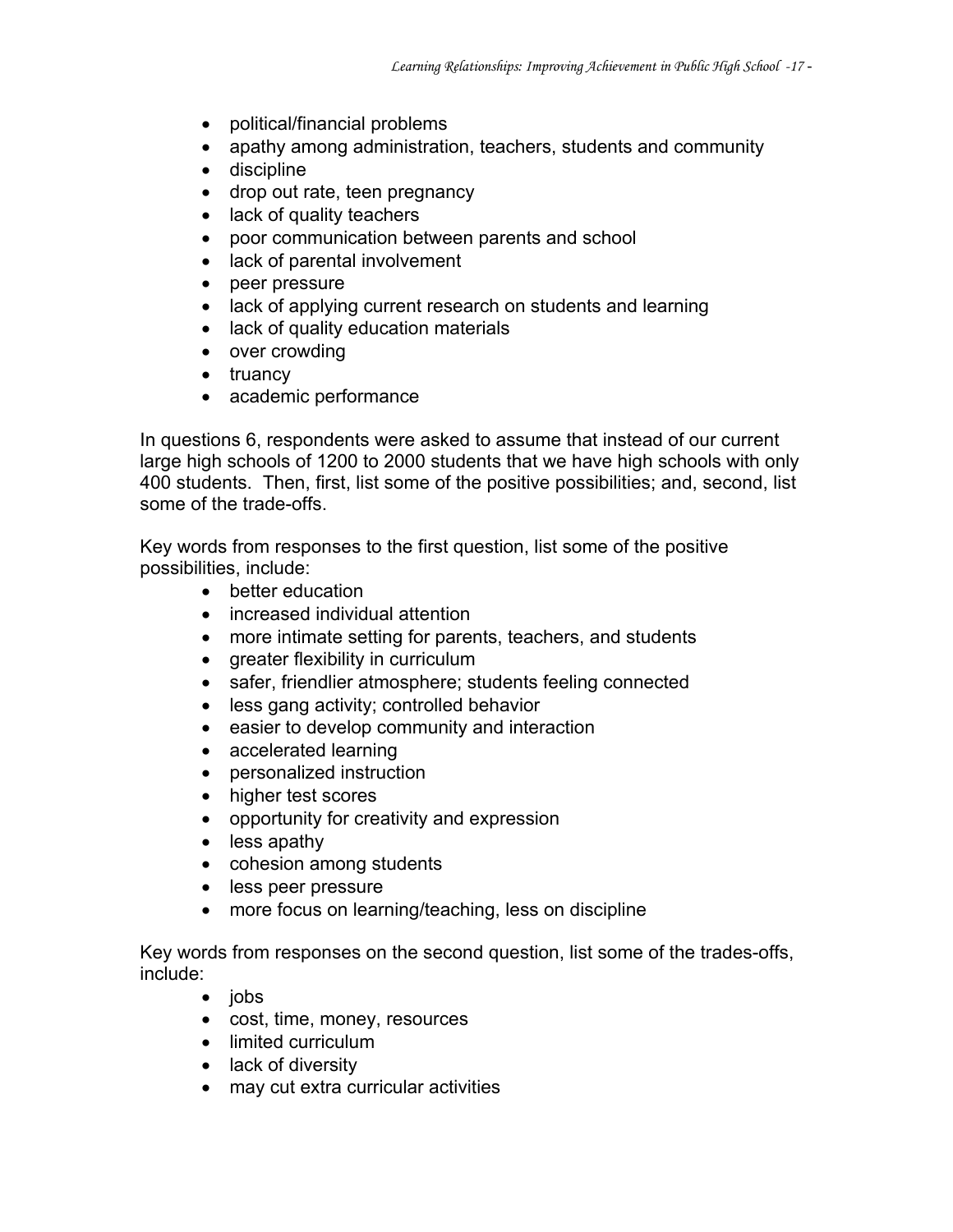- political/financial problems
- apathy among administration, teachers, students and community
- discipline
- drop out rate, teen pregnancy
- lack of quality teachers
- poor communication between parents and school
- lack of parental involvement
- peer pressure
- lack of applying current research on students and learning
- lack of quality education materials
- over crowding
- truancy
- academic performance

In questions 6, respondents were asked to assume that instead of our current large high schools of 1200 to 2000 students that we have high schools with only 400 students. Then, first, list some of the positive possibilities; and, second, list some of the trade-offs.

Key words from responses to the first question, list some of the positive possibilities, include:

- better education
- increased individual attention
- more intimate setting for parents, teachers, and students
- greater flexibility in curriculum
- safer, friendlier atmosphere; students feeling connected
- less gang activity; controlled behavior
- easier to develop community and interaction
- accelerated learning
- personalized instruction
- higher test scores
- opportunity for creativity and expression
- less apathy
- cohesion among students
- less peer pressure
- more focus on learning/teaching, less on discipline

Key words from responses on the second question, list some of the trades-offs, include:

- jobs
- cost, time, money, resources
- limited curriculum
- lack of diversity
- may cut extra curricular activities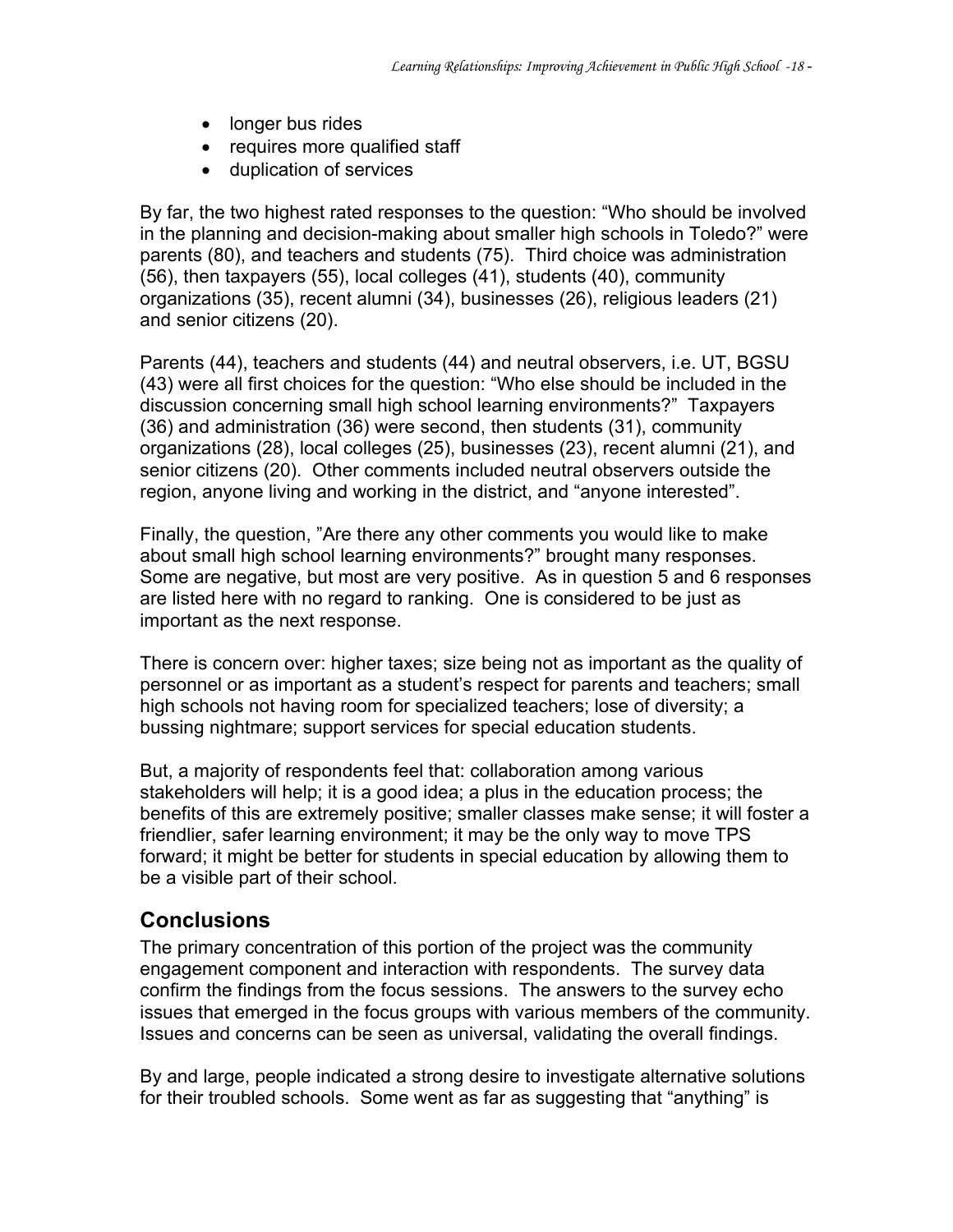- longer bus rides
- requires more qualified staff
- duplication of services

By far, the two highest rated responses to the question: "Who should be involved in the planning and decision-making about smaller high schools in Toledo?" were parents (80), and teachers and students (75). Third choice was administration (56), then taxpayers (55), local colleges (41), students (40), community organizations (35), recent alumni (34), businesses (26), religious leaders (21) and senior citizens (20).

Parents (44), teachers and students (44) and neutral observers, i.e. UT, BGSU (43) were all first choices for the question: "Who else should be included in the discussion concerning small high school learning environments?" Taxpayers (36) and administration (36) were second, then students (31), community organizations (28), local colleges (25), businesses (23), recent alumni (21), and senior citizens (20). Other comments included neutral observers outside the region, anyone living and working in the district, and "anyone interested".

Finally, the question, "Are there any other comments you would like to make about small high school learning environments?" brought many responses. Some are negative, but most are very positive. As in question 5 and 6 responses are listed here with no regard to ranking. One is considered to be just as important as the next response.

There is concern over: higher taxes; size being not as important as the quality of personnel or as important as a student's respect for parents and teachers; small high schools not having room for specialized teachers; lose of diversity; a bussing nightmare; support services for special education students.

But, a majority of respondents feel that: collaboration among various stakeholders will help; it is a good idea; a plus in the education process; the benefits of this are extremely positive; smaller classes make sense; it will foster a friendlier, safer learning environment; it may be the only way to move TPS forward; it might be better for students in special education by allowing them to be a visible part of their school.

#### **Conclusions**

The primary concentration of this portion of the project was the community engagement component and interaction with respondents. The survey data confirm the findings from the focus sessions. The answers to the survey echo issues that emerged in the focus groups with various members of the community. Issues and concerns can be seen as universal, validating the overall findings.

By and large, people indicated a strong desire to investigate alternative solutions for their troubled schools. Some went as far as suggesting that "anything" is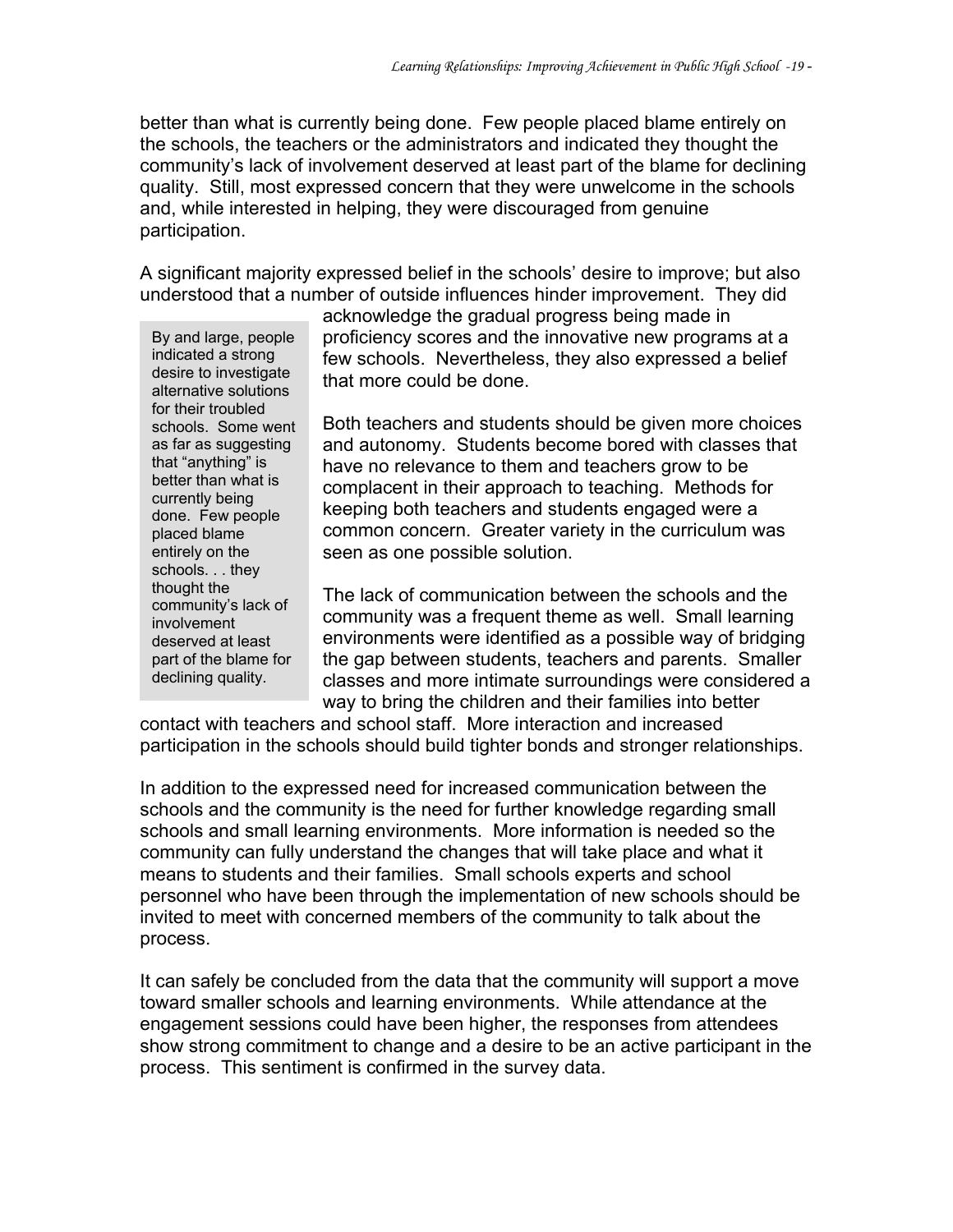better than what is currently being done. Few people placed blame entirely on the schools, the teachers or the administrators and indicated they thought the community's lack of involvement deserved at least part of the blame for declining quality. Still, most expressed concern that they were unwelcome in the schools and, while interested in helping, they were discouraged from genuine participation.

A significant majority expressed belief in the schools' desire to improve; but also understood that a number of outside influences hinder improvement. They did

By and large, people indicated a strong desire to investigate alternative solutions for their troubled schools. Some went as far as suggesting that "anything" is better than what is currently being done. Few people placed blame entirely on the schools. . . they thought the community's lack of involvement deserved at least part of the blame for declining quality.

acknowledge the gradual progress being made in proficiency scores and the innovative new programs at a few schools. Nevertheless, they also expressed a belief that more could be done.

Both teachers and students should be given more choices and autonomy. Students become bored with classes that have no relevance to them and teachers grow to be complacent in their approach to teaching. Methods for keeping both teachers and students engaged were a common concern. Greater variety in the curriculum was seen as one possible solution.

The lack of communication between the schools and the community was a frequent theme as well. Small learning environments were identified as a possible way of bridging the gap between students, teachers and parents. Smaller classes and more intimate surroundings were considered a way to bring the children and their families into better

contact with teachers and school staff. More interaction and increased participation in the schools should build tighter bonds and stronger relationships.

In addition to the expressed need for increased communication between the schools and the community is the need for further knowledge regarding small schools and small learning environments. More information is needed so the community can fully understand the changes that will take place and what it means to students and their families. Small schools experts and school personnel who have been through the implementation of new schools should be invited to meet with concerned members of the community to talk about the process.

It can safely be concluded from the data that the community will support a move toward smaller schools and learning environments. While attendance at the engagement sessions could have been higher, the responses from attendees show strong commitment to change and a desire to be an active participant in the process. This sentiment is confirmed in the survey data.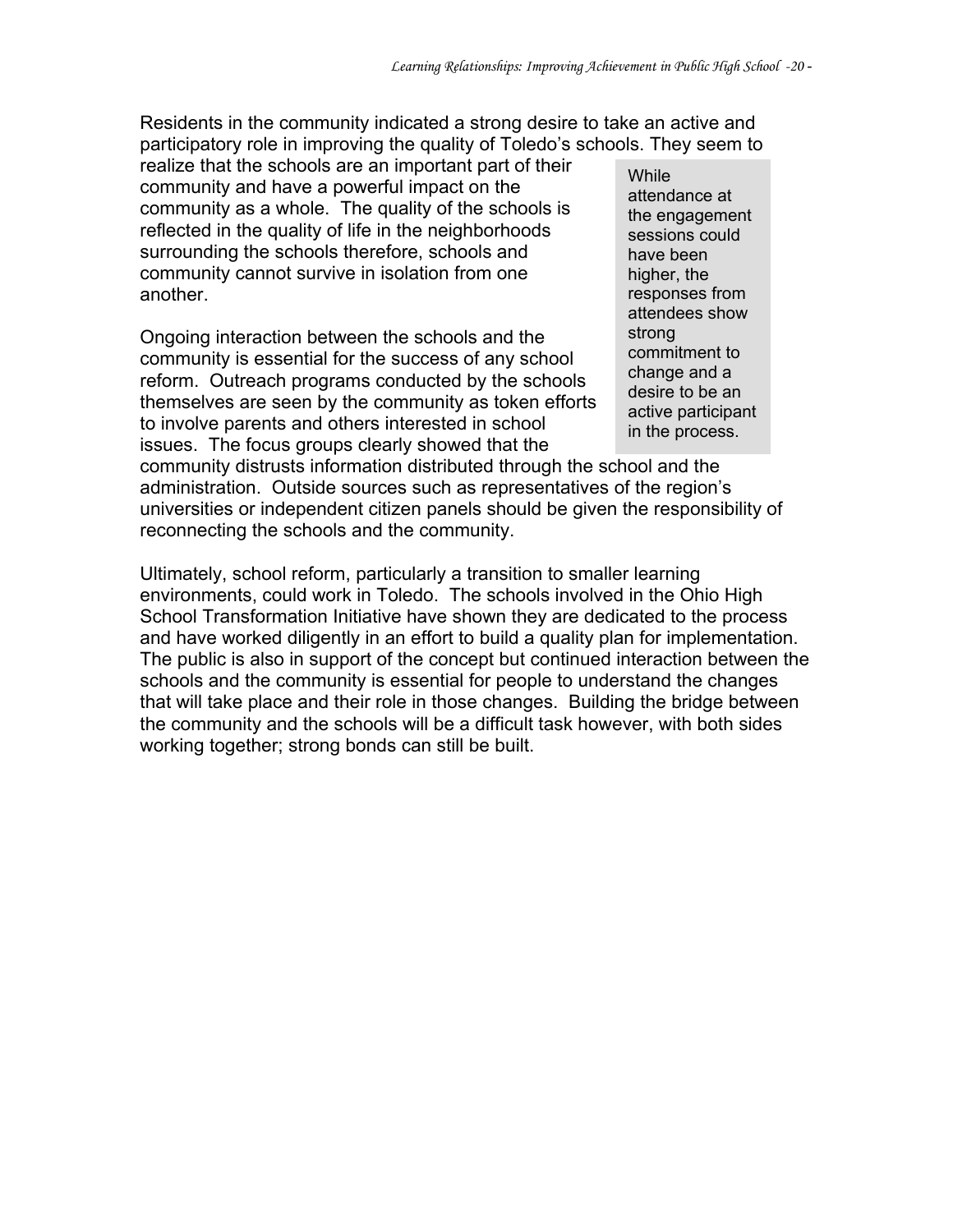Residents in the community indicated a strong desire to take an active and participatory role in improving the quality of Toledo's schools. They seem to

realize that the schools are an important part of their community and have a powerful impact on the community as a whole. The quality of the schools is reflected in the quality of life in the neighborhoods surrounding the schools therefore, schools and community cannot survive in isolation from one another.

Ongoing interaction between the schools and the community is essential for the success of any school reform. Outreach programs conducted by the schools themselves are seen by the community as token efforts to involve parents and others interested in school issues. The focus groups clearly showed that the

**While** attendance at the engagement sessions could have been higher, the responses from attendees show strong commitment to change and a desire to be an active participant in the process.

community distrusts information distributed through the school and the administration. Outside sources such as representatives of the region's universities or independent citizen panels should be given the responsibility of reconnecting the schools and the community.

Ultimately, school reform, particularly a transition to smaller learning environments, could work in Toledo. The schools involved in the Ohio High School Transformation Initiative have shown they are dedicated to the process and have worked diligently in an effort to build a quality plan for implementation. The public is also in support of the concept but continued interaction between the schools and the community is essential for people to understand the changes that will take place and their role in those changes. Building the bridge between the community and the schools will be a difficult task however, with both sides working together; strong bonds can still be built.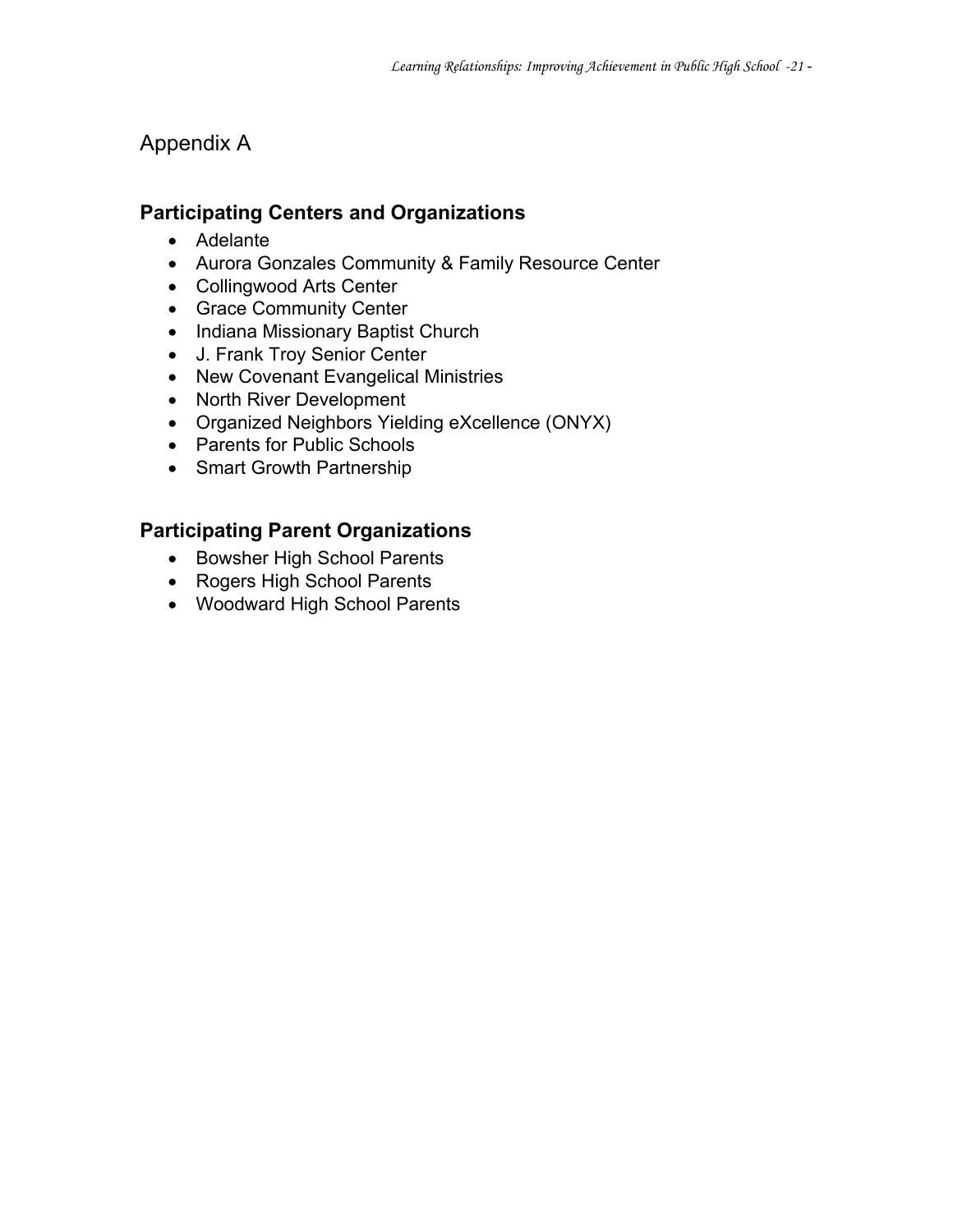#### Appendix A

#### **Participating Centers and Organizations**

- Adelante
- Aurora Gonzales Community & Family Resource Center
- Collingwood Arts Center
- Grace Community Center
- Indiana Missionary Baptist Church
- J. Frank Troy Senior Center
- New Covenant Evangelical Ministries
- North River Development
- Organized Neighbors Yielding eXcellence (ONYX)
- Parents for Public Schools
- Smart Growth Partnership

#### **Participating Parent Organizations**

- Bowsher High School Parents
- Rogers High School Parents
- Woodward High School Parents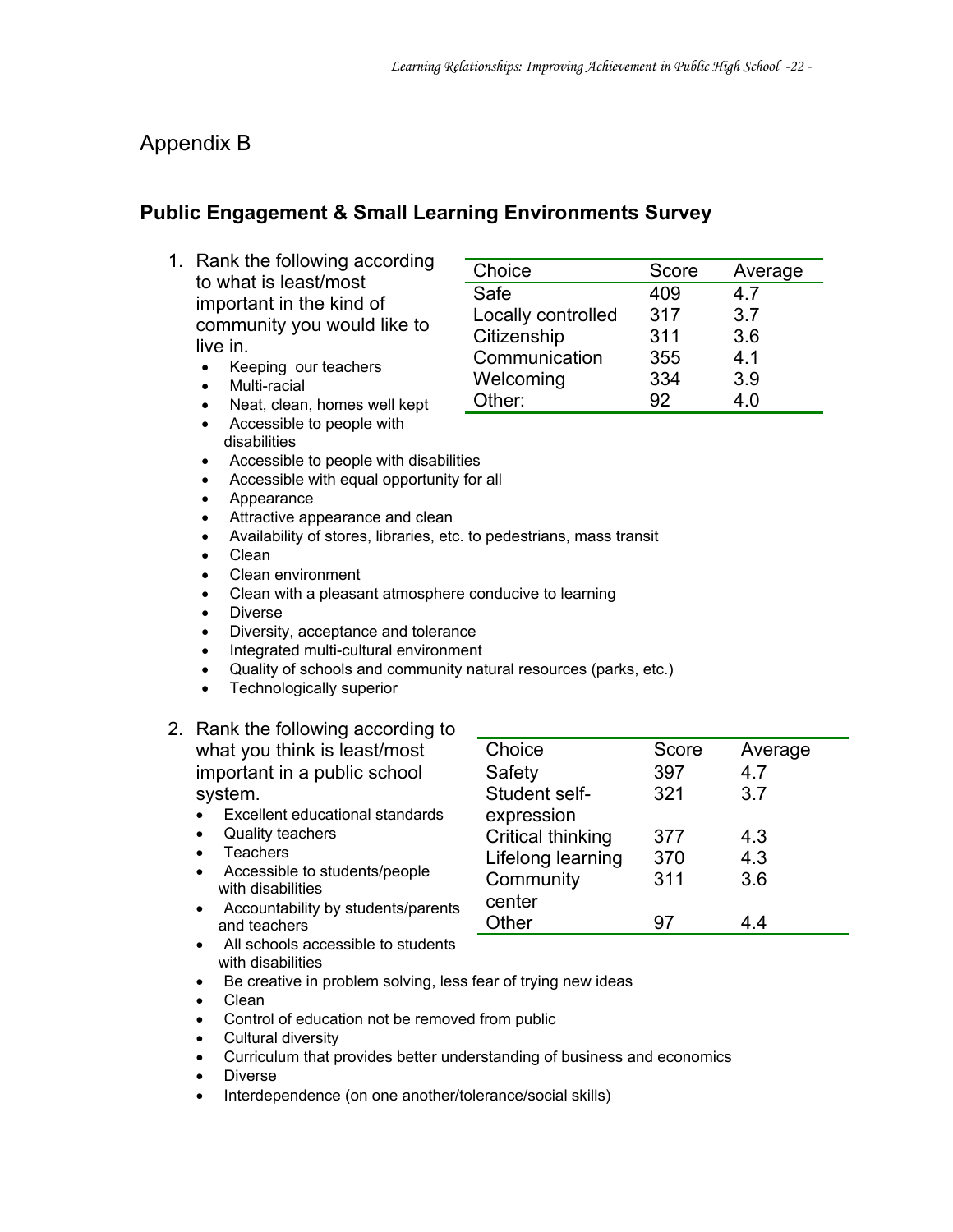#### Appendix B

#### **Public Engagement & Small Learning Environments Survey**

- 1. Rank the following according to what is least/most important in the kind of community you would like to live in.
	- Keeping our teachers
	- Multi-racial
	- Neat, clean, homes well kept
	- Accessible to people with disabilities
	- Accessible to people with disabilities
	- Accessible with equal opportunity for all
	- Appearance
	- Attractive appearance and clean
	- Availability of stores, libraries, etc. to pedestrians, mass transit
	- Clean
	- Clean environment
	- Clean with a pleasant atmosphere conducive to learning
	- Diverse
	- Diversity, acceptance and tolerance
	- Integrated multi-cultural environment
	- Quality of schools and community natural resources (parks, etc.)
	- Technologically superior
- 2. Rank the following according to what you think is least/most important in a public school

#### system.

- Excellent educational standards
- Quality teachers
- Teachers
- Accessible to students/people with disabilities
- Accountability by students/parents and teachers

| Choice                   | Score | Average |
|--------------------------|-------|---------|
| Safety                   | 397   | 4.7     |
| Student self-            | 321   | 3.7     |
| expression               |       |         |
| <b>Critical thinking</b> | 377   | 43      |
| Lifelong learning        | 370   | 4.3     |
| Community                | 311   | 3.6     |
| center                   |       |         |
| Other                    |       |         |

- All schools accessible to students with disabilities
- Be creative in problem solving, less fear of trying new ideas
- Clean
- Control of education not be removed from public
- Cultural diversity
- Curriculum that provides better understanding of business and economics
- Diverse
- Interdependence (on one another/tolerance/social skills)

| Choice             | Score | Average |
|--------------------|-------|---------|
| Safe               | 409   | 47      |
| Locally controlled | 317   | 3.7     |
| Citizenship        | 311   | 3.6     |
| Communication      | 355   | 4.1     |
| Welcoming          | 334   | 3.9     |
| Other:             | 92    | 4.0     |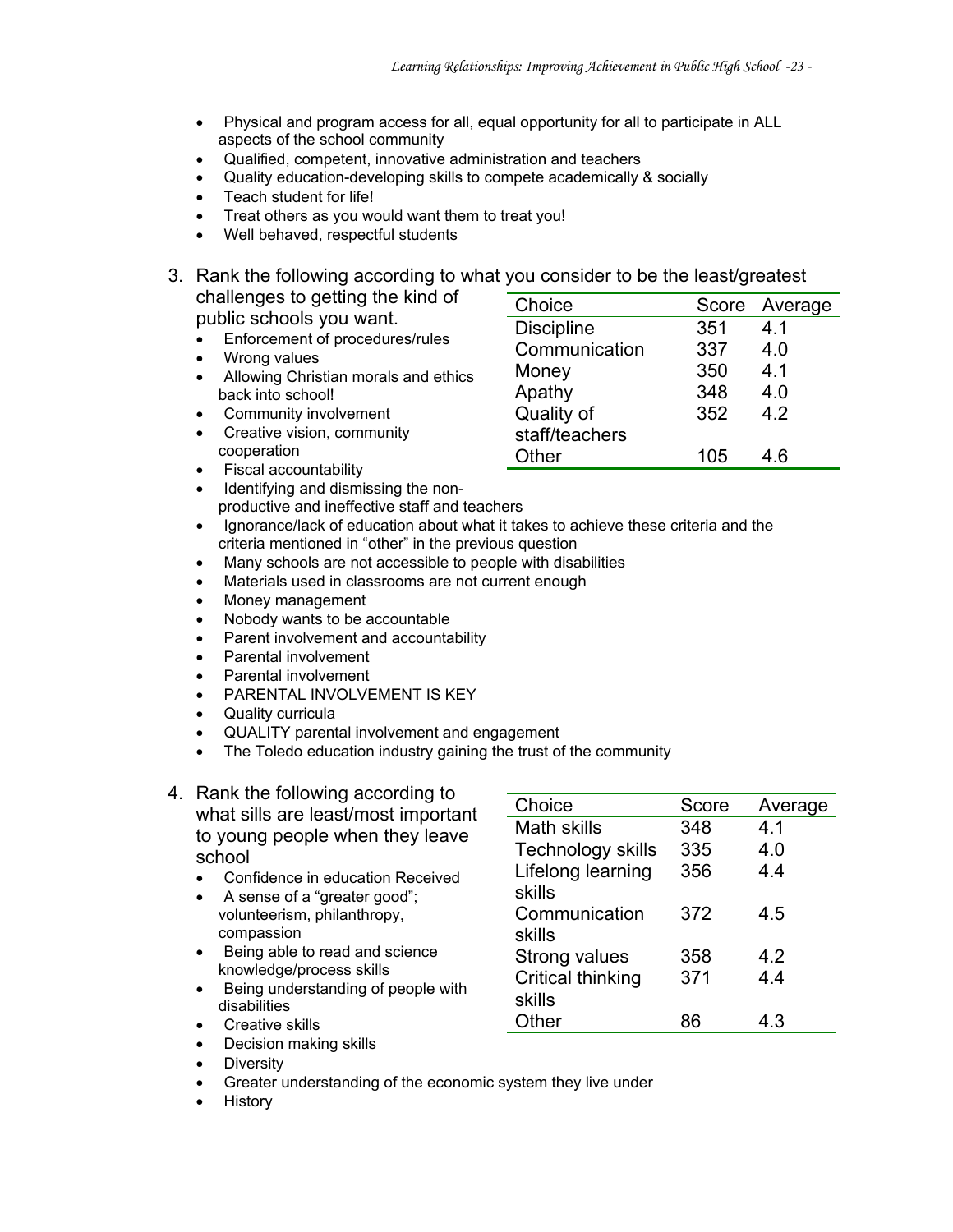- Physical and program access for all, equal opportunity for all to participate in ALL aspects of the school community
- Qualified, competent, innovative administration and teachers
- Quality education-developing skills to compete academically & socially
- Teach student for life!
- Treat others as you would want them to treat you!
- Well behaved, respectful students
- 3. Rank the following according to what you consider to be the least/greatest challenges to getting the kind of Choice Score Average

public schools you want.

- Enforcement of procedures/rules
- Wrong values
- Allowing Christian morals and ethics back into school!
- Community involvement
- Creative vision, community cooperation
- Discipline 351 4.1 Communication 337 4.0 Money 350 4.1 Apathy 348 4.0 Quality of staff/teachers 352 4.2 Other 105 4.6
- Fiscal accountability
- Identifying and dismissing the nonproductive and ineffective staff and teachers
- Ignorance/lack of education about what it takes to achieve these criteria and the criteria mentioned in "other" in the previous question
- Many schools are not accessible to people with disabilities
- Materials used in classrooms are not current enough
- Money management
- Nobody wants to be accountable
- Parent involvement and accountability
- Parental involvement
- Parental involvement
- PARENTAL INVOLVEMENT IS KEY
- Quality curricula
- QUALITY parental involvement and engagement
- The Toledo education industry gaining the trust of the community
- 4. Rank the following according to what sills are least/most important to young people when they leave school
	- Confidence in education Received
	- A sense of a "greater good"; volunteerism, philanthropy, compassion
	- Being able to read and science knowledge/process skills
	- Being understanding of people with disabilities • Creative skills
- Choice Score Average Math skills 348 4.1 Technology skills 335 4.0 Lifelong learning skills 356 4.4 Communication skills 372 4.5 Strong values 358 4.2 Critical thinking skills 371 4.4 Other 86 4.3
- Decision making skills
- **Diversity**
- Greater understanding of the economic system they live under
- History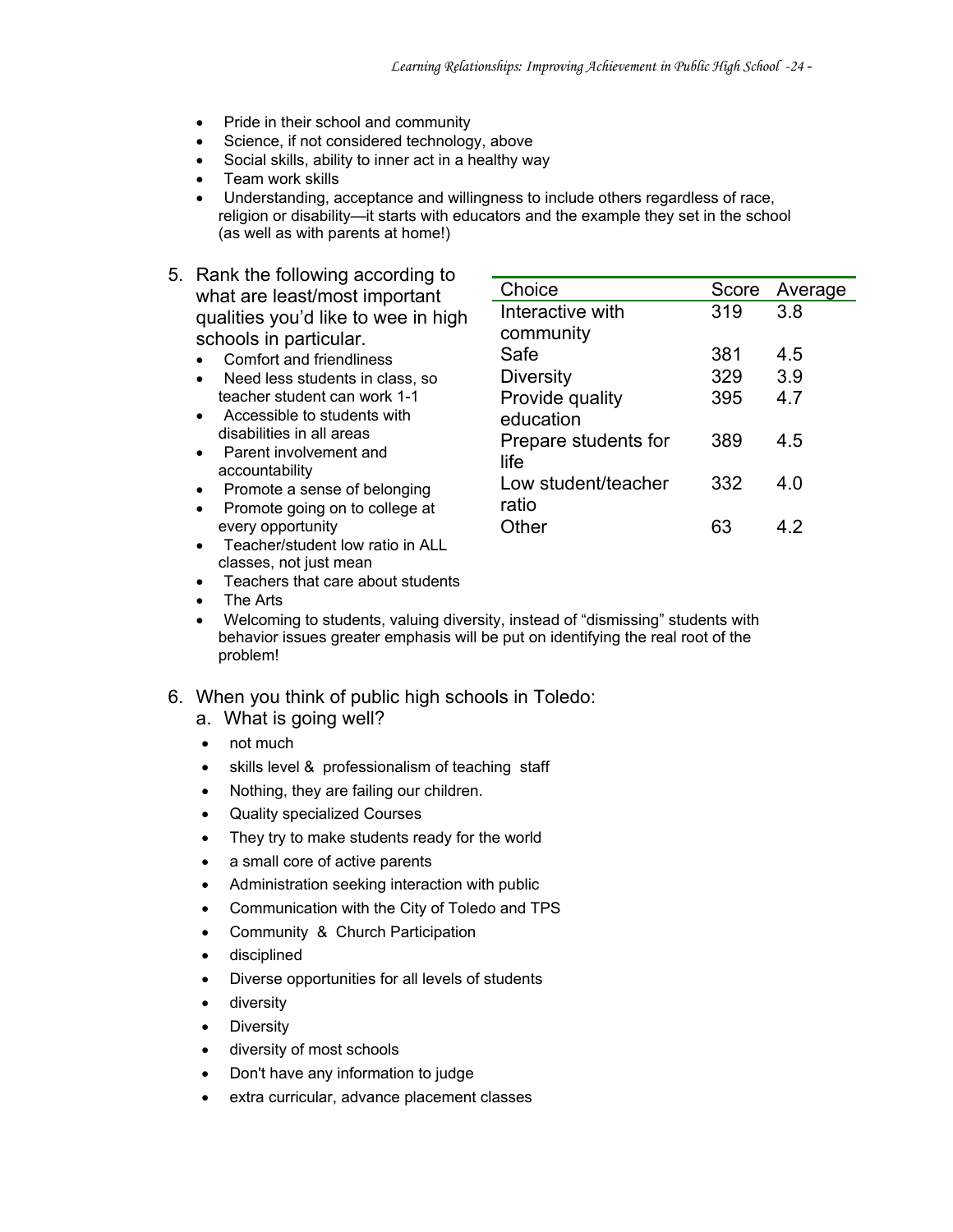- Pride in their school and community
- Science, if not considered technology, above
- Social skills, ability to inner act in a healthy way
- Team work skills
- Understanding, acceptance and willingness to include others regardless of race, religion or disability—it starts with educators and the example they set in the school (as well as with parents at home!)
- 5. Rank the following according to what are least/most important qualities you'd like to wee in high schools in particular.
	- Comfort and friendliness
	- Need less students in class, so teacher student can work 1-1
	- Accessible to students with disabilities in all areas
	- Parent involvement and accountability
	- Promote a sense of belonging
	- Promote going on to college at every opportunity
	- Teacher/student low ratio in ALL classes, not just mean
	- Teachers that care about students
	- The Arts
	- Welcoming to students, valuing diversity, instead of "dismissing" students with behavior issues greater emphasis will be put on identifying the real root of the problem!
- 6. When you think of public high schools in Toledo:
	- a. What is going well?
	- not much
	- skills level & professionalism of teaching staff
	- Nothing, they are failing our children.
	- Quality specialized Courses
	- They try to make students ready for the world
	- a small core of active parents
	- Administration seeking interaction with public
	- Communication with the City of Toledo and TPS
	- Community & Church Participation
	- disciplined
	- Diverse opportunities for all levels of students
	- diversity
	- **Diversity**
	- diversity of most schools
	- Don't have any information to judge
	- extra curricular, advance placement classes

| Choice               | Score | Average |
|----------------------|-------|---------|
| Interactive with     | 319   | 3.8     |
| community            |       |         |
| Safe                 | 381   | 4.5     |
| <b>Diversity</b>     | 329   | 3.9     |
| Provide quality      | 395   | 4.7     |
| education            |       |         |
| Prepare students for | 389   | 45      |
| life                 |       |         |
| Low student/teacher  | 332   | 4 በ     |
| ratio                |       |         |
| Other                |       | 42      |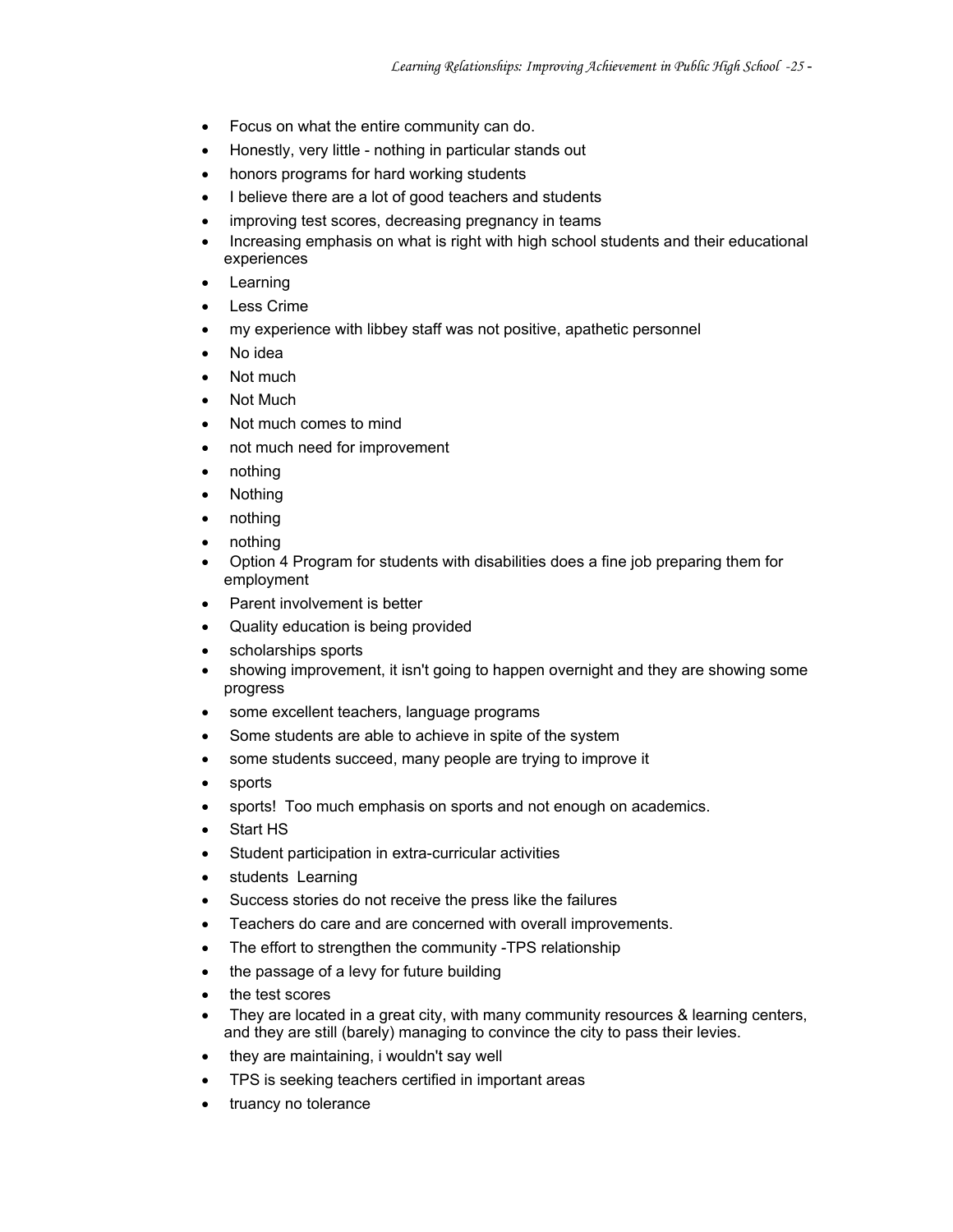- Focus on what the entire community can do.
- Honestly, very little nothing in particular stands out
- honors programs for hard working students
- I believe there are a lot of good teachers and students
- improving test scores, decreasing pregnancy in teams
- Increasing emphasis on what is right with high school students and their educational experiences
- **Learning**
- **Less Crime**
- my experience with libbey staff was not positive, apathetic personnel
- No idea
- Not much
- Not Much
- Not much comes to mind
- not much need for improvement
- nothing
- Nothing
- nothing
- nothing
- Option 4 Program for students with disabilities does a fine job preparing them for employment
- Parent involvement is better
- Quality education is being provided
- scholarships sports
- showing improvement, it isn't going to happen overnight and they are showing some progress
- some excellent teachers, language programs
- Some students are able to achieve in spite of the system
- some students succeed, many people are trying to improve it
- sports
- sports! Too much emphasis on sports and not enough on academics.
- Start HS
- Student participation in extra-curricular activities
- students Learning
- Success stories do not receive the press like the failures
- Teachers do care and are concerned with overall improvements.
- The effort to strengthen the community -TPS relationship
- the passage of a levy for future building
- the test scores
- They are located in a great city, with many community resources & learning centers, and they are still (barely) managing to convince the city to pass their levies.
- they are maintaining, i wouldn't say well
- TPS is seeking teachers certified in important areas
- truancy no tolerance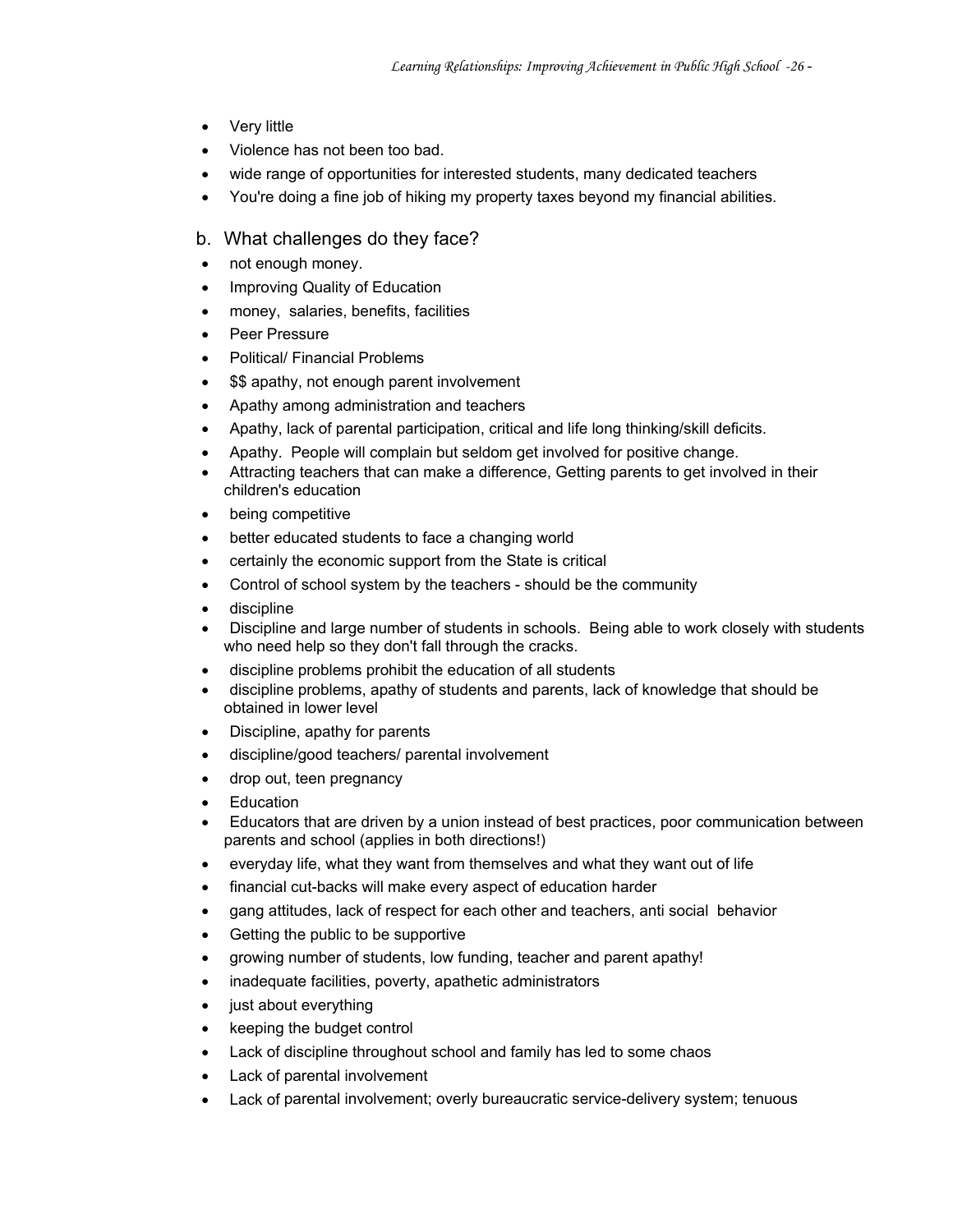- Very little
- Violence has not been too bad.
- wide range of opportunities for interested students, many dedicated teachers
- You're doing a fine job of hiking my property taxes beyond my financial abilities.
- b. What challenges do they face?
- not enough money.
- Improving Quality of Education
- money, salaries, benefits, facilities
- Peer Pressure
- Political/ Financial Problems
- \$\$ apathy, not enough parent involvement
- Apathy among administration and teachers
- Apathy, lack of parental participation, critical and life long thinking/skill deficits.
- Apathy. People will complain but seldom get involved for positive change.
- Attracting teachers that can make a difference, Getting parents to get involved in their children's education
- being competitive
- better educated students to face a changing world
- certainly the economic support from the State is critical
- Control of school system by the teachers should be the community
- discipline
- Discipline and large number of students in schools. Being able to work closely with students who need help so they don't fall through the cracks.
- discipline problems prohibit the education of all students
- discipline problems, apathy of students and parents, lack of knowledge that should be obtained in lower level
- Discipline, apathy for parents
- discipline/good teachers/ parental involvement
- drop out, teen pregnancy
- Education
- Educators that are driven by a union instead of best practices, poor communication between parents and school (applies in both directions!)
- everyday life, what they want from themselves and what they want out of life
- financial cut-backs will make every aspect of education harder
- gang attitudes, lack of respect for each other and teachers, anti social behavior
- Getting the public to be supportive
- growing number of students, low funding, teacher and parent apathy!
- inadequate facilities, poverty, apathetic administrators
- just about everything
- keeping the budget control
- Lack of discipline throughout school and family has led to some chaos
- Lack of parental involvement
- Lack of parental involvement; overly bureaucratic service-delivery system; tenuous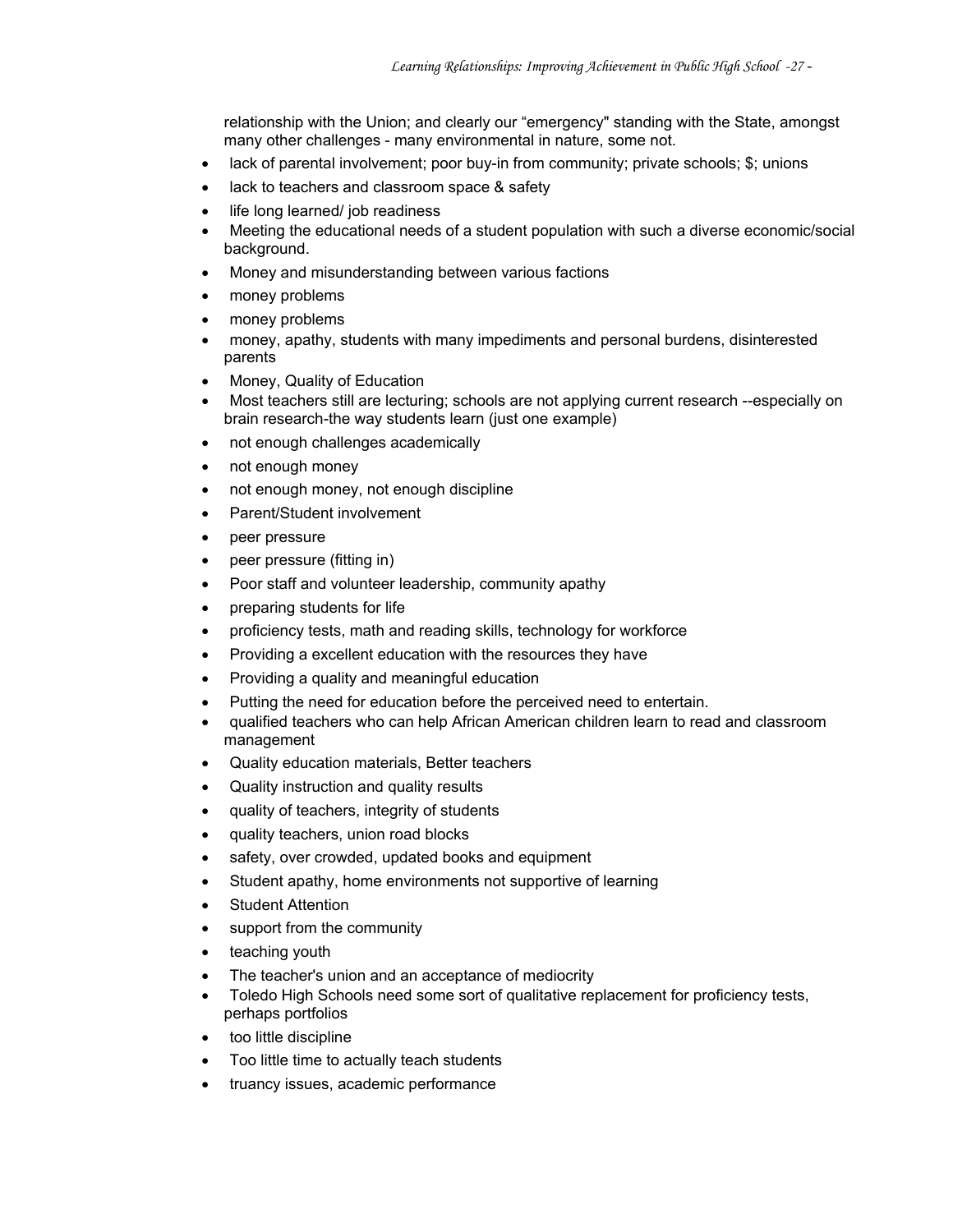relationship with the Union; and clearly our "emergency" standing with the State, amongst many other challenges - many environmental in nature, some not.

- lack of parental involvement; poor buy-in from community; private schools; \$; unions
- lack to teachers and classroom space & safety
- life long learned/ job readiness
- Meeting the educational needs of a student population with such a diverse economic/social background.
- Money and misunderstanding between various factions
- money problems
- money problems
- money, apathy, students with many impediments and personal burdens, disinterested parents
- Money, Quality of Education
- Most teachers still are lecturing; schools are not applying current research --especially on brain research-the way students learn (just one example)
- not enough challenges academically
- not enough money
- not enough money, not enough discipline
- Parent/Student involvement
- peer pressure
- peer pressure (fitting in)
- Poor staff and volunteer leadership, community apathy
- preparing students for life
- proficiency tests, math and reading skills, technology for workforce
- Providing a excellent education with the resources they have
- Providing a quality and meaningful education
- Putting the need for education before the perceived need to entertain.
- qualified teachers who can help African American children learn to read and classroom management
- Quality education materials, Better teachers
- Quality instruction and quality results
- quality of teachers, integrity of students
- quality teachers, union road blocks
- safety, over crowded, updated books and equipment
- Student apathy, home environments not supportive of learning
- Student Attention
- support from the community
- teaching youth
- The teacher's union and an acceptance of mediocrity
- Toledo High Schools need some sort of qualitative replacement for proficiency tests, perhaps portfolios
- too little discipline
- Too little time to actually teach students
- truancy issues, academic performance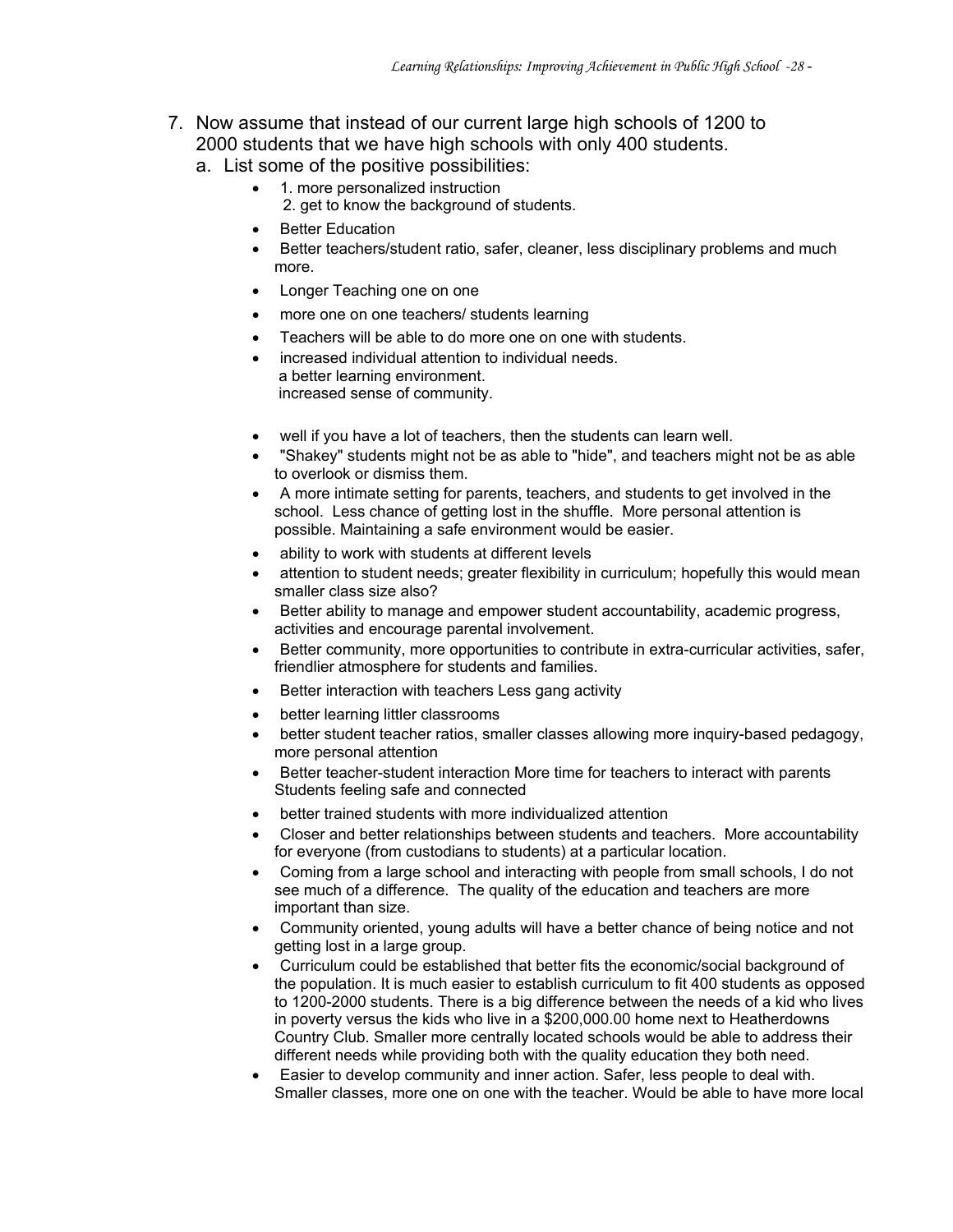- 7. Now assume that instead of our current large high schools of 1200 to 2000 students that we have high schools with only 400 students.
	- a. List some of the positive possibilities:
		- 1. more personalized instruction
			- 2. get to know the background of students.
		- **Better Education**
		- Better teachers/student ratio, safer, cleaner, less disciplinary problems and much more.
		- Longer Teaching one on one
		- more one on one teachers/ students learning
		- Teachers will be able to do more one on one with students.
		- increased individual attention to individual needs. a better learning environment. increased sense of community.
		- well if you have a lot of teachers, then the students can learn well.
		- "Shakey" students might not be as able to "hide", and teachers might not be as able to overlook or dismiss them.
		- A more intimate setting for parents, teachers, and students to get involved in the school. Less chance of getting lost in the shuffle. More personal attention is possible. Maintaining a safe environment would be easier.
		- ability to work with students at different levels
		- attention to student needs; greater flexibility in curriculum; hopefully this would mean smaller class size also?
		- Better ability to manage and empower student accountability, academic progress, activities and encourage parental involvement.
		- Better community, more opportunities to contribute in extra-curricular activities, safer, friendlier atmosphere for students and families.
		- Better interaction with teachers Less gang activity
		- better learning littler classrooms
		- better student teacher ratios, smaller classes allowing more inquiry-based pedagogy, more personal attention
		- Better teacher-student interaction More time for teachers to interact with parents Students feeling safe and connected
		- better trained students with more individualized attention
		- Closer and better relationships between students and teachers. More accountability for everyone (from custodians to students) at a particular location.
		- Coming from a large school and interacting with people from small schools, I do not see much of a difference. The quality of the education and teachers are more important than size.
		- Community oriented, young adults will have a better chance of being notice and not getting lost in a large group.
		- Curriculum could be established that better fits the economic/social background of the population. It is much easier to establish curriculum to fit 400 students as opposed to 1200-2000 students. There is a big difference between the needs of a kid who lives in poverty versus the kids who live in a \$200,000.00 home next to Heatherdowns Country Club. Smaller more centrally located schools would be able to address their different needs while providing both with the quality education they both need.
		- Easier to develop community and inner action. Safer, less people to deal with. Smaller classes, more one on one with the teacher. Would be able to have more local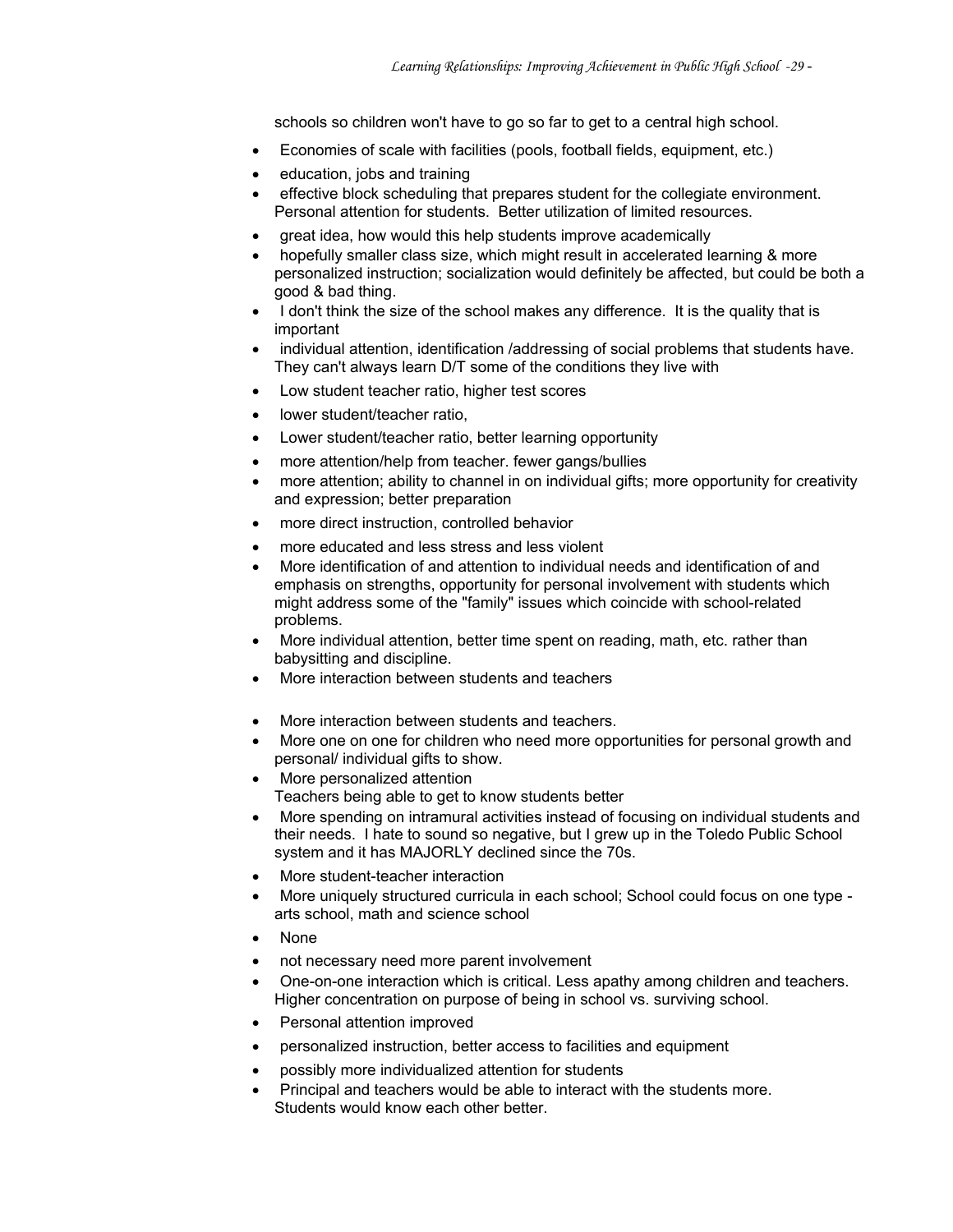schools so children won't have to go so far to get to a central high school.

- Economies of scale with facilities (pools, football fields, equipment, etc.)
- education, jobs and training
- effective block scheduling that prepares student for the collegiate environment. Personal attention for students. Better utilization of limited resources.
- great idea, how would this help students improve academically
- hopefully smaller class size, which might result in accelerated learning & more personalized instruction; socialization would definitely be affected, but could be both a good & bad thing.
- I don't think the size of the school makes any difference. It is the quality that is important
- individual attention, identification /addressing of social problems that students have. They can't always learn D/T some of the conditions they live with
- Low student teacher ratio, higher test scores
- lower student/teacher ratio.
- Lower student/teacher ratio, better learning opportunity
- more attention/help from teacher. fewer gangs/bullies
- more attention; ability to channel in on individual gifts; more opportunity for creativity and expression; better preparation
- more direct instruction, controlled behavior
- more educated and less stress and less violent
- More identification of and attention to individual needs and identification of and emphasis on strengths, opportunity for personal involvement with students which might address some of the "family" issues which coincide with school-related problems.
- More individual attention, better time spent on reading, math, etc. rather than babysitting and discipline.
- More interaction between students and teachers
- More interaction between students and teachers.
- More one on one for children who need more opportunities for personal growth and personal/ individual gifts to show.
- More personalized attention
	- Teachers being able to get to know students better
- More spending on intramural activities instead of focusing on individual students and their needs. I hate to sound so negative, but I grew up in the Toledo Public School system and it has MAJORLY declined since the 70s.
- More student-teacher interaction
- More uniquely structured curricula in each school; School could focus on one type arts school, math and science school
- None
- not necessary need more parent involvement
- One-on-one interaction which is critical. Less apathy among children and teachers. Higher concentration on purpose of being in school vs. surviving school.
- Personal attention improved
- personalized instruction, better access to facilities and equipment
- possibly more individualized attention for students
- Principal and teachers would be able to interact with the students more. Students would know each other better.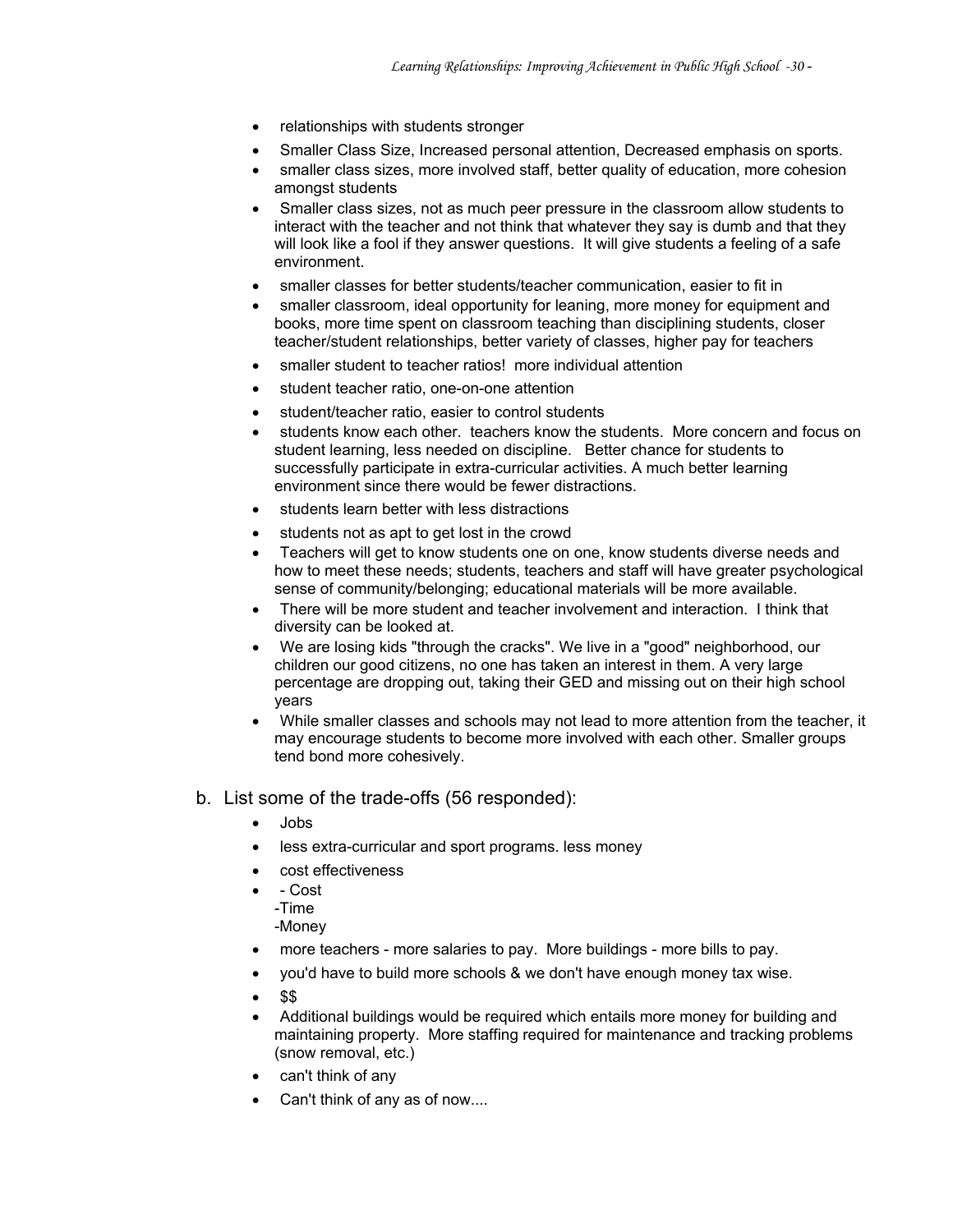- relationships with students stronger
- Smaller Class Size, Increased personal attention, Decreased emphasis on sports.
- smaller class sizes, more involved staff, better quality of education, more cohesion amongst students
- Smaller class sizes, not as much peer pressure in the classroom allow students to interact with the teacher and not think that whatever they say is dumb and that they will look like a fool if they answer questions. It will give students a feeling of a safe environment.
- smaller classes for better students/teacher communication, easier to fit in
- smaller classroom, ideal opportunity for leaning, more money for equipment and books, more time spent on classroom teaching than disciplining students, closer teacher/student relationships, better variety of classes, higher pay for teachers
- smaller student to teacher ratios! more individual attention
- student teacher ratio, one-on-one attention
- student/teacher ratio, easier to control students
- students know each other. teachers know the students. More concern and focus on student learning, less needed on discipline. Better chance for students to successfully participate in extra-curricular activities. A much better learning environment since there would be fewer distractions.
- students learn better with less distractions
- students not as apt to get lost in the crowd
- Teachers will get to know students one on one, know students diverse needs and how to meet these needs; students, teachers and staff will have greater psychological sense of community/belonging; educational materials will be more available.
- There will be more student and teacher involvement and interaction. I think that diversity can be looked at.
- We are losing kids "through the cracks". We live in a "good" neighborhood, our children our good citizens, no one has taken an interest in them. A very large percentage are dropping out, taking their GED and missing out on their high school years
- While smaller classes and schools may not lead to more attention from the teacher, it may encourage students to become more involved with each other. Smaller groups tend bond more cohesively.
- b. List some of the trade-offs (56 responded):
	- Jobs
	- less extra-curricular and sport programs. less money
	- cost effectiveness
	- - Cost
		- -Time
		- -Money
	- more teachers more salaries to pay. More buildings more bills to pay.
	- you'd have to build more schools & we don't have enough money tax wise.
	- \$\$
	- Additional buildings would be required which entails more money for building and maintaining property. More staffing required for maintenance and tracking problems (snow removal, etc.)
	- can't think of any
	- Can't think of any as of now....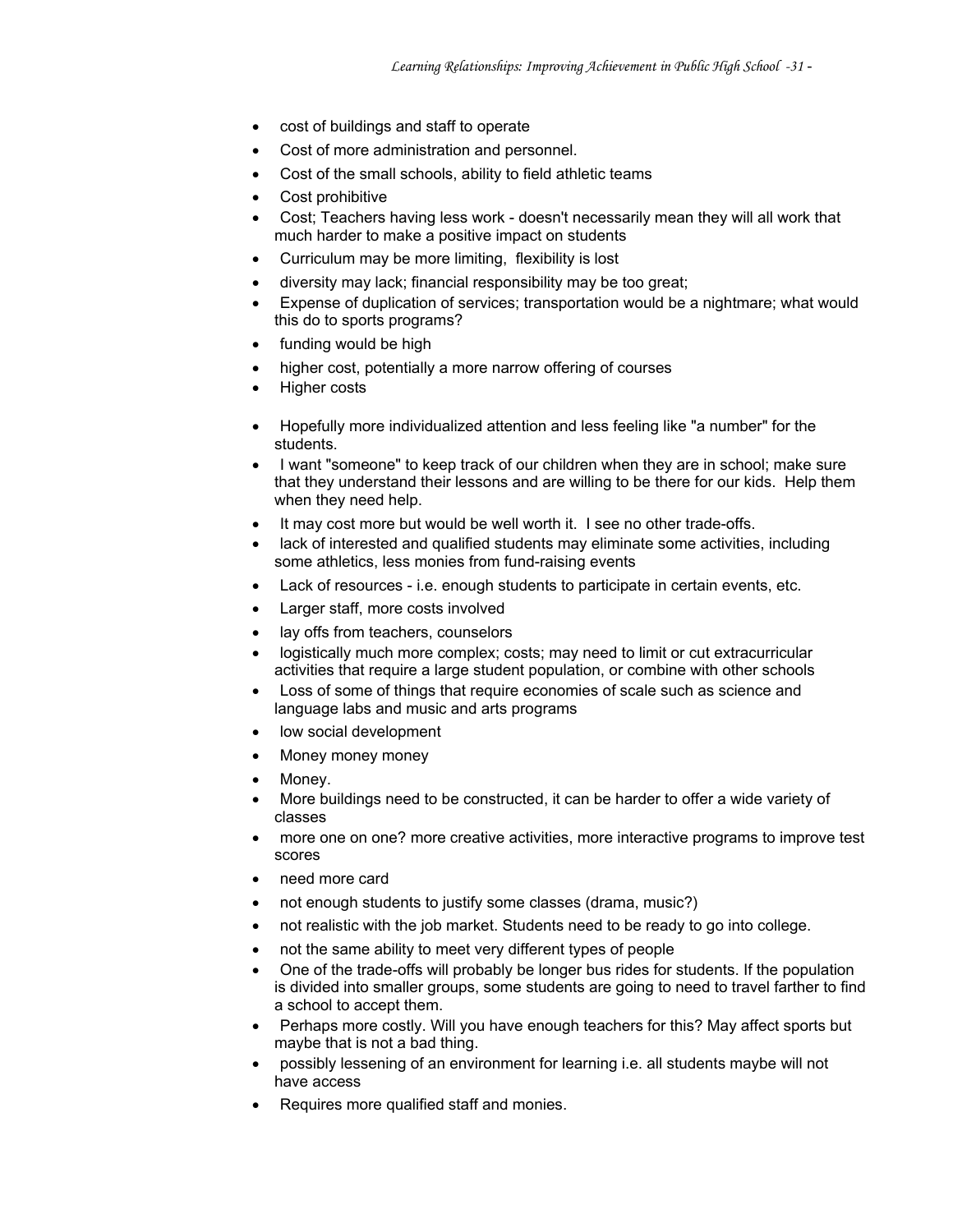- cost of buildings and staff to operate
- Cost of more administration and personnel.
- Cost of the small schools, ability to field athletic teams
- Cost prohibitive
- Cost; Teachers having less work doesn't necessarily mean they will all work that much harder to make a positive impact on students
- Curriculum may be more limiting, flexibility is lost
- diversity may lack; financial responsibility may be too great;
- Expense of duplication of services; transportation would be a nightmare; what would this do to sports programs?
- funding would be high
- higher cost, potentially a more narrow offering of courses
- Higher costs
- Hopefully more individualized attention and less feeling like "a number" for the students.
- I want "someone" to keep track of our children when they are in school; make sure that they understand their lessons and are willing to be there for our kids. Help them when they need help.
- It may cost more but would be well worth it. I see no other trade-offs.
- lack of interested and qualified students may eliminate some activities, including some athletics, less monies from fund-raising events
- Lack of resources i.e. enough students to participate in certain events, etc.
- Larger staff, more costs involved
- lay offs from teachers, counselors
- logistically much more complex; costs; may need to limit or cut extracurricular activities that require a large student population, or combine with other schools
- Loss of some of things that require economies of scale such as science and language labs and music and arts programs
- low social development
- Money money money
- Money.
- More buildings need to be constructed, it can be harder to offer a wide variety of classes
- more one on one? more creative activities, more interactive programs to improve test scores
- need more card
- not enough students to justify some classes (drama, music?)
- not realistic with the job market. Students need to be ready to go into college.
- not the same ability to meet very different types of people
- One of the trade-offs will probably be longer bus rides for students. If the population is divided into smaller groups, some students are going to need to travel farther to find a school to accept them.
- Perhaps more costly. Will you have enough teachers for this? May affect sports but maybe that is not a bad thing.
- possibly lessening of an environment for learning i.e. all students maybe will not have access
- Requires more qualified staff and monies.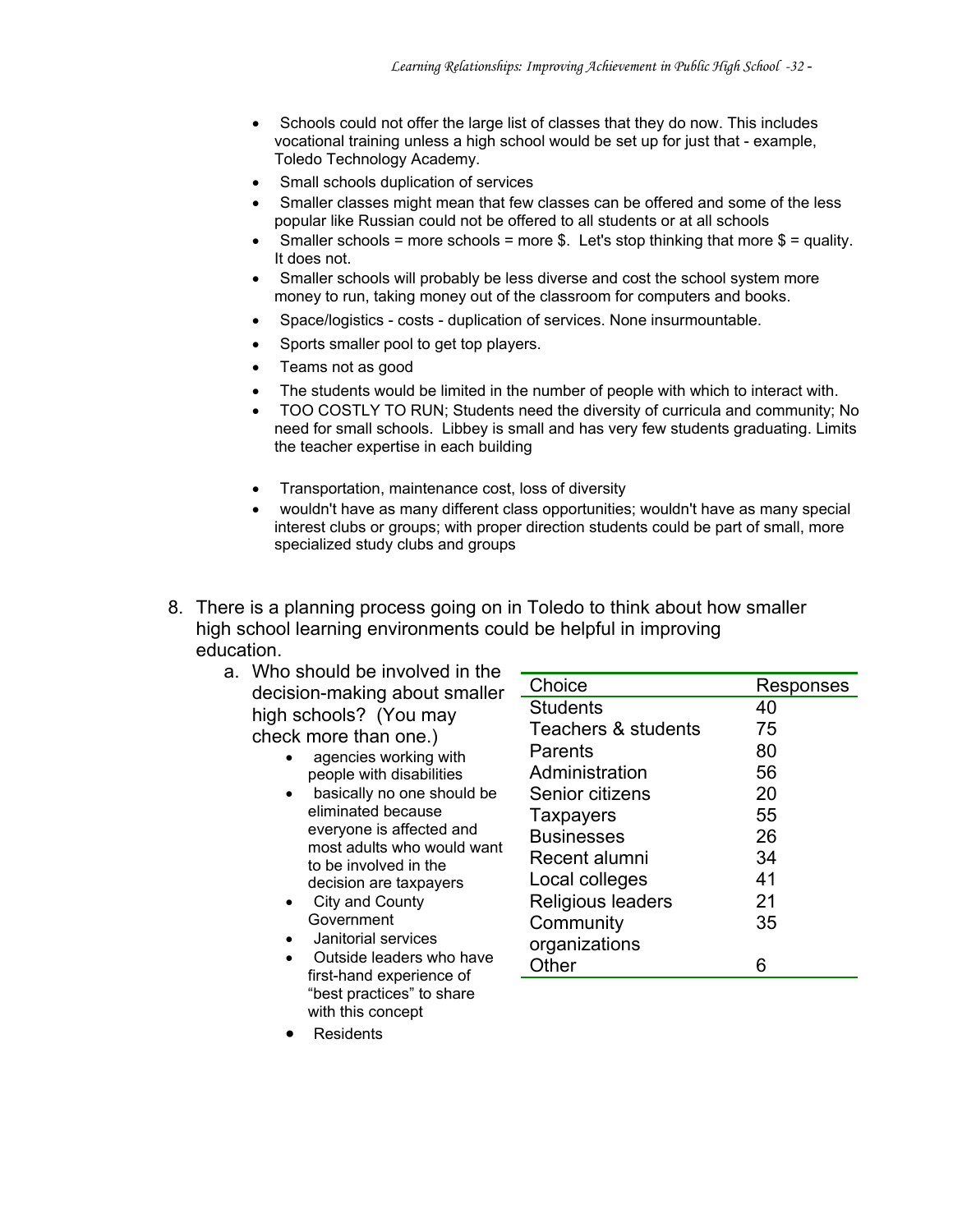- Schools could not offer the large list of classes that they do now. This includes vocational training unless a high school would be set up for just that - example, Toledo Technology Academy.
- Small schools duplication of services
- Smaller classes might mean that few classes can be offered and some of the less popular like Russian could not be offered to all students or at all schools
- Smaller schools = more schools = more  $$$ . Let's stop thinking that more  $$$  = quality. It does not.
- Smaller schools will probably be less diverse and cost the school system more money to run, taking money out of the classroom for computers and books.
- Space/logistics costs duplication of services. None insurmountable.
- Sports smaller pool to get top players.
- Teams not as good
- The students would be limited in the number of people with which to interact with.
- TOO COSTLY TO RUN; Students need the diversity of curricula and community; No need for small schools. Libbey is small and has very few students graduating. Limits the teacher expertise in each building
- Transportation, maintenance cost, loss of diversity
- wouldn't have as many different class opportunities; wouldn't have as many special interest clubs or groups; with proper direction students could be part of small, more specialized study clubs and groups
- 8. There is a planning process going on in Toledo to think about how smaller high school learning environments could be helpful in improving education.
	- a. Who should be involved in the decision-making about smaller high schools? (You may check more than one.)
		- agencies working with people with disabilities
		- basically no one should be eliminated because everyone is affected and most adults who would want to be involved in the decision are taxpayers
		- City and County Government
		- Janitorial services
		- Outside leaders who have first-hand experience of "best practices" to share with this concept

| Choice              | Responses |
|---------------------|-----------|
| <b>Students</b>     | 40        |
| Teachers & students | 75        |
| Parents             | 80        |
| Administration      | 56        |
| Senior citizens     | 20        |
| <b>Taxpayers</b>    | 55        |
| <b>Businesses</b>   | 26        |
| Recent alumni       | 34        |
| Local colleges      | 41        |
| Religious leaders   | 21        |
| Community           | 35        |
| organizations       |           |
| Other               |           |
|                     |           |

**Residents**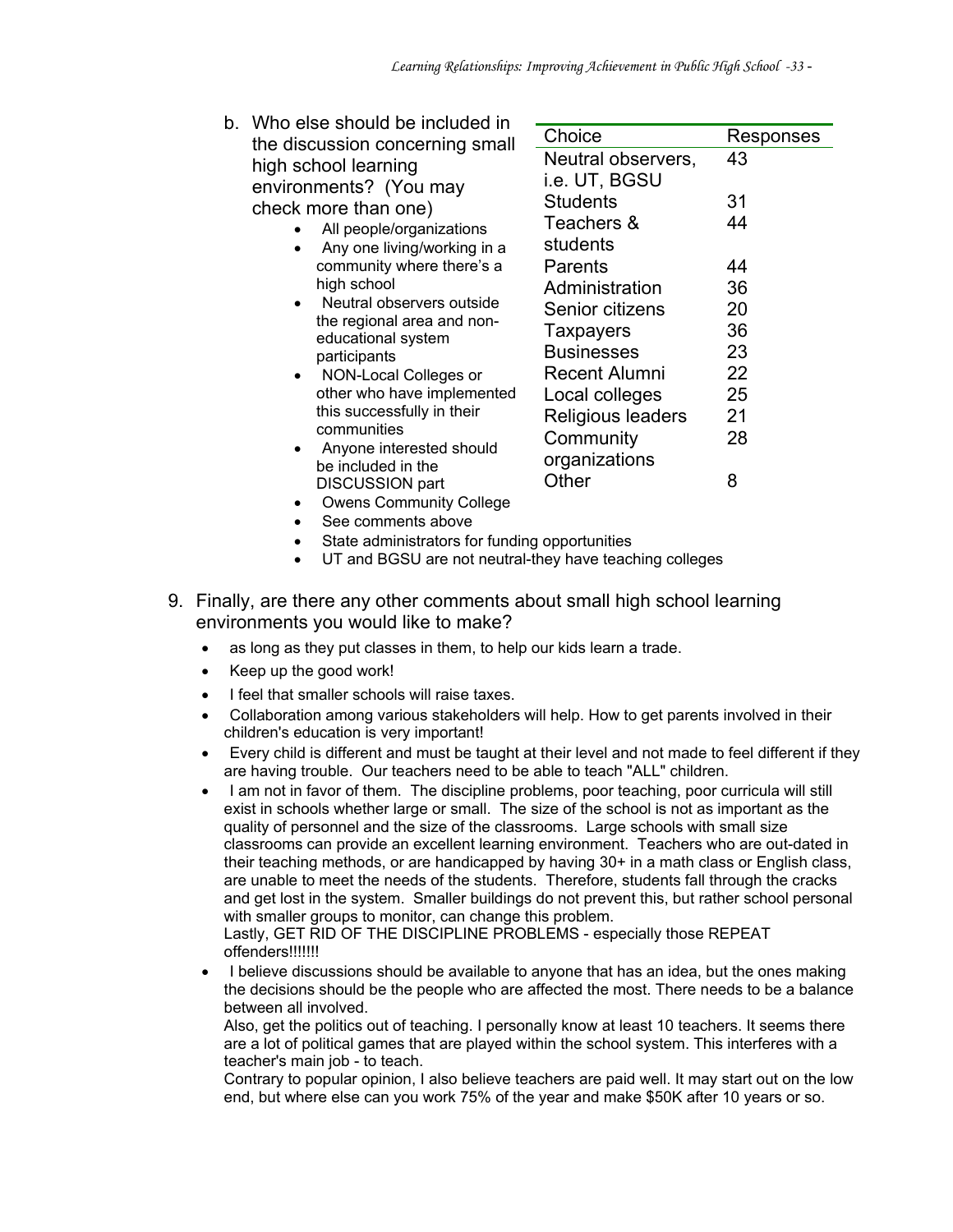| b. | Who else should be included in                                |                                     |           |
|----|---------------------------------------------------------------|-------------------------------------|-----------|
|    | the discussion concerning small                               | Choice                              | Responses |
|    | high school learning                                          | Neutral observers,<br>i.e. UT, BGSU | 43        |
|    | environments? (You may<br>check more than one)                | <b>Students</b>                     | 31        |
|    | All people/organizations<br>Any one living/working in a       | Teachers &<br>students              | 44        |
|    | community where there's a                                     | Parents                             | 44        |
|    | high school                                                   | Administration                      | 36        |
|    | Neutral observers outside                                     | Senior citizens                     | 20        |
|    | the regional area and non-<br>educational system              | Taxpayers                           | 36        |
|    | participants                                                  | <b>Businesses</b>                   | 23        |
|    | NON-Local Colleges or                                         | <b>Recent Alumni</b>                | 22        |
|    | other who have implemented                                    | Local colleges                      | 25        |
|    | this successfully in their                                    | Religious leaders                   | 21        |
|    | communities<br>Anyone interested should<br>be included in the | Community<br>organizations          | 28        |
|    | DISCUSSION part                                               | Other                               | 8         |

- Owens Community College
- See comments above

DISCUSSION part

- State administrators for funding opportunities
- UT and BGSU are not neutral-they have teaching colleges
- 9. Finally, are there any other comments about small high school learning environments you would like to make?
	- as long as they put classes in them, to help our kids learn a trade.
	- Keep up the good work!
	- I feel that smaller schools will raise taxes.
	- Collaboration among various stakeholders will help. How to get parents involved in their children's education is very important!
	- Every child is different and must be taught at their level and not made to feel different if they are having trouble. Our teachers need to be able to teach "ALL" children.
	- I am not in favor of them. The discipline problems, poor teaching, poor curricula will still exist in schools whether large or small. The size of the school is not as important as the quality of personnel and the size of the classrooms. Large schools with small size classrooms can provide an excellent learning environment. Teachers who are out-dated in their teaching methods, or are handicapped by having 30+ in a math class or English class, are unable to meet the needs of the students. Therefore, students fall through the cracks and get lost in the system. Smaller buildings do not prevent this, but rather school personal with smaller groups to monitor, can change this problem. Lastly, GET RID OF THE DISCIPLINE PROBLEMS - especially those REPEAT
		- offenders!!!!!!!
	- I believe discussions should be available to anyone that has an idea, but the ones making the decisions should be the people who are affected the most. There needs to be a balance between all involved.

Also, get the politics out of teaching. I personally know at least 10 teachers. It seems there are a lot of political games that are played within the school system. This interferes with a teacher's main job - to teach.

Contrary to popular opinion, I also believe teachers are paid well. It may start out on the low end, but where else can you work 75% of the year and make \$50K after 10 years or so.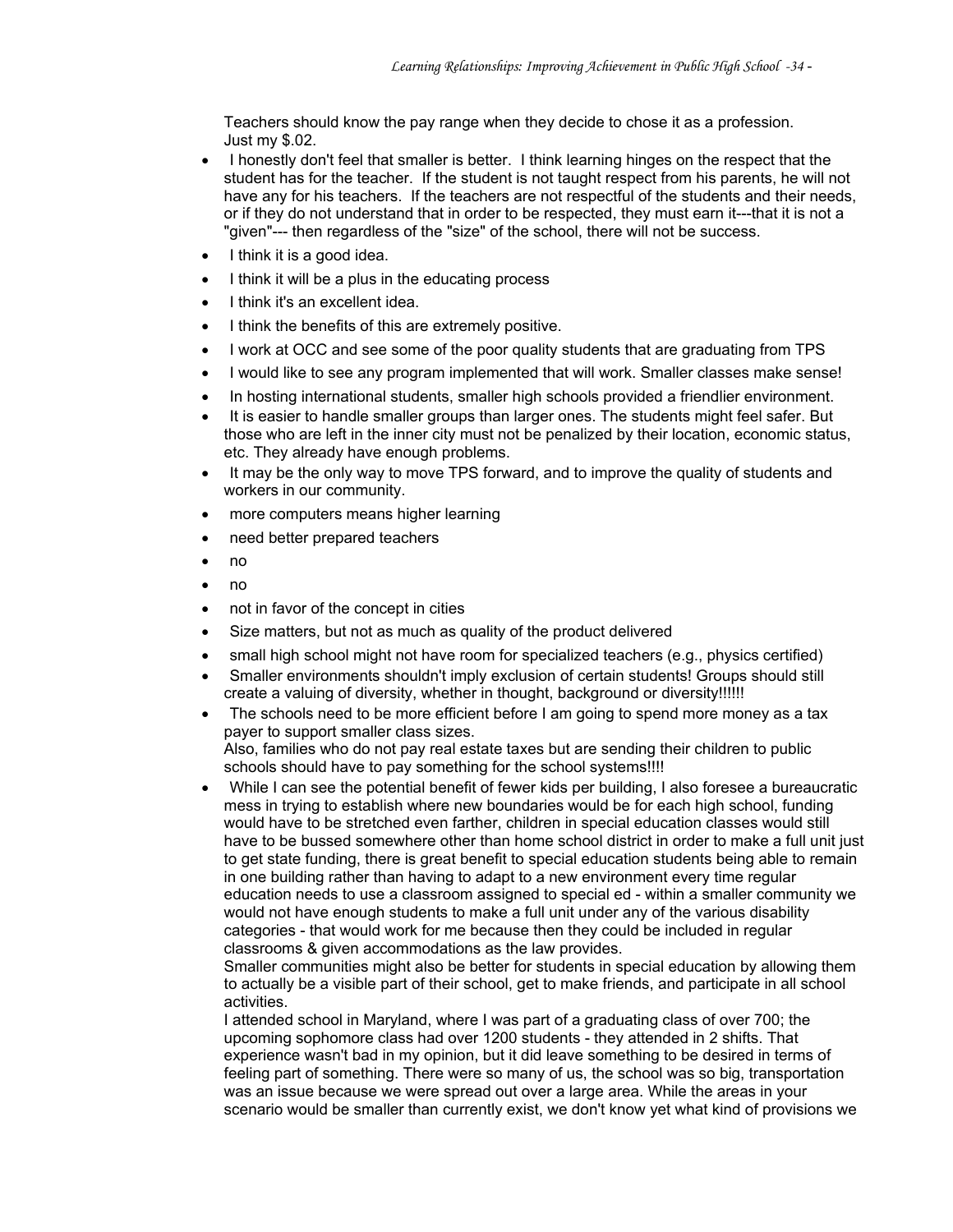Teachers should know the pay range when they decide to chose it as a profession. Just my \$.02.

- I honestly don't feel that smaller is better. I think learning hinges on the respect that the student has for the teacher. If the student is not taught respect from his parents, he will not have any for his teachers. If the teachers are not respectful of the students and their needs, or if they do not understand that in order to be respected, they must earn it---that it is not a "given"--- then regardless of the "size" of the school, there will not be success.
- I think it is a good idea.
- I think it will be a plus in the educating process
- I think it's an excellent idea.
- I think the benefits of this are extremely positive.
- I work at OCC and see some of the poor quality students that are graduating from TPS
- I would like to see any program implemented that will work. Smaller classes make sense!
- In hosting international students, smaller high schools provided a friendlier environment.
- It is easier to handle smaller groups than larger ones. The students might feel safer. But those who are left in the inner city must not be penalized by their location, economic status, etc. They already have enough problems.
- It may be the only way to move TPS forward, and to improve the quality of students and workers in our community.
- more computers means higher learning
- need better prepared teachers
- no
- no
- not in favor of the concept in cities
- Size matters, but not as much as quality of the product delivered
- small high school might not have room for specialized teachers (e.g., physics certified)
- Smaller environments shouldn't imply exclusion of certain students! Groups should still create a valuing of diversity, whether in thought, background or diversity!!!!!!
- The schools need to be more efficient before I am going to spend more money as a tax payer to support smaller class sizes. Also, families who do not pay real estate taxes but are sending their children to public schools should have to pay something for the school systems!!!!
- While I can see the potential benefit of fewer kids per building, I also foresee a bureaucratic mess in trying to establish where new boundaries would be for each high school, funding would have to be stretched even farther, children in special education classes would still have to be bussed somewhere other than home school district in order to make a full unit just to get state funding, there is great benefit to special education students being able to remain in one building rather than having to adapt to a new environment every time regular education needs to use a classroom assigned to special ed - within a smaller community we would not have enough students to make a full unit under any of the various disability categories - that would work for me because then they could be included in regular classrooms & given accommodations as the law provides.

Smaller communities might also be better for students in special education by allowing them to actually be a visible part of their school, get to make friends, and participate in all school activities.

I attended school in Maryland, where I was part of a graduating class of over 700; the upcoming sophomore class had over 1200 students - they attended in 2 shifts. That experience wasn't bad in my opinion, but it did leave something to be desired in terms of feeling part of something. There were so many of us, the school was so big, transportation was an issue because we were spread out over a large area. While the areas in your scenario would be smaller than currently exist, we don't know yet what kind of provisions we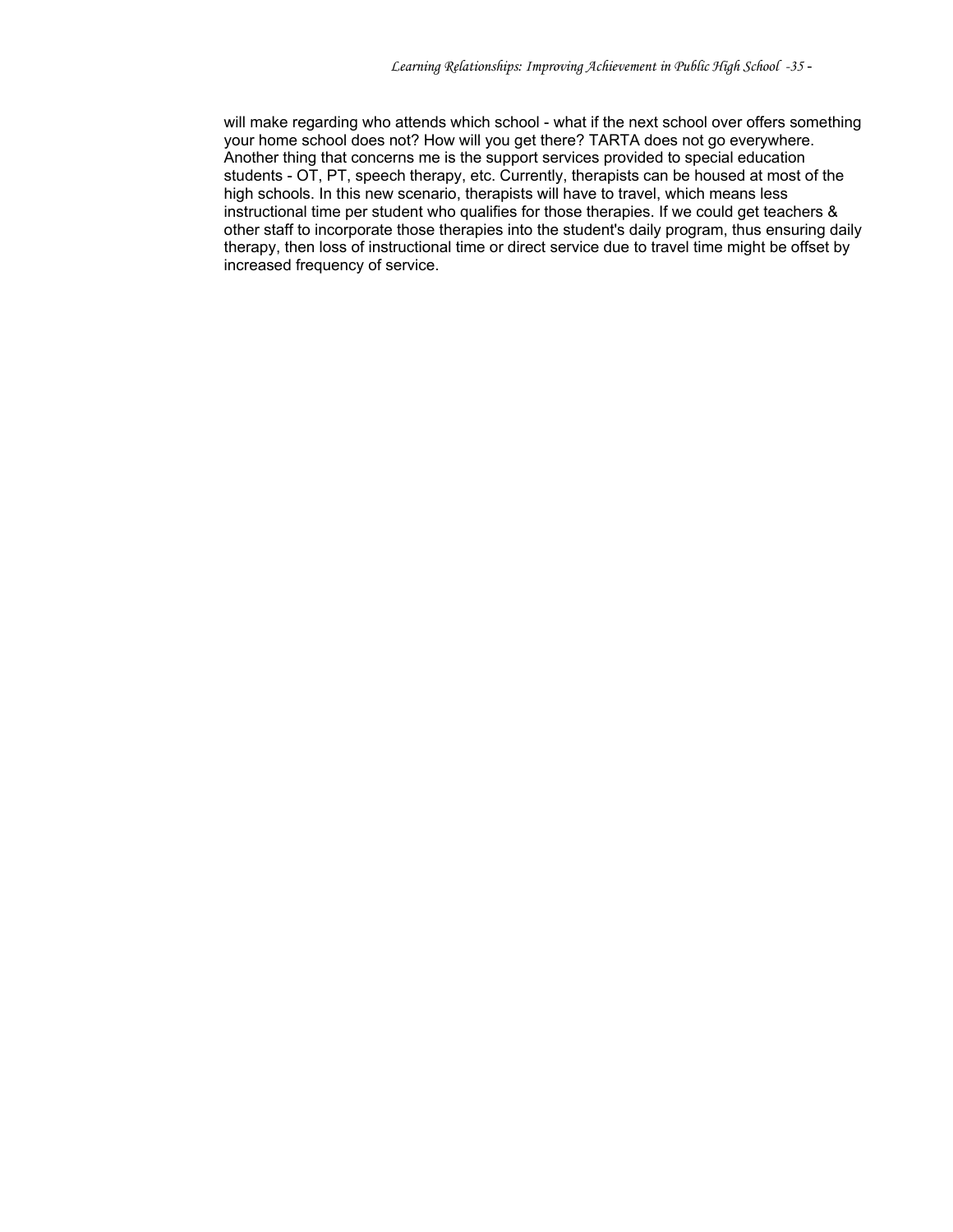will make regarding who attends which school - what if the next school over offers something your home school does not? How will you get there? TARTA does not go everywhere. Another thing that concerns me is the support services provided to special education students - OT, PT, speech therapy, etc. Currently, therapists can be housed at most of the high schools. In this new scenario, therapists will have to travel, which means less instructional time per student who qualifies for those therapies. If we could get teachers & other staff to incorporate those therapies into the student's daily program, thus ensuring daily therapy, then loss of instructional time or direct service due to travel time might be offset by increased frequency of service.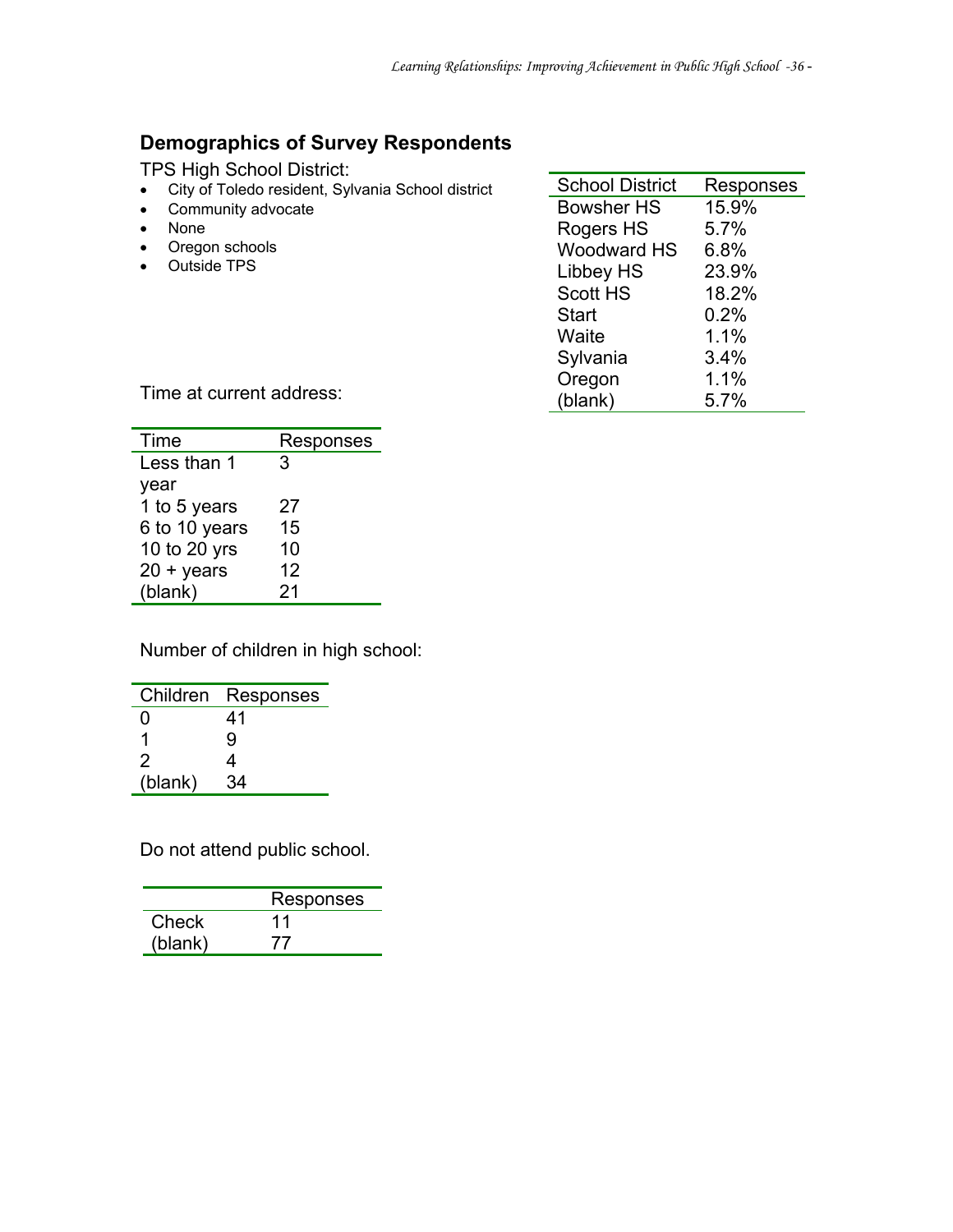#### **Demographics of Survey Respondents**

TPS High School District:

- City of Toledo resident, Sylvania School district
- Community advocate
- None
- Oregon schools • Outside TPS

| <b>School District</b> | Responses |
|------------------------|-----------|
| Bowsher HS             | 15.9%     |
| Rogers HS              | 5.7%      |
| <b>Woodward HS</b>     | 6.8%      |
| <b>Libbey HS</b>       | 23.9%     |
| <b>Scott HS</b>        | 18.2%     |
| Start                  | 0.2%      |
| Waite                  | 1.1%      |
| Sylvania               | 3.4%      |
| Oregon                 | 1.1%      |
| (blank)                | 5.7%      |

Time at current address:

| Time               | Responses |
|--------------------|-----------|
| Less than 1        | 3         |
| year               |           |
| 1 to 5 years       | 27        |
| 6 to 10 years      | 15        |
| 10 to 20 yrs       | 10        |
| $20 + \gamma$ ears | 12        |
| (blank)            | 21        |

Number of children in high school:

| Children | Responses |
|----------|-----------|
| 0        | 41        |
|          | g         |
| 2        | 4         |
| (blank)  | 34        |

Do not attend public school.

|         | Responses |
|---------|-----------|
| Check   | 11        |
| (blank) |           |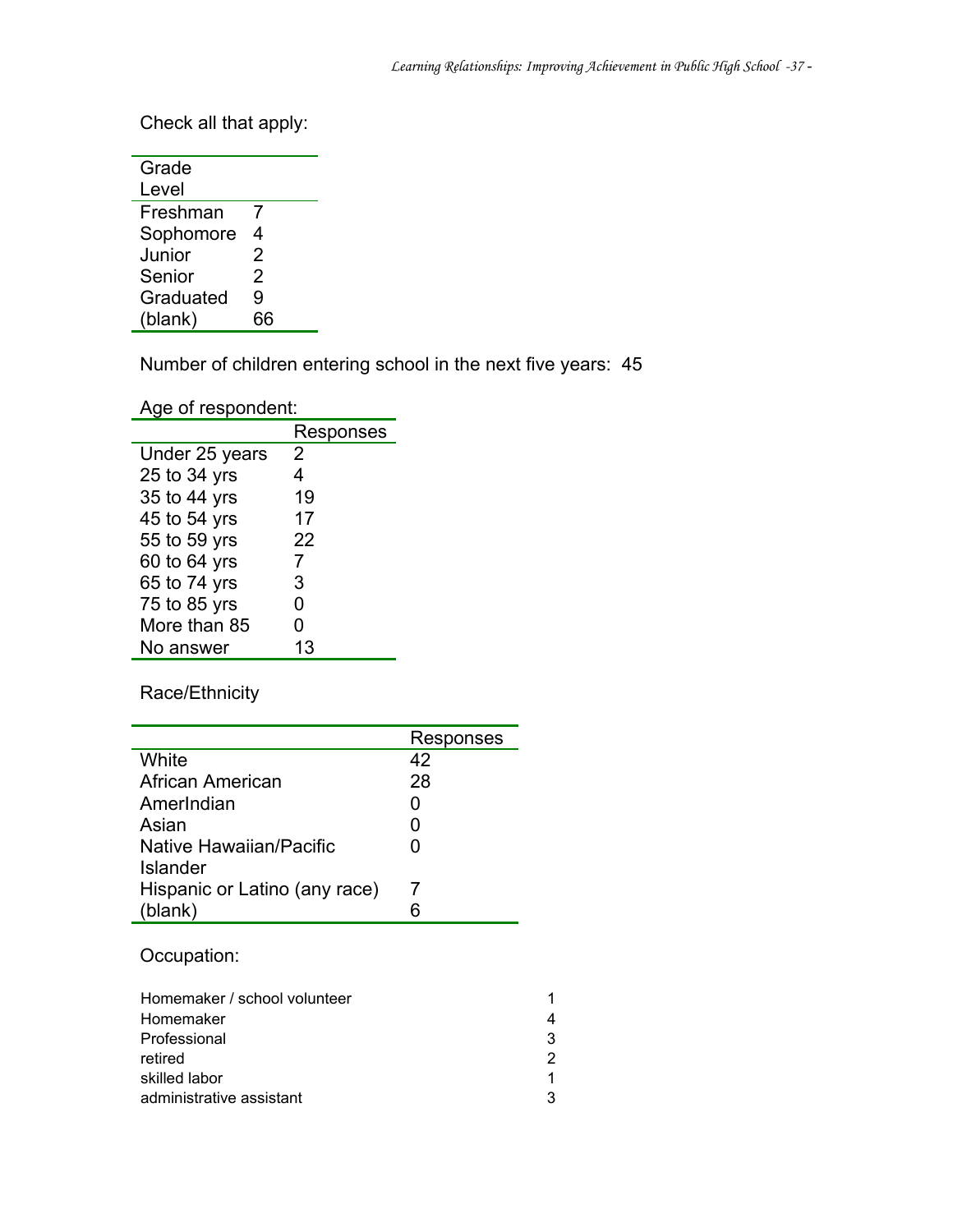Check all that apply:

| Grade     |    |
|-----------|----|
| Level     |    |
| Freshman  | 7  |
| Sophomore | 4  |
| Junior    | 2  |
| Senior    | 2  |
| Graduated | 9  |
| (blank)   | 66 |

Number of children entering school in the next five years: 45

Age of respondent:

|                | Responses |
|----------------|-----------|
| Under 25 years | 2         |
| 25 to 34 yrs   | 4         |
| 35 to 44 yrs   | 19        |
| 45 to 54 yrs   | 17        |
| 55 to 59 yrs   | 22        |
| 60 to 64 yrs   | 7         |
| 65 to 74 yrs   | 3         |
| 75 to 85 yrs   | O         |
| More than 85   | 0         |
| No answer      | 13        |

Race/Ethnicity

|                               | Responses |
|-------------------------------|-----------|
| White                         | 42        |
| African American              | 28        |
| AmerIndian                    | O         |
| Asian                         | 0         |
| Native Hawaiian/Pacific       | O         |
| <b>Islander</b>               |           |
| Hispanic or Latino (any race) |           |
| (blank)                       | หิ        |

Occupation:

| Homemaker / school volunteer | 1. |
|------------------------------|----|
| Homemaker                    | 4  |
| Professional                 | 3  |
| retired                      | 2  |
| skilled labor                | 1  |
| administrative assistant     | З  |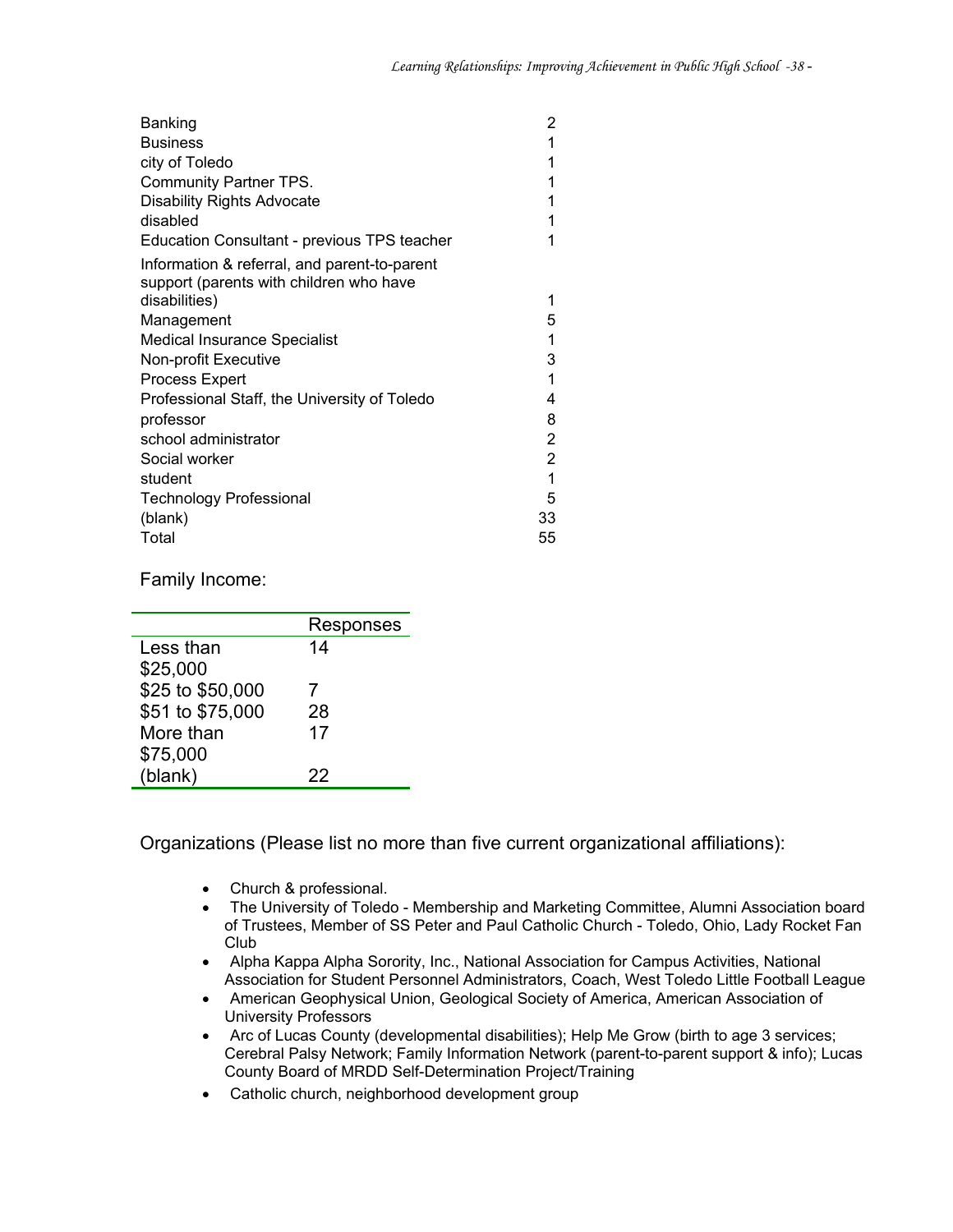| Banking                                                                                 | 2  |
|-----------------------------------------------------------------------------------------|----|
| <b>Business</b>                                                                         | 1  |
| city of Toledo                                                                          | 1  |
| <b>Community Partner TPS.</b>                                                           | 1  |
| <b>Disability Rights Advocate</b>                                                       | 1  |
| disabled                                                                                | 1  |
| Education Consultant - previous TPS teacher                                             |    |
| Information & referral, and parent-to-parent<br>support (parents with children who have |    |
| disabilities)                                                                           | 1  |
| Management                                                                              | 5  |
| <b>Medical Insurance Specialist</b>                                                     | 1  |
| Non-profit Executive                                                                    | 3  |
| <b>Process Expert</b>                                                                   | 1  |
| Professional Staff, the University of Toledo                                            | 4  |
| professor                                                                               | 8  |
| school administrator                                                                    | 2  |
| Social worker                                                                           | 2  |
| student                                                                                 | 1  |
| Technology Professional                                                                 | 5  |
| (blank)                                                                                 | 33 |
| Total                                                                                   | 55 |

Family Income:

|                  | Responses |
|------------------|-----------|
| Less than        | 14        |
| \$25,000         |           |
| \$25 to \$50,000 |           |
| \$51 to \$75,000 | 28        |
| More than        | 17        |
| \$75,000         |           |
| (blank)          | 22        |
|                  |           |

Organizations (Please list no more than five current organizational affiliations):

- Church & professional.
- The University of Toledo Membership and Marketing Committee, Alumni Association board of Trustees, Member of SS Peter and Paul Catholic Church - Toledo, Ohio, Lady Rocket Fan Club
- Alpha Kappa Alpha Sorority, Inc., National Association for Campus Activities, National Association for Student Personnel Administrators, Coach, West Toledo Little Football League
- American Geophysical Union, Geological Society of America, American Association of University Professors
- Arc of Lucas County (developmental disabilities); Help Me Grow (birth to age 3 services; Cerebral Palsy Network; Family Information Network (parent-to-parent support & info); Lucas County Board of MRDD Self-Determination Project/Training
- Catholic church, neighborhood development group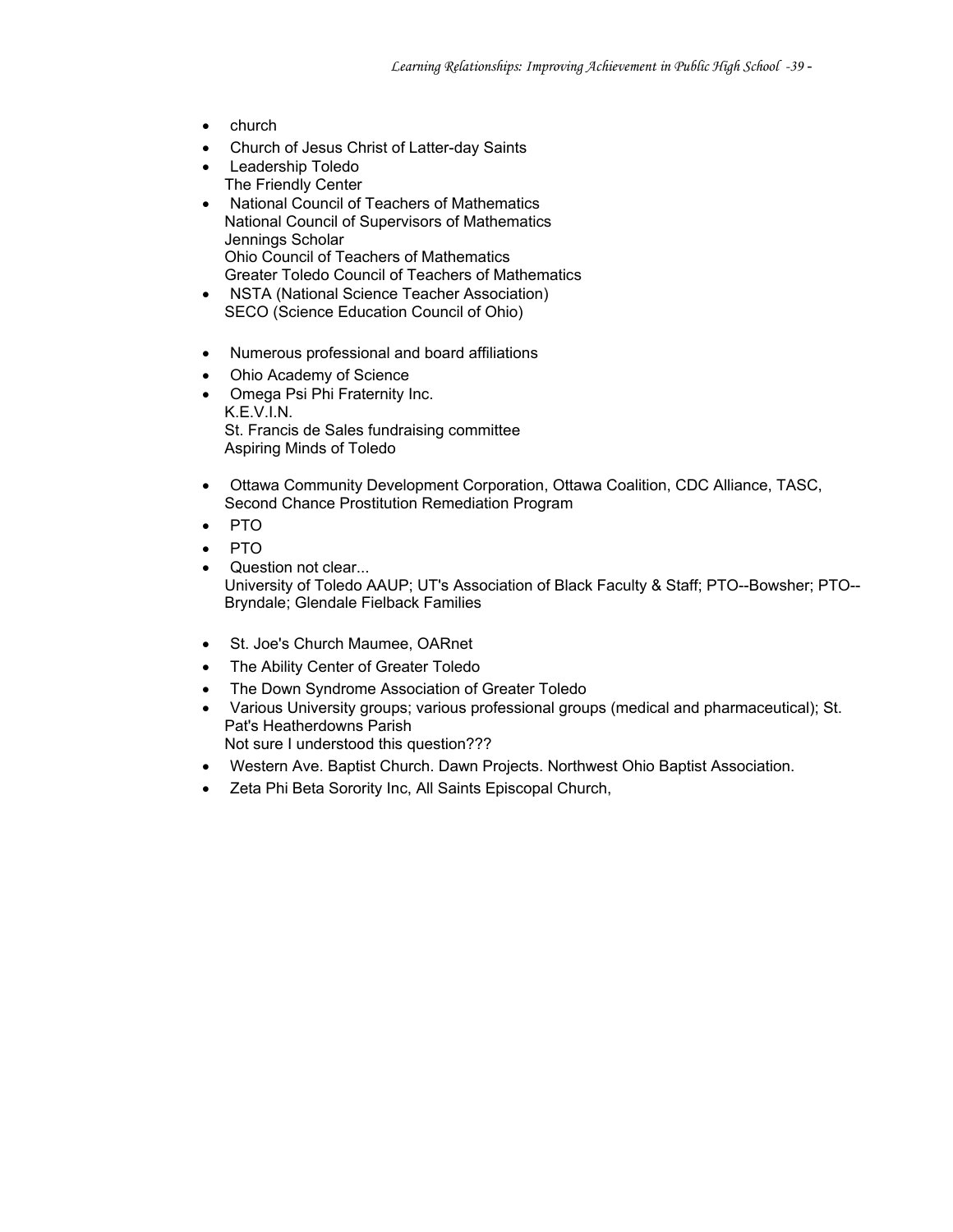- church
- Church of Jesus Christ of Latter-day Saints
- Leadership Toledo The Friendly Center
- National Council of Teachers of Mathematics National Council of Supervisors of Mathematics Jennings Scholar Ohio Council of Teachers of Mathematics Greater Toledo Council of Teachers of Mathematics
- NSTA (National Science Teacher Association) SECO (Science Education Council of Ohio)
- Numerous professional and board affiliations
- Ohio Academy of Science
- Omega Psi Phi Fraternity Inc. K.E.V.I.N. St. Francis de Sales fundraising committee Aspiring Minds of Toledo
- Ottawa Community Development Corporation, Ottawa Coalition, CDC Alliance, TASC, Second Chance Prostitution Remediation Program
- PTO
- PTO
- Question not clear... University of Toledo AAUP; UT's Association of Black Faculty & Staff; PTO--Bowsher; PTO-- Bryndale; Glendale Fielback Families
- St. Joe's Church Maumee, OARnet
- The Ability Center of Greater Toledo
- The Down Syndrome Association of Greater Toledo
- Various University groups; various professional groups (medical and pharmaceutical); St. Pat's Heatherdowns Parish
	- Not sure I understood this question???
- Western Ave. Baptist Church. Dawn Projects. Northwest Ohio Baptist Association.
- Zeta Phi Beta Sorority Inc, All Saints Episcopal Church,